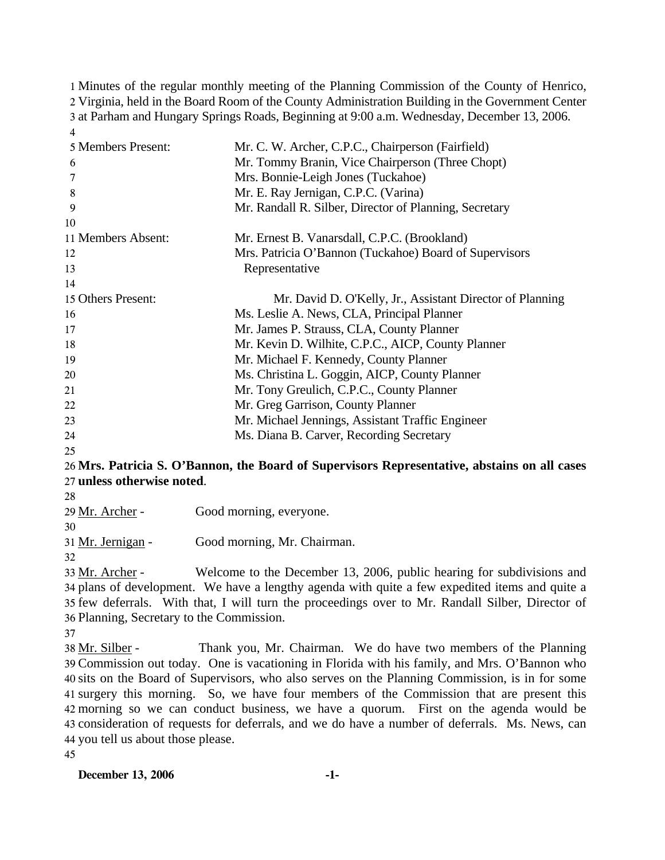Minutes of the regular monthly meeting of the Planning Commission of the County of Henrico, Virginia, held in the Board Room of the County Administration Building in the Government Center at Parham and Hungary Springs Roads, Beginning at 9:00 a.m. Wednesday, December 13, 2006. 4

| 5 Members Present: | Mr. C. W. Archer, C.P.C., Chairperson (Fairfield)         |
|--------------------|-----------------------------------------------------------|
| 6                  | Mr. Tommy Branin, Vice Chairperson (Three Chopt)          |
| 7                  | Mrs. Bonnie-Leigh Jones (Tuckahoe)                        |
| 8                  | Mr. E. Ray Jernigan, C.P.C. (Varina)                      |
| 9                  | Mr. Randall R. Silber, Director of Planning, Secretary    |
| 10                 |                                                           |
| 11 Members Absent: | Mr. Ernest B. Vanarsdall, C.P.C. (Brookland)              |
| 12                 | Mrs. Patricia O'Bannon (Tuckahoe) Board of Supervisors    |
| 13                 | Representative                                            |
| 14                 |                                                           |
| 15 Others Present: | Mr. David D. O'Kelly, Jr., Assistant Director of Planning |
| 16                 | Ms. Leslie A. News, CLA, Principal Planner                |
| 17                 | Mr. James P. Strauss, CLA, County Planner                 |
| 18                 | Mr. Kevin D. Wilhite, C.P.C., AICP, County Planner        |
| 19                 | Mr. Michael F. Kennedy, County Planner                    |
| 20                 | Ms. Christina L. Goggin, AICP, County Planner             |
| 21                 | Mr. Tony Greulich, C.P.C., County Planner                 |
| 22                 | Mr. Greg Garrison, County Planner                         |
| 23                 | Mr. Michael Jennings, Assistant Traffic Engineer          |
| 24                 | Ms. Diana B. Carver, Recording Secretary                  |
| 25                 |                                                           |

# 26 **Mrs. Patricia S. O'Bannon, the Board of Supervisors Representative, abstains on all cases**  27 **unless otherwise noted**.

28

| 29 Mr. Archer - | Good morning, everyone. |
|-----------------|-------------------------|
|                 |                         |

30

31 Mr. Jernigan - Good morning, Mr. Chairman.

32

Welcome to the December 13, 2006, public hearing for subdivisions and 34 plans of development. We have a lengthy agenda with quite a few expedited items and quite a 35 few deferrals. With that, I will turn the proceedings over to Mr. Randall Silber, Director of Planning, Secretary to the Commission. 36 33 Mr. Archer -

37

Thank you, Mr. Chairman. We do have two members of the Planning Commission out today. One is vacationing in Florida with his family, and Mrs. O'Bannon who 39 40 sits on the Board of Supervisors, who also serves on the Planning Commission, is in for some 41 surgery this morning. So, we have four members of the Commission that are present this morning so we can conduct business, we have a quorum. First on the agenda would be 42 43 consideration of requests for deferrals, and we do have a number of deferrals. Ms. News, can 44 you tell us about those please. 38 Mr. Silber -

45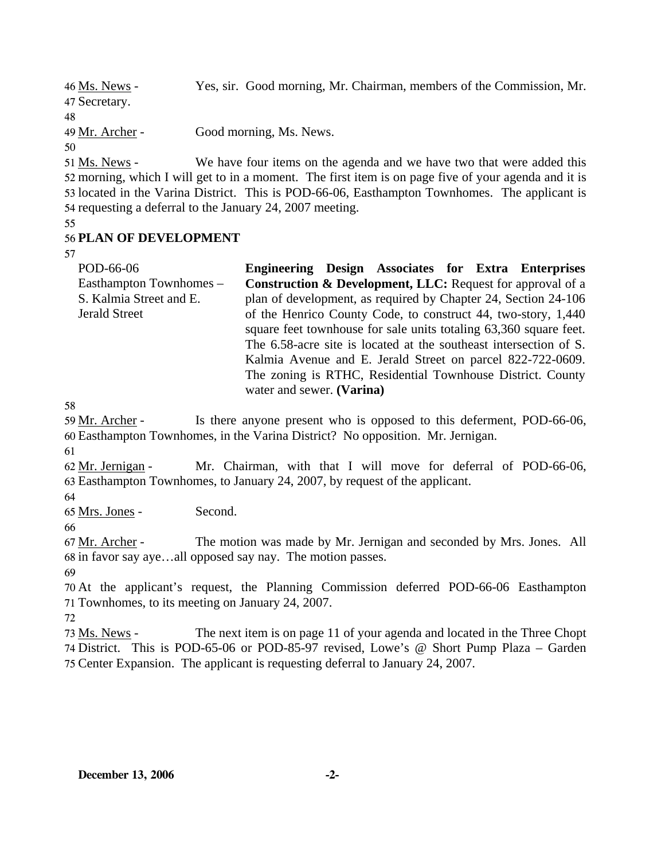| 46 Ms. News -                                                            | Yes, sir. Good morning, Mr. Chairman, members of the Commission, Mr.   |
|--------------------------------------------------------------------------|------------------------------------------------------------------------|
| 47 Secretary.                                                            |                                                                        |
| 48                                                                       |                                                                        |
| 49 Mr. Archer -                                                          | Good morning, Ms. News.                                                |
| 50                                                                       |                                                                        |
| $\epsilon$ <sup>1</sup> M <sub>a</sub> M <sub>o</sub> $\mu$ <sub>0</sub> | We have four items on the against and we have two that were added this |

We have four items on the agenda and we have two that were added this 52 morning, which I will get to in a moment. The first item is on page five of your agenda and it is 53 located in the Varina District. This is POD-66-06, Easthampton Townhomes. The applicant is 54 requesting a deferral to the January 24, 2007 meeting. 51 Ms. News -

55

## 56 **PLAN OF DEVELOPMENT**

57

| POD-66-06               | Engineering Design Associates for Extra Enterprises                   |  |  |  |
|-------------------------|-----------------------------------------------------------------------|--|--|--|
| Easthampton Townhomes – | <b>Construction &amp; Development, LLC:</b> Request for approval of a |  |  |  |
| S. Kalmia Street and E. | plan of development, as required by Chapter 24, Section 24-106        |  |  |  |
| <b>Jerald Street</b>    | of the Henrico County Code, to construct 44, two-story, 1,440         |  |  |  |
|                         | square feet townhouse for sale units totaling 63,360 square feet.     |  |  |  |
|                         | The 6.58-acre site is located at the southeast intersection of S.     |  |  |  |
|                         | Kalmia Avenue and E. Jerald Street on parcel 822-722-0609.            |  |  |  |
|                         | The zoning is RTHC, Residential Townhouse District. County            |  |  |  |
|                         | water and sewer. (Varina)                                             |  |  |  |

58

Is there anyone present who is opposed to this deferment, POD-66-06, Easthampton Townhomes, in the Varina District? No opposition. Mr. Jernigan. 60 59 Mr. Archer -

61

Mr. Chairman, with that I will move for deferral of POD-66-06, Easthampton Townhomes, to January 24, 2007, by request of the applicant. 63 62 Mr. Jernigan -

64

65 Mrs. Jones - Second.

66

The motion was made by Mr. Jernigan and seconded by Mrs. Jones. All 68 in favor say aye...all opposed say nay. The motion passes. 67 Mr. Archer -

69

70 At the applicant's request, the Planning Commission deferred POD-66-06 Easthampton 71 Townhomes, to its meeting on January 24, 2007.

72

The next item is on page 11 of your agenda and located in the Three Chopt 74 District. This is POD-65-06 or POD-85-97 revised, Lowe's @ Short Pump Plaza – Garden 75 Center Expansion. The applicant is requesting deferral to January 24, 2007. 73 Ms. News -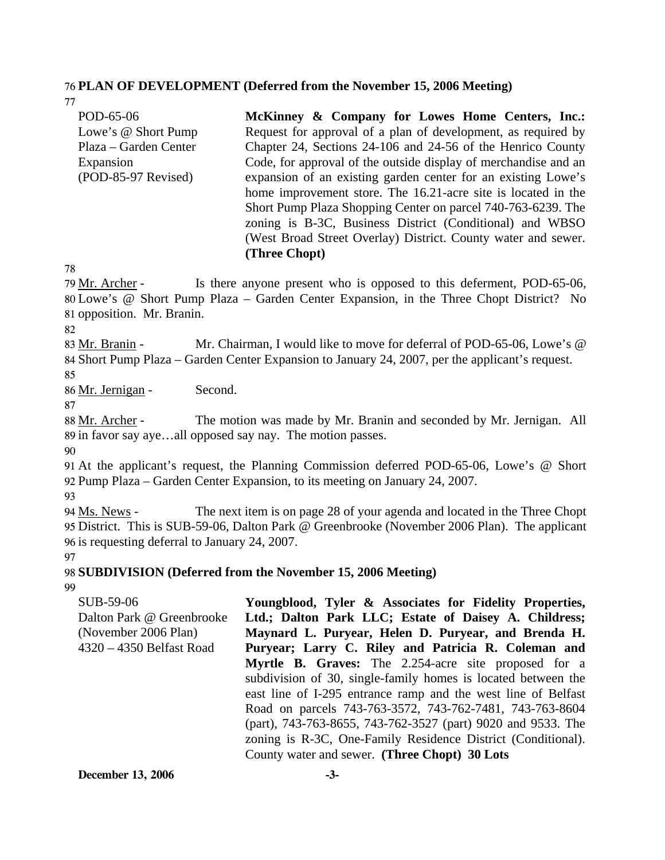#### 76 **PLAN OF DEVELOPMENT (Deferred from the November 15, 2006 Meeting)**

77 POD-65-06 Lowe's @ Short Pump Plaza – Garden Center Expansion (POD-85-97 Revised) **McKinney & Company for Lowes Home Centers, Inc.:**  Request for approval of a plan of development, as required by Chapter 24, Sections 24-106 and 24-56 of the Henrico County Code, for approval of the outside display of merchandise and an expansion of an existing garden center for an existing Lowe's home improvement store. The 16.21-acre site is located in the Short Pump Plaza Shopping Center on parcel 740-763-6239. The zoning is B-3C, Business District (Conditional) and WBSO (West Broad Street Overlay) District. County water and sewer. **(Three Chopt)** 

78

Is there anyone present who is opposed to this deferment, POD-65-06, Lowe's @ Short Pump Plaza – Garden Center Expansion, in the Three Chopt District? No 80 81 opposition. Mr. Branin. 79 Mr. Archer -

82

Mr. Chairman, I would like to move for deferral of POD-65-06, Lowe's  $@$ 84 Short Pump Plaza – Garden Center Expansion to January 24, 2007, per the applicant's request. 83 Mr. Branin -85

86 Mr. Jernigan - Second.

87

The motion was made by Mr. Branin and seconded by Mr. Jernigan. All 89 in favor say aye...all opposed say nay. The motion passes. 88 Mr. Archer -

90

91 At the applicant's request, the Planning Commission deferred POD-65-06, Lowe's @ Short 92 Pump Plaza – Garden Center Expansion, to its meeting on January 24, 2007.

93

The next item is on page 28 of your agenda and located in the Three Chopt 95 District. This is SUB-59-06, Dalton Park @ Greenbrooke (November 2006 Plan). The applicant 96 is requesting deferral to January 24, 2007. 94 Ms. News -

97

98 **SUBDIVISION (Deferred from the November 15, 2006 Meeting)** 

99

| SUB-59-06                 | Youngblood, Tyler & Associates for Fidelity Properties,                                                                                                                                                                                                   |
|---------------------------|-----------------------------------------------------------------------------------------------------------------------------------------------------------------------------------------------------------------------------------------------------------|
| Dalton Park @ Greenbrooke | Ltd.; Dalton Park LLC; Estate of Daisey A. Childress;                                                                                                                                                                                                     |
| (November 2006 Plan)      | Maynard L. Puryear, Helen D. Puryear, and Brenda H.                                                                                                                                                                                                       |
| 4320 - 4350 Belfast Road  | Puryear; Larry C. Riley and Patricia R. Coleman and                                                                                                                                                                                                       |
|                           | <b>Myrtle B. Graves:</b> The 2.254-acre site proposed for a<br>subdivision of 30, single-family homes is located between the<br>east line of I-295 entrance ramp and the west line of Belfast<br>Road on parcels 743-763-3572, 743-762-7481, 743-763-8604 |
|                           | (part), 743-763-8655, 743-762-3527 (part) 9020 and 9533. The<br>zoning is R-3C, One-Family Residence District (Conditional).<br>County water and sewer. (Three Chopt) 30 Lots                                                                             |

**December 13, 2006 -3-**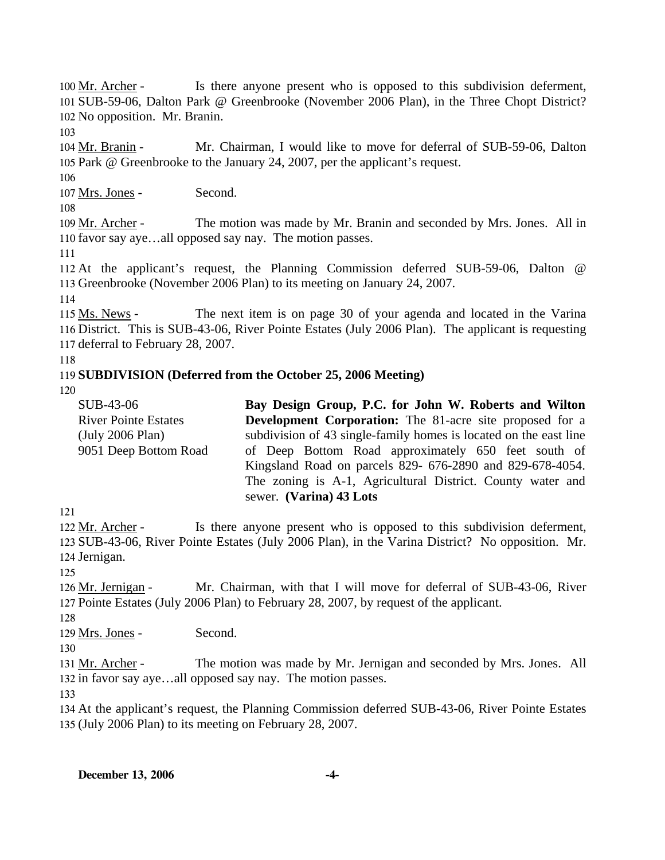Is there anyone present who is opposed to this subdivision deferment, 101 SUB-59-06, Dalton Park @ Greenbrooke (November 2006 Plan), in the Three Chopt District? 102 No opposition. Mr. Branin. 100 Mr. Archer -

103

Mr. Chairman, I would like to move for deferral of SUB-59-06, Dalton 105 Park @ Greenbrooke to the January 24, 2007, per the applicant's request. 104 Mr. Branin -

106

107 Mrs. Jones - Second.

108

The motion was made by Mr. Branin and seconded by Mrs. Jones. All in 110 favor say aye...all opposed say nay. The motion passes. 109 Mr. Archer -

111

112 At the applicant's request, the Planning Commission deferred SUB-59-06, Dalton @ 113 Greenbrooke (November 2006 Plan) to its meeting on January 24, 2007.

114

The next item is on page 30 of your agenda and located in the Varina 116 District. This is SUB-43-06, River Pointe Estates (July 2006 Plan). The applicant is requesting 117 deferral to February 28, 2007. 115 Ms. News -

118

## 119 **SUBDIVISION (Deferred from the October 25, 2006 Meeting)**

120

| SUB-43-06                   | Bay Design Group, P.C. for John W. Roberts and Wilton             |
|-----------------------------|-------------------------------------------------------------------|
| <b>River Pointe Estates</b> | <b>Development Corporation:</b> The 81-acre site proposed for a   |
| (July 2006 Plan)            | subdivision of 43 single-family homes is located on the east line |
| 9051 Deep Bottom Road       | of Deep Bottom Road approximately 650 feet south of               |
|                             | Kingsland Road on parcels 829- 676-2890 and 829-678-4054.         |
|                             | The zoning is A-1, Agricultural District. County water and        |
|                             | sewer. (Varina) 43 Lots                                           |

121

Is there anyone present who is opposed to this subdivision deferment, 123 SUB-43-06, River Pointe Estates (July 2006 Plan), in the Varina District? No opposition. Mr. 124 Jernigan. 122 Mr. Archer -

125

Mr. Chairman, with that I will move for deferral of SUB-43-06, River 127 Pointe Estates (July 2006 Plan) to February 28, 2007, by request of the applicant. 126 Mr. Jernigan -

128

129 Mrs. Jones - Second.

130

The motion was made by Mr. Jernigan and seconded by Mrs. Jones. All 132 in favor say aye...all opposed say nay. The motion passes. 131 Mr. Archer -

133

134 At the applicant's request, the Planning Commission deferred SUB-43-06, River Pointe Estates 135 (July 2006 Plan) to its meeting on February 28, 2007.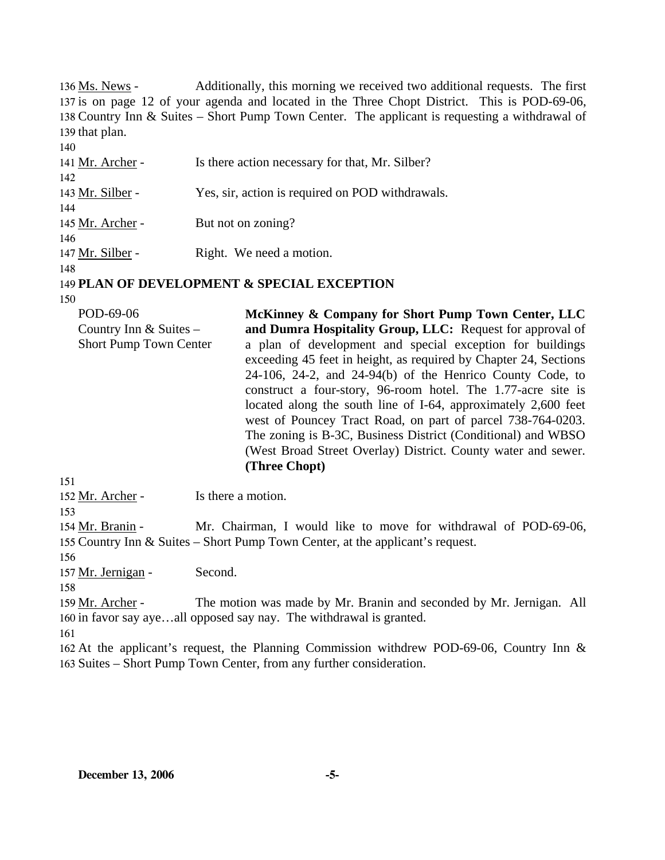Additionally, this morning we received two additional requests. The first 137 is on page 12 of your agenda and located in the Three Chopt District. This is POD-69-06, 138 Country Inn & Suites – Short Pump Town Center. The applicant is requesting a withdrawal of 139 that plan. 136 Ms. News -140 141 Mr. Archer - Is there action necessary for that, Mr. Silber? 142 143 Mr. Silber - Yes, sir, action is required on POD withdrawals. 144 145 Mr. Archer - But not on zoning? 146 147 Mr. Silber - Right. We need a motion. 148 149 **PLAN OF DEVELOPMENT & SPECIAL EXCEPTION**  150

POD-69-06 Country Inn & Suites – Short Pump Town Center **McKinney & Company for Short Pump Town Center, LLC and Dumra Hospitality Group, LLC:** Request for approval of a plan of development and special exception for buildings exceeding 45 feet in height, as required by Chapter 24, Sections 24-106, 24-2, and 24-94(b) of the Henrico County Code, to construct a four-story, 96-room hotel. The 1.77-acre site is located along the south line of I-64, approximately 2,600 feet west of Pouncey Tract Road, on part of parcel 738-764-0203. The zoning is B-3C, Business District (Conditional) and WBSO (West Broad Street Overlay) District. County water and sewer. **(Three Chopt)** 

151

152 Mr. Archer - Is there a motion.

153

Mr. Chairman, I would like to move for withdrawal of POD-69-06, 155 Country Inn & Suites – Short Pump Town Center, at the applicant's request. 154 Mr. Branin -

156

157 Mr. Jernigan - Second.

158

The motion was made by Mr. Branin and seconded by Mr. Jernigan. All 160 in favor say aye...all opposed say nay. The withdrawal is granted. 159 Mr. Archer -

161

162 At the applicant's request, the Planning Commission withdrew POD-69-06, Country Inn & 163 Suites – Short Pump Town Center, from any further consideration.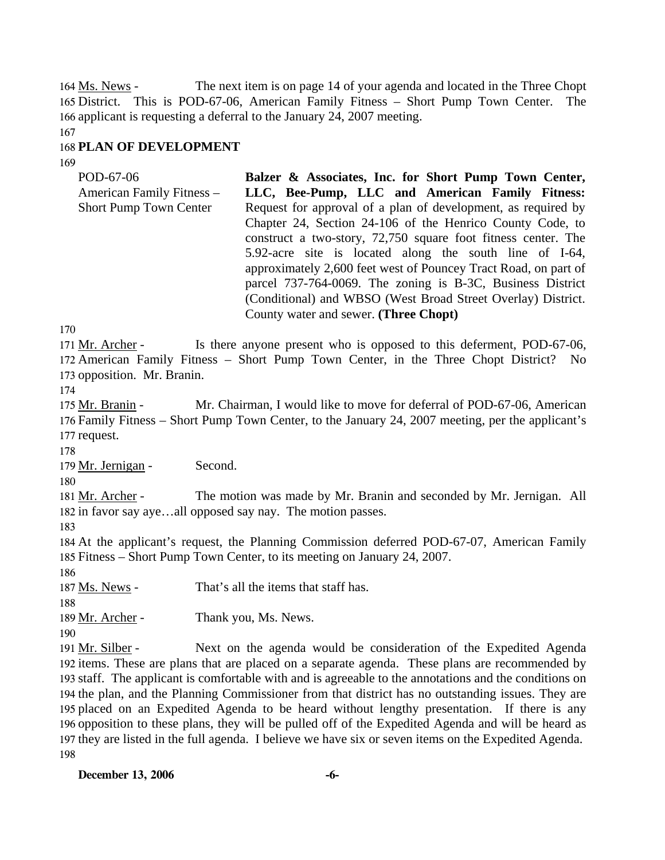The next item is on page 14 of your agenda and located in the Three Chopt 165 District. This is POD-67-06, American Family Fitness - Short Pump Town Center. The 166 applicant is requesting a deferral to the January 24, 2007 meeting. 164 Ms. News -

167

# 168 **PLAN OF DEVELOPMENT**

169

POD-67-06 American Family Fitness – Short Pump Town Center **Balzer & Associates, Inc. for Short Pump Town Center, LLC, Bee-Pump, LLC and American Family Fitness:**  Request for approval of a plan of development, as required by Chapter 24, Section 24-106 of the Henrico County Code, to construct a two-story, 72,750 square foot fitness center. The 5.92-acre site is located along the south line of I-64, approximately 2,600 feet west of Pouncey Tract Road, on part of parcel 737-764-0069. The zoning is B-3C, Business District (Conditional) and WBSO (West Broad Street Overlay) District. County water and sewer. **(Three Chopt)** 

170

Is there anyone present who is opposed to this deferment, POD-67-06, 172 American Family Fitness - Short Pump Town Center, in the Three Chopt District? No 173 opposition. Mr. Branin. 171 Mr. Archer -

174

Mr. Chairman, I would like to move for deferral of POD-67-06, American 176 Family Fitness – Short Pump Town Center, to the January 24, 2007 meeting, per the applicant's 177 request. 175 Mr. Branin -

178

179 Mr. Jernigan - Second.

180

The motion was made by Mr. Branin and seconded by Mr. Jernigan. All 182 in favor say aye...all opposed say nay. The motion passes. 181 Mr. Archer -

183

184 At the applicant's request, the Planning Commission deferred POD-67-07, American Family 185 Fitness – Short Pump Town Center, to its meeting on January 24, 2007.

186

187 Ms. News - That's all the items that staff has.

188

189 Mr. Archer - Thank you, Ms. News.

190

Next on the agenda would be consideration of the Expedited Agenda 192 items. These are plans that are placed on a separate agenda. These plans are recommended by 193 staff. The applicant is comfortable with and is agreeable to the annotations and the conditions on 194 the plan, and the Planning Commissioner from that district has no outstanding issues. They are 195 placed on an Expedited Agenda to be heard without lengthy presentation. If there is any 196 opposition to these plans, they will be pulled off of the Expedited Agenda and will be heard as 197 they are listed in the full agenda. I believe we have six or seven items on the Expedited Agenda. 191 Mr. Silber -198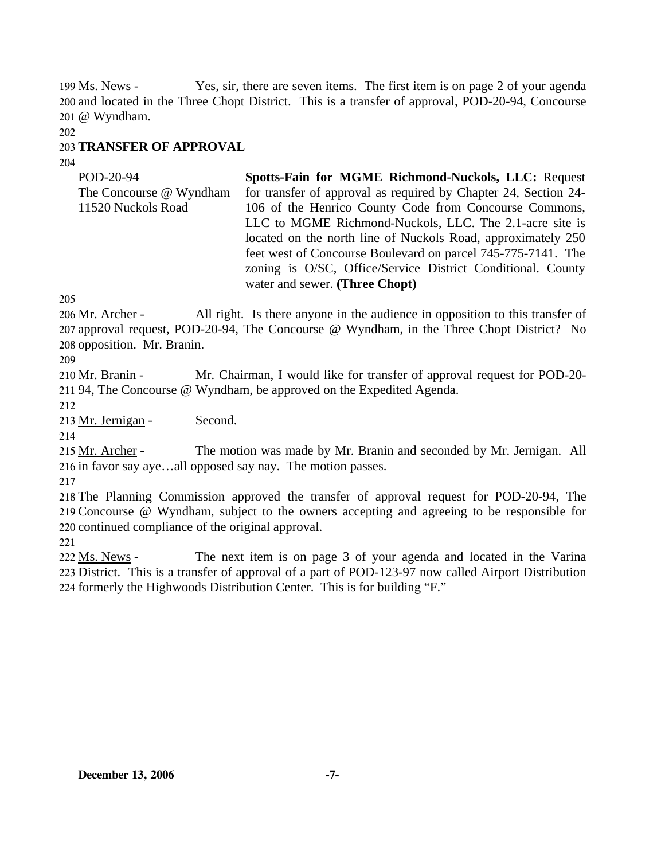Yes, sir, there are seven items. The first item is on page 2 of your agenda 200 and located in the Three Chopt District. This is a transfer of approval, POD-20-94, Concourse @ Wyndham. 201 199 Ms. News -

202

## 203 **TRANSFER OF APPROVAL**

204

POD-20-94 The Concourse @ Wyndham 11520 Nuckols Road **Spotts-Fain for MGME Richmond-Nuckols, LLC:** Request for transfer of approval as required by Chapter 24, Section 24- 106 of the Henrico County Code from Concourse Commons, LLC to MGME Richmond-Nuckols, LLC. The 2.1-acre site is located on the north line of Nuckols Road, approximately 250 feet west of Concourse Boulevard on parcel 745-775-7141. The zoning is O/SC, Office/Service District Conditional. County water and sewer. **(Three Chopt)** 

205

All right. Is there anyone in the audience in opposition to this transfer of 207 approval request, POD-20-94, The Concourse @ Wyndham, in the Three Chopt District? No 208 opposition. Mr. Branin. 206 Mr. Archer -

209

Mr. Chairman, I would like for transfer of approval request for POD-20-211 94, The Concourse @ Wyndham, be approved on the Expedited Agenda. 210 Mr. Branin -

212

213 Mr. Jernigan - Second.

214

The motion was made by Mr. Branin and seconded by Mr. Jernigan. All 216 in favor say aye...all opposed say nay. The motion passes. 215 Mr. Archer -

217

218 The Planning Commission approved the transfer of approval request for POD-20-94, The 219 Concourse @ Wyndham, subject to the owners accepting and agreeing to be responsible for 220 continued compliance of the original approval.

221

The next item is on page 3 of your agenda and located in the Varina 223 District. This is a transfer of approval of a part of POD-123-97 now called Airport Distribution 224 formerly the Highwoods Distribution Center. This is for building "F." 222 Ms. News -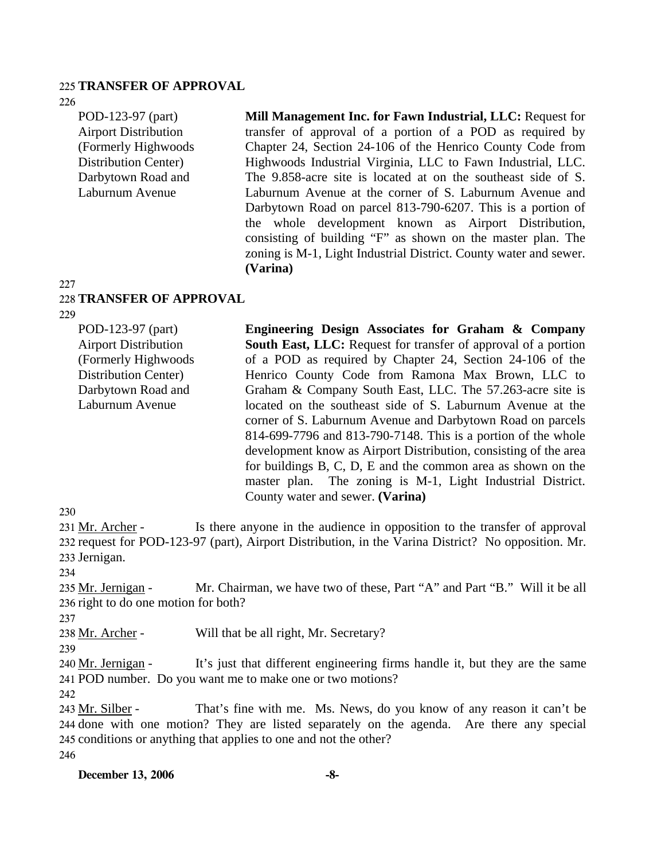#### 225 **TRANSFER OF APPROVAL**

226

POD-123-97 (part) Airport Distribution (Formerly Highwoods Distribution Center) Darbytown Road and Laburnum Avenue

**Mill Management Inc. for Fawn Industrial, LLC:** Request for transfer of approval of a portion of a POD as required by Chapter 24, Section 24-106 of the Henrico County Code from Highwoods Industrial Virginia, LLC to Fawn Industrial, LLC. The 9.858-acre site is located at on the southeast side of S. Laburnum Avenue at the corner of S. Laburnum Avenue and Darbytown Road on parcel 813-790-6207. This is a portion of the whole development known as Airport Distribution, consisting of building "F" as shown on the master plan. The zoning is M-1, Light Industrial District. County water and sewer. **(Varina)** 

#### 227

#### 228 **TRANSFER OF APPROVAL**

229

POD-123-97 (part) Airport Distribution (Formerly Highwoods Distribution Center) Darbytown Road and Laburnum Avenue **Engineering Design Associates for Graham & Company South East, LLC:** Request for transfer of approval of a portion of a POD as required by Chapter 24, Section 24-106 of the Henrico County Code from Ramona Max Brown, LLC to Graham & Company South East, LLC. The 57.263-acre site is located on the southeast side of S. Laburnum Avenue at the corner of S. Laburnum Avenue and Darbytown Road on parcels 814-699-7796 and 813-790-7148. This is a portion of the whole development know as Airport Distribution, consisting of the area for buildings B, C, D, E and the common area as shown on the master plan. The zoning is M-1, Light Industrial District. County water and sewer. **(Varina)** 

#### 230

Is there anyone in the audience in opposition to the transfer of approval 232 request for POD-123-97 (part), Airport Distribution, in the Varina District? No opposition. Mr. 233 Jernigan. 231 Mr. Archer -

234

Mr. Chairman, we have two of these, Part "A" and Part "B." Will it be all 236 right to do one motion for both? 235 Mr. Jernigan -

237

238 Mr. Archer - Will that be all right, Mr. Secretary?

239

It's just that different engineering firms handle it, but they are the same POD number. Do you want me to make one or two motions? 241 240 Mr. Jernigan -

242

That's fine with me. Ms. News, do you know of any reason it can't be 244 done with one motion? They are listed separately on the agenda. Are there any special 245 conditions or anything that applies to one and not the other? 243 Mr. Silber -246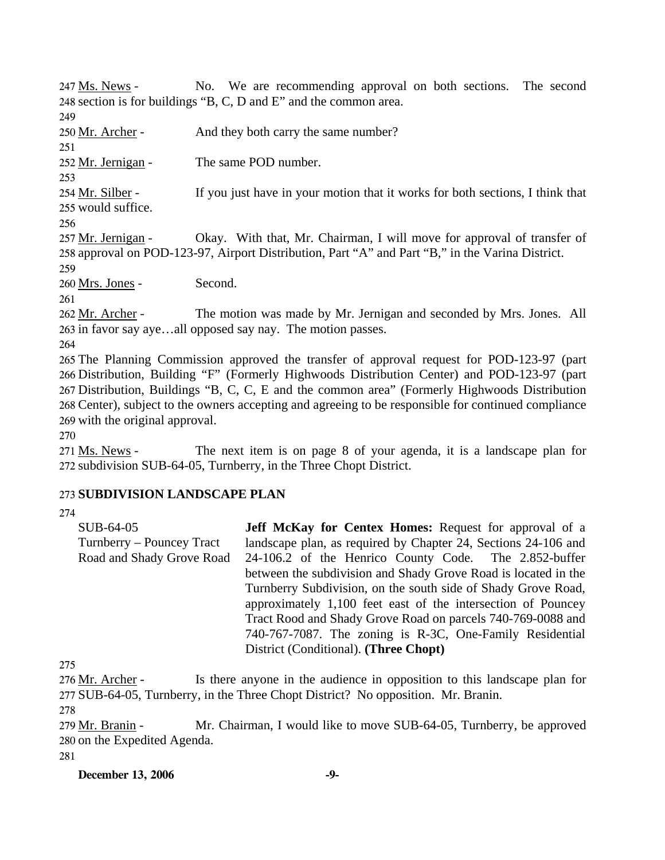No. We are recommending approval on both sections. The second 248 section is for buildings "B, C, D and E" and the common area. 247 Ms. News -249 250 Mr. Archer - And they both carry the same number? 251 252 Mr. Jernigan - The same POD number. 253 If you just have in your motion that it works for both sections, I think that would suffice. 255 254 Mr. Silber -256 Okay. With that, Mr. Chairman, I will move for approval of transfer of 258 approval on POD-123-97, Airport Distribution, Part "A" and Part "B," in the Varina District. 257 Mr. Jernigan -259 260 Mrs. Jones - Second. 261 The motion was made by Mr. Jernigan and seconded by Mrs. Jones. All 263 in favor say aye...all opposed say nay. The motion passes. 262 Mr. Archer -264 265 The Planning Commission approved the transfer of approval request for POD-123-97 (part 266 Distribution, Building "F" (Formerly Highwoods Distribution Center) and POD-123-97 (part 267 Distribution, Buildings "B, C, C, E and the common area" (Formerly Highwoods Distribution 268 Center), subject to the owners accepting and agreeing to be responsible for continued compliance 269 with the original approval.

270

The next item is on page 8 of your agenda, it is a landscape plan for 272 subdivision SUB-64-05, Turnberry, in the Three Chopt District. 271 Ms. News -

### 273 **SUBDIVISION LANDSCAPE PLAN**

274

SUB-64-05 Turnberry – Pouncey Tract Road and Shady Grove Road **Jeff McKay for Centex Homes:** Request for approval of a landscape plan, as required by Chapter 24, Sections 24-106 and 24-106.2 of the Henrico County Code. The 2.852-buffer between the subdivision and Shady Grove Road is located in the Turnberry Subdivision, on the south side of Shady Grove Road, approximately 1,100 feet east of the intersection of Pouncey Tract Rood and Shady Grove Road on parcels 740-769-0088 and 740-767-7087. The zoning is R-3C, One-Family Residential District (Conditional). **(Three Chopt)** 

275

Is there anyone in the audience in opposition to this landscape plan for 277 SUB-64-05, Turnberry, in the Three Chopt District? No opposition. Mr. Branin. 276 Mr. Archer -

278

Mr. Chairman, I would like to move SUB-64-05, Turnberry, be approved 280 on the Expedited Agenda. 279 Mr. Branin -

281

#### **December 13, 2006** -9-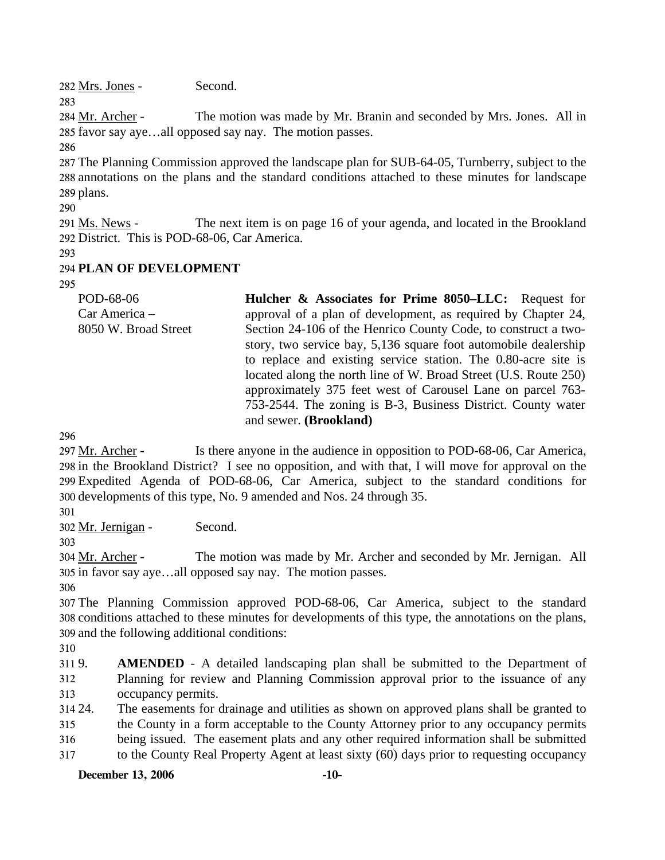282 Mrs. Jones - Second.

283

The motion was made by Mr. Branin and seconded by Mrs. Jones. All in 285 favor say aye...all opposed say nay. The motion passes. 284 Mr. Archer -

286

287 The Planning Commission approved the landscape plan for SUB-64-05, Turnberry, subject to the 288 annotations on the plans and the standard conditions attached to these minutes for landscape 289 plans.

290

The next item is on page 16 of your agenda, and located in the Brookland 292 District. This is POD-68-06, Car America. 291 Ms. News -

293

# 294 **PLAN OF DEVELOPMENT**

295

| POD-68-06            | Hulcher & Associates for Prime 8050–LLC: Request for             |
|----------------------|------------------------------------------------------------------|
| Car America -        | approval of a plan of development, as required by Chapter 24,    |
| 8050 W. Broad Street | Section 24-106 of the Henrico County Code, to construct a two-   |
|                      | story, two service bay, 5,136 square foot automobile dealership  |
|                      | to replace and existing service station. The 0.80-acre site is   |
|                      | located along the north line of W. Broad Street (U.S. Route 250) |
|                      | approximately 375 feet west of Carousel Lane on parcel 763-      |
|                      | 753-2544. The zoning is B-3, Business District. County water     |
|                      | and sewer. (Brookland)                                           |

296

Is there anyone in the audience in opposition to POD-68-06, Car America, 298 in the Brookland District? I see no opposition, and with that, I will move for approval on the Expedited Agenda of POD-68-06, Car America, subject to the standard conditions for 299 300 developments of this type, No. 9 amended and Nos. 24 through 35. 297 Mr. Archer -

301

302 Mr. Jernigan - Second.

The motion was made by Mr. Archer and seconded by Mr. Jernigan. All 305 in favor say aye...all opposed say nay. The motion passes. 304 Mr. Archer -

306

307 The Planning Commission approved POD-68-06, Car America, subject to the standard 308 conditions attached to these minutes for developments of this type, the annotations on the plans, 309 and the following additional conditions:

310

3119. 312 313 **AMENDED** - A detailed landscaping plan shall be submitted to the Department of Planning for review and Planning Commission approval prior to the issuance of any occupancy permits.

314 24. 315 316 317 The easements for drainage and utilities as shown on approved plans shall be granted to the County in a form acceptable to the County Attorney prior to any occupancy permits being issued. The easement plats and any other required information shall be submitted to the County Real Property Agent at least sixty (60) days prior to requesting occupancy

# **December 13, 2006 -10-**

<sup>303</sup>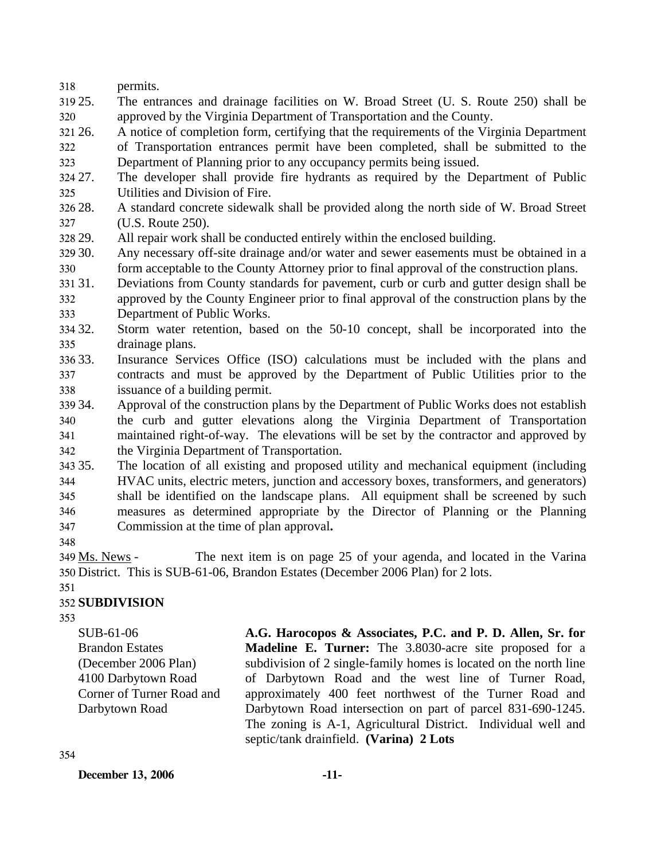318 permits.

- 319 25. 320 25. The entrances and drainage facilities on W. Broad Street (U. S. Route 250) shall be approved by the Virginia Department of Transportation and the County.
- 321 26. 26. A notice of completion form, certifying that the requirements of the Virginia Department
- 322 323 of Transportation entrances permit have been completed, shall be submitted to the Department of Planning prior to any occupancy permits being issued.
- 324 27. 325 27. The developer shall provide fire hydrants as required by the Department of Public Utilities and Division of Fire.
- 326 28. 327 28. A standard concrete sidewalk shall be provided along the north side of W. Broad Street (U.S. Route 250).
- 328 29. All repair work shall be conducted entirely within the enclosed building.
- 30. 330 Any necessary off-site drainage and/or water and sewer easements must be obtained in a form acceptable to the County Attorney prior to final approval of the construction plans.
- 31.31. Deviations from County standards for pavement, curb or curb and gutter design shall be
- 332 333 approved by the County Engineer prior to final approval of the construction plans by the Department of Public Works.
- 334 32. 335 Storm water retention, based on the 50-10 concept, shall be incorporated into the drainage plans.
- 336 33. 337 338 Insurance Services Office (ISO) calculations must be included with the plans and contracts and must be approved by the Department of Public Utilities prior to the issuance of a building permit.
- 339 34 340 341 342 Approval of the construction plans by the Department of Public Works does not establish the curb and gutter elevations along the Virginia Department of Transportation maintained right-of-way. The elevations will be set by the contractor and approved by the Virginia Department of Transportation.
- 343 35. 344 345 346 347 The location of all existing and proposed utility and mechanical equipment (including HVAC units, electric meters, junction and accessory boxes, transformers, and generators) shall be identified on the landscape plans. All equipment shall be screened by such measures as determined appropriate by the Director of Planning or the Planning Commission at the time of plan approval**.**
- 348

The next item is on page 25 of your agenda, and located in the Varina District. This is SUB-61-06, Brandon Estates (December 2006 Plan) for 2 lots. 350 349 Ms. News -

### 351

## 352 **SUBDIVISION**

353

SUB-61-06 Brandon Estates (December 2006 Plan) 4100 Darbytown Road Corner of Turner Road and Darbytown Road

**A.G. Harocopos & Associates, P.C. and P. D. Allen, Sr. for Madeline E. Turner:** The 3.8030-acre site proposed for a subdivision of 2 single-family homes is located on the north line of Darbytown Road and the west line of Turner Road, approximately 400 feet northwest of the Turner Road and Darbytown Road intersection on part of parcel 831-690-1245. The zoning is A-1, Agricultural District. Individual well and septic/tank drainfield. **(Varina) 2 Lots** 

**December 13, 2006 -11-**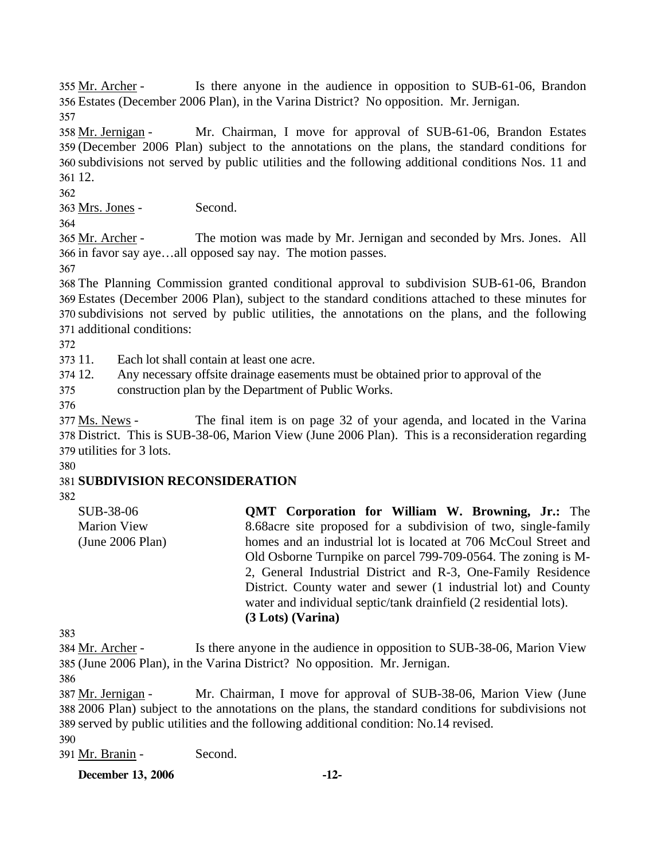Is there anyone in the audience in opposition to SUB-61-06, Brandon Estates (December 2006 Plan), in the Varina District? No opposition. Mr. Jernigan. 356 355 Mr. Archer -

357

Mr. Chairman, I move for approval of SUB-61-06, Brandon Estates (December 2006 Plan) subject to the annotations on the plans, the standard conditions for 359 360 subdivisions not served by public utilities and the following additional conditions Nos. 11 and 361 12. 358 Mr. Jernigan -

362

363 Mrs. Jones - Second.

364

The motion was made by Mr. Jernigan and seconded by Mrs. Jones. All 366 in favor say aye...all opposed say nay. The motion passes. 365 Mr. Archer -

367

 The Planning Commission granted conditional approval to subdivision SUB-61-06, Brandon Estates (December 2006 Plan), subject to the standard conditions attached to these minutes for subdivisions not served by public utilities, the annotations on the plans, and the following additional conditions:

372

373 11. Each lot shall contain at least one acre.

374 12. Any necessary offsite drainage easements must be obtained prior to approval of the

375 construction plan by the Department of Public Works.

376

The final item is on page 32 of your agenda, and located in the Varina 378 District. This is SUB-38-06, Marion View (June 2006 Plan). This is a reconsideration regarding 379 utilities for 3 lots. 377 Ms. News -

380

# 381 **SUBDIVISION RECONSIDERATION**

382

SUB-38-06 Marion View (June 2006 Plan) **QMT Corporation for William W. Browning, Jr.:** The 8.68acre site proposed for a subdivision of two, single-family homes and an industrial lot is located at 706 McCoul Street and Old Osborne Turnpike on parcel 799-709-0564. The zoning is M-2, General Industrial District and R-3, One-Family Residence District. County water and sewer (1 industrial lot) and County water and individual septic/tank drainfield (2 residential lots). **(3 Lots) (Varina)** 

383

Is there anyone in the audience in opposition to SUB-38-06, Marion View (June 2006 Plan), in the Varina District? No opposition. Mr. Jernigan. 385 384 Mr. Archer -

386

Mr. Chairman, I move for approval of SUB-38-06, Marion View (June 2006 Plan) subject to the annotations on the plans, the standard conditions for subdivisions not 388 389 served by public utilities and the following additional condition: No.14 revised. 387 Mr. Jernigan -

390

391 Mr. Branin - Second.

**December 13, 2006 -12-**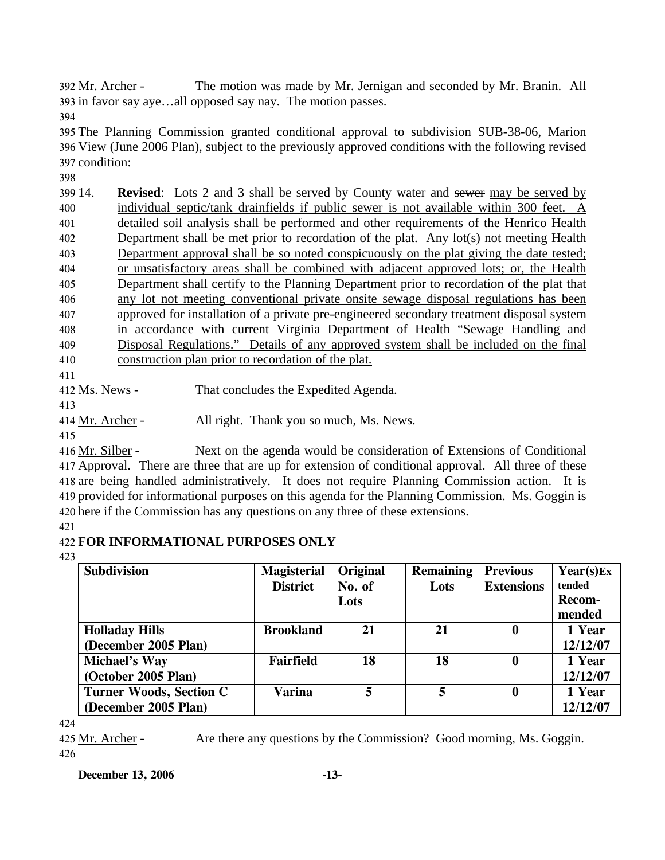The motion was made by Mr. Jernigan and seconded by Mr. Branin. All 393 in favor say aye...all opposed say nay. The motion passes. 392 Mr. Archer -

394

395 The Planning Commission granted conditional approval to subdivision SUB-38-06, Marion 396 View (June 2006 Plan), subject to the previously approved conditions with the following revised 397 condition:

398

14. **Revised**: Lots 2 and 3 shall be served by County water and sewer may be served by individual septic/tank drainfields if public sewer is not available within 300 feet. A detailed soil analysis shall be performed and other requirements of the Henrico Health Department shall be met prior to recordation of the plat. Any lot(s) not meeting Health Department approval shall be so noted conspicuously on the plat giving the date tested; or unsatisfactory areas shall be combined with adjacent approved lots; or, the Health Department shall certify to the Planning Department prior to recordation of the plat that any lot not meeting conventional private onsite sewage disposal regulations has been approved for installation of a private pre-engineered secondary treatment disposal system in accordance with current Virginia Department of Health "Sewage Handling and Disposal Regulations." Details of any approved system shall be included on the final construction plan prior to recordation of the plat.

411

412 Ms. News - That concludes the Expedited Agenda.

413

414 Mr. Archer - All right. Thank you so much, Ms. News.

415

Next on the agenda would be consideration of Extensions of Conditional 417 Approval. There are three that are up for extension of conditional approval. All three of these 418 are being handled administratively. It does not require Planning Commission action. It is 419 provided for informational purposes on this agenda for the Planning Commission. Ms. Goggin is 420 here if the Commission has any questions on any three of these extensions. 416 Mr. Silber -

# 421

# 422 **FOR INFORMATIONAL PURPOSES ONLY**

423

| <b>Subdivision</b>             | <b>Magisterial</b> | Original | <b>Remaining</b> | <b>Previous</b>   | Year(s)Ex |
|--------------------------------|--------------------|----------|------------------|-------------------|-----------|
|                                | <b>District</b>    | No. of   | Lots             | <b>Extensions</b> | tended    |
|                                |                    | Lots     |                  |                   | Recom-    |
|                                |                    |          |                  |                   | mended    |
| <b>Holladay Hills</b>          | <b>Brookland</b>   | 21       | 21               | 0                 | 1 Year    |
| (December 2005 Plan)           |                    |          |                  |                   | 12/12/07  |
| <b>Michael's Way</b>           | Fairfield          | 18       | 18               | $\bf{0}$          | 1 Year    |
| (October 2005 Plan)            |                    |          |                  |                   | 12/12/07  |
| <b>Turner Woods, Section C</b> | <b>Varina</b>      | 5        | 5                | $\boldsymbol{0}$  | 1 Year    |
| (December 2005 Plan)           |                    |          |                  |                   | 12/12/07  |

424

425 Mr. Archer - Are there any questions by the Commission? Good morning, Ms. Goggin. 426

## **December 13, 2006 -13-**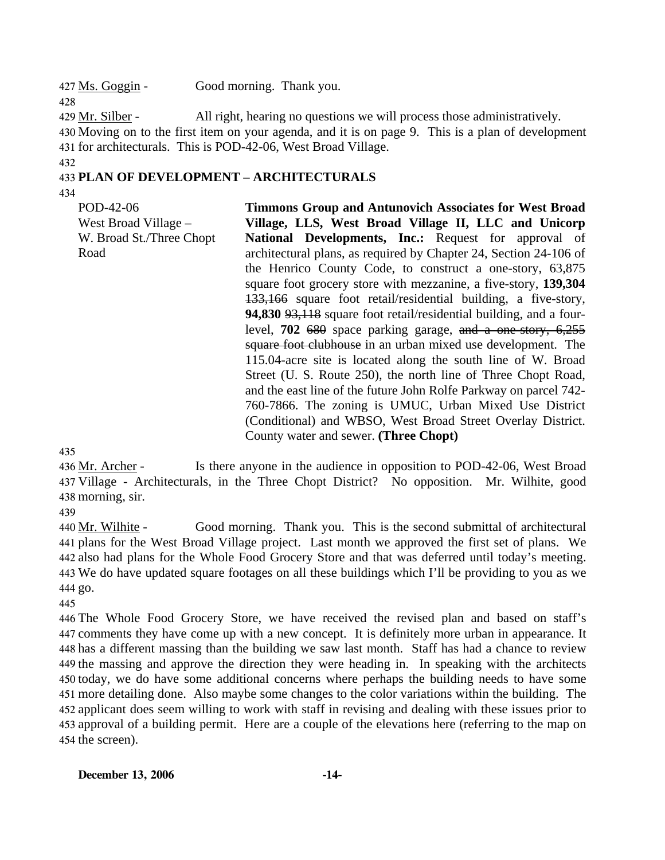427 Ms. Goggin - Good morning. Thank you.

429 Mr. Silber - All right, hearing no questions we will process those administratively. 430 Moving on to the first item on your agenda, and it is on page 9. This is a plan of development 431 for architecturals. This is POD-42-06, West Broad Village.

#### 432

428

## 433 **PLAN OF DEVELOPMENT – ARCHITECTURALS**

434

POD-42-06 West Broad Village – W. Broad St./Three Chopt Road

**Timmons Group and Antunovich Associates for West Broad Village, LLS, West Broad Village II, LLC and Unicorp National Developments, Inc.:** Request for approval of architectural plans, as required by Chapter 24, Section 24-106 of the Henrico County Code, to construct a one-story, 63,875 square foot grocery store with mezzanine, a five-story, **139,304** 133,166 square foot retail/residential building, a five-story, **94,830** 93,118 square foot retail/residential building, and a fourlevel, **702** 680 space parking garage, and a one-story, 6,255 square foot clubhouse in an urban mixed use development. The 115.04-acre site is located along the south line of W. Broad Street (U. S. Route 250), the north line of Three Chopt Road, and the east line of the future John Rolfe Parkway on parcel 742- 760-7866. The zoning is UMUC, Urban Mixed Use District (Conditional) and WBSO, West Broad Street Overlay District. County water and sewer. **(Three Chopt)** 

435

Is there anyone in the audience in opposition to POD-42-06, West Broad Village - Architecturals, in the Three Chopt District? No opposition. Mr. Wilhite, good 437 438 morning, sir. 436 Mr. Archer -

439

Good morning. Thank you. This is the second submittal of architectural plans for the West Broad Village project. Last month we approved the first set of plans. We 441 442 also had plans for the Whole Food Grocery Store and that was deferred until today's meeting. We do have updated square footages on all these buildings which I'll be providing to you as we 443 444 go. 440 Mr. Wilhite -

445

 The Whole Food Grocery Store, we have received the revised plan and based on staff's comments they have come up with a new concept. It is definitely more urban in appearance. It has a different massing than the building we saw last month. Staff has had a chance to review the massing and approve the direction they were heading in. In speaking with the architects today, we do have some additional concerns where perhaps the building needs to have some more detailing done. Also maybe some changes to the color variations within the building. The applicant does seem willing to work with staff in revising and dealing with these issues prior to approval of a building permit. Here are a couple of the elevations here (referring to the map on the screen).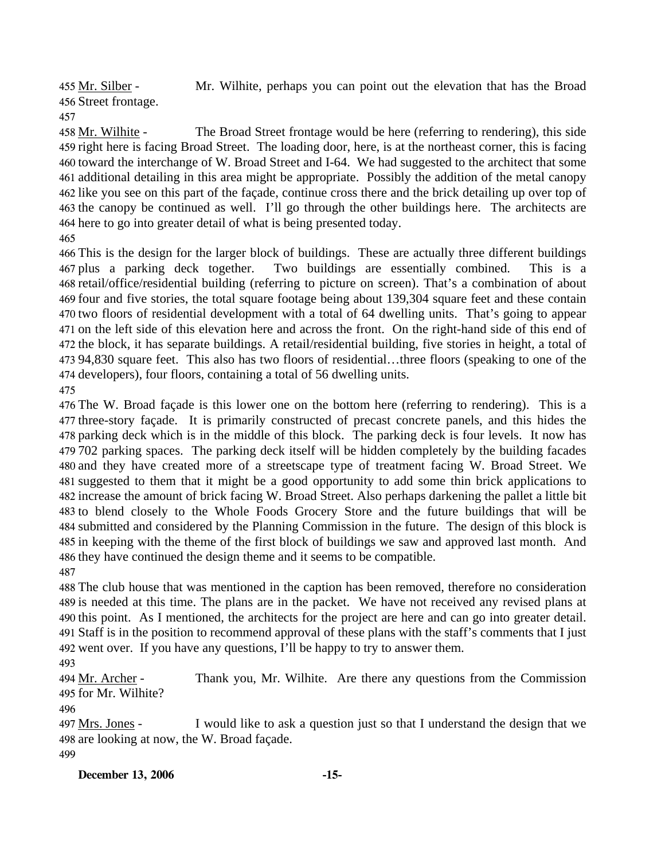Mr. Wilhite, perhaps you can point out the elevation that has the Broad 456 Street frontage. 455 Mr. Silber -

The Broad Street frontage would be here (referring to rendering), this side 459 right here is facing Broad Street. The loading door, here, is at the northeast corner, this is facing 460 toward the interchange of W. Broad Street and I-64. We had suggested to the architect that some 461 additional detailing in this area might be appropriate. Possibly the addition of the metal canopy 462 like you see on this part of the façade, continue cross there and the brick detailing up over top of 463 the canopy be continued as well. I'll go through the other buildings here. The architects are 464 here to go into greater detail of what is being presented today. 458 Mr. Wilhite -

 This is the design for the larger block of buildings. These are actually three different buildings 467 plus a parking deck together. retail/office/residential building (referring to picture on screen). That's a combination of about four and five stories, the total square footage being about 139,304 square feet and these contain two floors of residential development with a total of 64 dwelling units. That's going to appear on the left side of this elevation here and across the front. On the right-hand side of this end of the block, it has separate buildings. A retail/residential building, five stories in height, a total of 94,830 square feet. This also has two floors of residential…three floors (speaking to one of the developers), four floors, containing a total of 56 dwelling units. Two buildings are essentially combined. This is a

 The W. Broad façade is this lower one on the bottom here (referring to rendering). This is a three-story façade. It is primarily constructed of precast concrete panels, and this hides the parking deck which is in the middle of this block. The parking deck is four levels. It now has 702 parking spaces. The parking deck itself will be hidden completely by the building facades and they have created more of a streetscape type of treatment facing W. Broad Street. We suggested to them that it might be a good opportunity to add some thin brick applications to increase the amount of brick facing W. Broad Street. Also perhaps darkening the pallet a little bit to blend closely to the Whole Foods Grocery Store and the future buildings that will be submitted and considered by the Planning Commission in the future. The design of this block is in keeping with the theme of the first block of buildings we saw and approved last month. And they have continued the design theme and it seems to be compatible. 

 The club house that was mentioned in the caption has been removed, therefore no consideration is needed at this time. The plans are in the packet. We have not received any revised plans at this point. As I mentioned, the architects for the project are here and can go into greater detail. Staff is in the position to recommend approval of these plans with the staff's comments that I just went over. If you have any questions, I'll be happy to try to answer them.

Thank you, Mr. Wilhite. Are there any questions from the Commission 495 for Mr. Wilhite? 494 Mr. Archer -

I would like to ask a question just so that I understand the design that we 498 are looking at now, the W. Broad façade. 497 Mrs. Jones -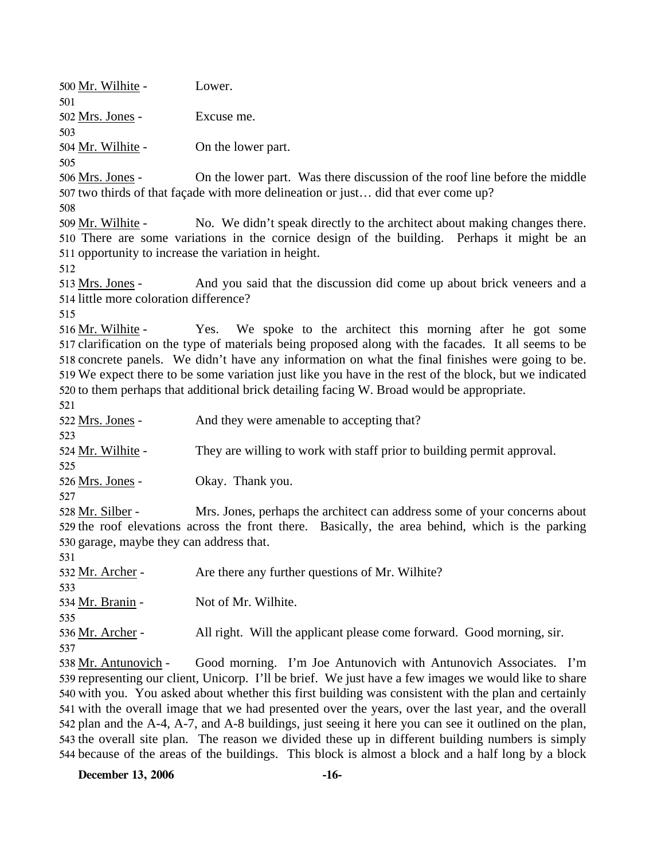500 Mr. Wilhite - Lower. 501 502 Mrs. Jones - Excuse me. 503 504 Mr. Wilhite - On the lower part. 505 On the lower part. Was there discussion of the roof line before the middle 507 two thirds of that façade with more delineation or just... did that ever come up? 506 Mrs. Jones -508 No. We didn't speak directly to the architect about making changes there. 510 There are some variations in the cornice design of the building. Perhaps it might be an 511 opportunity to increase the variation in height. 509 Mr. Wilhite -512 And you said that the discussion did come up about brick veneers and a 514 little more coloration difference? 513 Mrs. Jones -515 Yes. We spoke to the architect this morning after he got some 517 clarification on the type of materials being proposed along with the facades. It all seems to be 518 concrete panels. We didn't have any information on what the final finishes were going to be. We expect there to be some variation just like you have in the rest of the block, but we indicated 519 520 to them perhaps that additional brick detailing facing W. Broad would be appropriate. 516 Mr. Wilhite -521 522 Mrs. Jones - And they were amenable to accepting that? 523 524 Mr. Wilhite - They are willing to work with staff prior to building permit approval. 525 526 Mrs. Jones - Okay. Thank you. 527 Mrs. Jones, perhaps the architect can address some of your concerns about 529 the roof elevations across the front there. Basically, the area behind, which is the parking 530 garage, maybe they can address that. 528 Mr. Silber -531 532 Mr. Archer - Are there any further questions of Mr. Wilhite? 533 534 Mr. Branin - Not of Mr. Wilhite. 535 536 Mr. Archer - All right. Will the applicant please come forward. Good morning, sir. 537 Good morning. I'm Joe Antunovich with Antunovich Associates. I'm 539 representing our client, Unicorp. I'll be brief. We just have a few images we would like to share 540 with you. You asked about whether this first building was consistent with the plan and certainly 541 with the overall image that we had presented over the years, over the last year, and the overall 542 plan and the A-4, A-7, and A-8 buildings, just seeing it here you can see it outlined on the plan, 543 the overall site plan. The reason we divided these up in different building numbers is simply 538 Mr. Antunovich -

**December 13, 2006 -16-**

544 because of the areas of the buildings. This block is almost a block and a half long by a block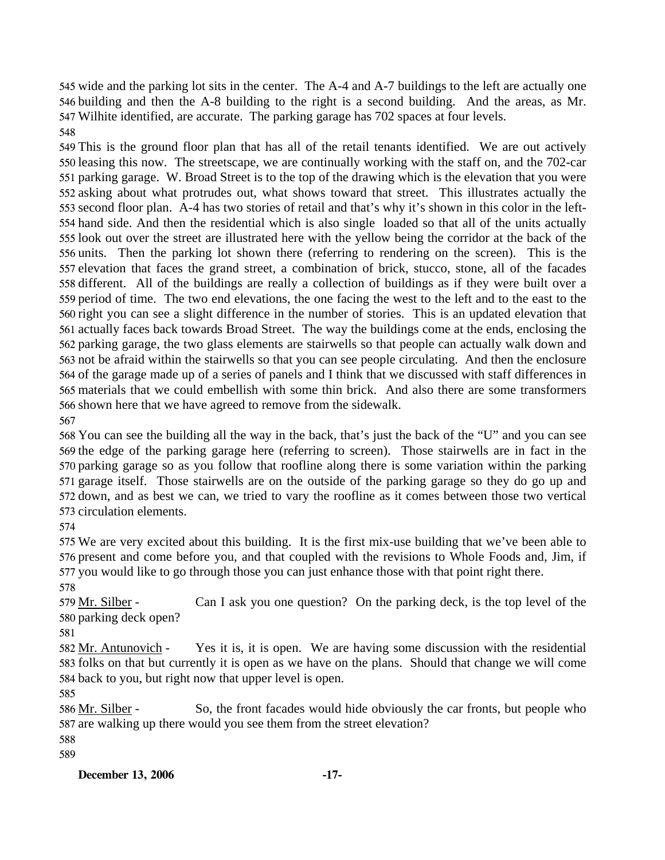wide and the parking lot sits in the center. The A-4 and A-7 buildings to the left are actually one building and then the A-8 building to the right is a second building. And the areas, as Mr. Wilhite identified, are accurate. The parking garage has 702 spaces at four levels. 

 This is the ground floor plan that has all of the retail tenants identified. We are out actively leasing this now. The streetscape, we are continually working with the staff on, and the 702-car parking garage. W. Broad Street is to the top of the drawing which is the elevation that you were asking about what protrudes out, what shows toward that street. This illustrates actually the second floor plan. A-4 has two stories of retail and that's why it's shown in this color in the left- hand side. And then the residential which is also single loaded so that all of the units actually look out over the street are illustrated here with the yellow being the corridor at the back of the units. Then the parking lot shown there (referring to rendering on the screen). This is the elevation that faces the grand street, a combination of brick, stucco, stone, all of the facades different. All of the buildings are really a collection of buildings as if they were built over a period of time. The two end elevations, the one facing the west to the left and to the east to the right you can see a slight difference in the number of stories. This is an updated elevation that actually faces back towards Broad Street. The way the buildings come at the ends, enclosing the parking garage, the two glass elements are stairwells so that people can actually walk down and not be afraid within the stairwells so that you can see people circulating. And then the enclosure of the garage made up of a series of panels and I think that we discussed with staff differences in materials that we could embellish with some thin brick. And also there are some transformers shown here that we have agreed to remove from the sidewalk. 

 You can see the building all the way in the back, that's just the back of the "U" and you can see the edge of the parking garage here (referring to screen). Those stairwells are in fact in the parking garage so as you follow that roofline along there is some variation within the parking garage itself. Those stairwells are on the outside of the parking garage so they do go up and down, and as best we can, we tried to vary the roofline as it comes between those two vertical circulation elements.

 We are very excited about this building. It is the first mix-use building that we've been able to present and come before you, and that coupled with the revisions to Whole Foods and, Jim, if you would like to go through those you can just enhance those with that point right there.

Can I ask you one question? On the parking deck, is the top level of the 580 parking deck open? 579 Mr. Silber -

Yes it is, it is open. We are having some discussion with the residential 583 folks on that but currently it is open as we have on the plans. Should that change we will come 584 back to you, but right now that upper level is open. 582 Mr. Antunovich -

So, the front facades would hide obviously the car fronts, but people who 587 are walking up there would you see them from the street elevation? 586 Mr. Silber -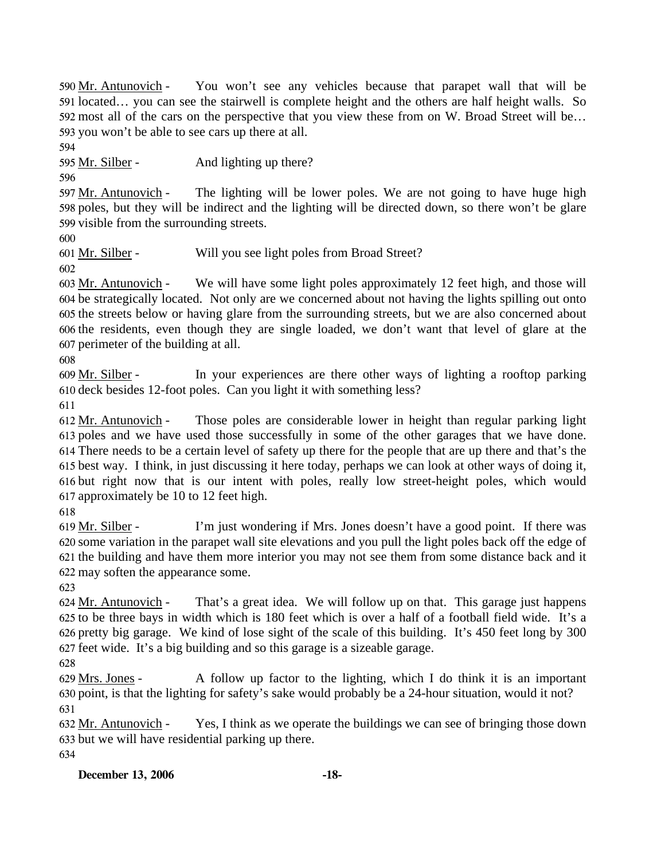You won't see any vehicles because that parapet wall that will be 591 located... you can see the stairwell is complete height and the others are half height walls. So 592 most all of the cars on the perspective that you view these from on W. Broad Street will be... 593 you won't be able to see cars up there at all. 590 Mr. Antunovich -

594

595 Mr. Silber - And lighting up there?

596

The lighting will be lower poles. We are not going to have huge high 598 poles, but they will be indirect and the lighting will be directed down, so there won't be glare 599 visible from the surrounding streets. 597 Mr. Antunovich -

600

601 Mr. Silber - Will you see light poles from Broad Street?

602

We will have some light poles approximately 12 feet high, and those will 604 be strategically located. Not only are we concerned about not having the lights spilling out onto 605 the streets below or having glare from the surrounding streets, but we are also concerned about 606 the residents, even though they are single loaded, we don't want that level of glare at the 607 perimeter of the building at all. 603 Mr. Antunovich -

608

In your experiences are there other ways of lighting a rooftop parking 610 deck besides 12-foot poles. Can you light it with something less? 609 Mr. Silber -

611

Those poles are considerable lower in height than regular parking light 613 poles and we have used those successfully in some of the other garages that we have done. There needs to be a certain level of safety up there for the people that are up there and that's the 614 615 best way. I think, in just discussing it here today, perhaps we can look at other ways of doing it, 616 but right now that is our intent with poles, really low street-height poles, which would 617 approximately be 10 to 12 feet high. 612 Mr. Antunovich -

618

I'm just wondering if Mrs. Jones doesn't have a good point. If there was 620 some variation in the parapet wall site elevations and you pull the light poles back off the edge of 621 the building and have them more interior you may not see them from some distance back and it 622 may soften the appearance some. 619 Mr. Silber -

623

That's a great idea. We will follow up on that. This garage just happens 625 to be three bays in width which is 180 feet which is over a half of a football field wide. It's a 626 pretty big garage. We kind of lose sight of the scale of this building. It's 450 feet long by 300 feet wide. It's a big building and so this garage is a sizeable garage. 627 624 Mr. Antunovich -

628

A follow up factor to the lighting, which I do think it is an important 630 point, is that the lighting for safety's sake would probably be a 24-hour situation, would it not? 629 Mrs. Jones -631

Yes, I think as we operate the buildings we can see of bringing those down 633 but we will have residential parking up there. 632 Mr. Antunovich -634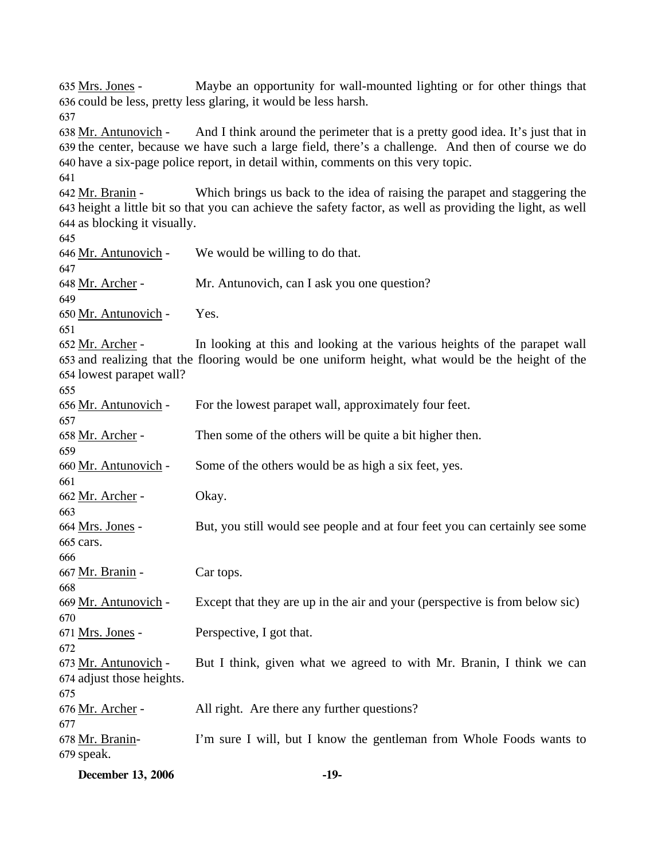Maybe an opportunity for wall-mounted lighting or for other things that 636 could be less, pretty less glaring, it would be less harsh. 635 Mrs. Jones -637 And I think around the perimeter that is a pretty good idea. It's just that in 639 the center, because we have such a large field, there's a challenge. And then of course we do 640 have a six-page police report, in detail within, comments on this very topic. 638 Mr. Antunovich -641 Which brings us back to the idea of raising the parapet and staggering the 643 height a little bit so that you can achieve the safety factor, as well as providing the light, as well 644 as blocking it visually. 642 Mr. Branin -645 646 <u>Mr. Antunovich</u> - We would be willing to do that. 647 648 Mr. Archer - Mr. Antunovich, can I ask you one question? 649 650 Mr. Antunovich - Yes. 651 In looking at this and looking at the various heights of the parapet wall 653 and realizing that the flooring would be one uniform height, what would be the height of the 654 lowest parapet wall? 652 Mr. Archer -655 656 Mr. Antunovich - For the lowest parapet wall, approximately four feet. 657 658 Mr. Archer - Then some of the others will be quite a bit higher then. 659 660 Mr. Antunovich - Some of the others would be as high a six feet, yes. 661 662 Mr. Archer - Okay. 663 But, you still would see people and at four feet you can certainly see some 665 cars. 664 Mrs. Jones -666 667 <u>Mr. Branin</u> - Car tops. 668 669 Mr. Antunovich - Except that they are up in the air and your (perspective is from below sic) 670 671 <u>Mrs. Jones</u> - Perspective, I got that. 672 But I think, given what we agreed to with Mr. Branin, I think we can 674 adjust those heights. 673 Mr. Antunovich -675 676 Mr. Archer - All right. Are there any further questions? 677 I'm sure I will, but I know the gentleman from Whole Foods wants to 679 speak. 678 Mr. Branin-

|  | <b>December 13, 2006</b> | -19- |
|--|--------------------------|------|
|--|--------------------------|------|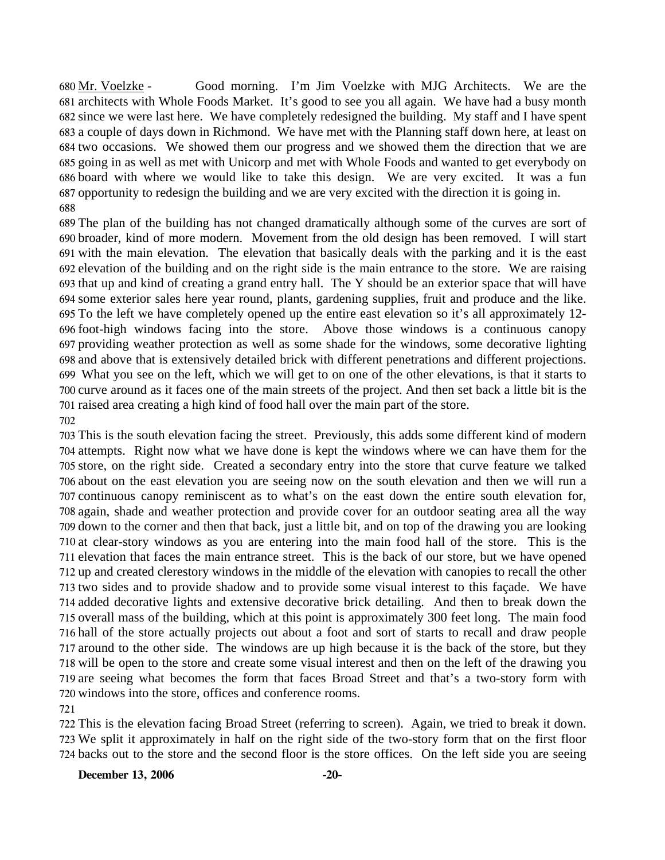Good morning. I'm Jim Voelzke with MJG Architects. We are the 681 architects with Whole Foods Market. It's good to see you all again. We have had a busy month 682 since we were last here. We have completely redesigned the building. My staff and I have spent 683 a couple of days down in Richmond. We have met with the Planning staff down here, at least on 684 two occasions. We showed them our progress and we showed them the direction that we are 685 going in as well as met with Unicorp and met with Whole Foods and wanted to get everybody on 686 board with where we would like to take this design. We are very excited. It was a fun 687 opportunity to redesign the building and we are very excited with the direction it is going in. 680 Mr. Voelzke -

 The plan of the building has not changed dramatically although some of the curves are sort of broader, kind of more modern. Movement from the old design has been removed. I will start with the main elevation. The elevation that basically deals with the parking and it is the east elevation of the building and on the right side is the main entrance to the store. We are raising that up and kind of creating a grand entry hall. The Y should be an exterior space that will have some exterior sales here year round, plants, gardening supplies, fruit and produce and the like. To the left we have completely opened up the entire east elevation so it's all approximately 12- foot-high windows facing into the store. Above those windows is a continuous canopy providing weather protection as well as some shade for the windows, some decorative lighting and above that is extensively detailed brick with different penetrations and different projections. What you see on the left, which we will get to on one of the other elevations, is that it starts to curve around as it faces one of the main streets of the project. And then set back a little bit is the raised area creating a high kind of food hall over the main part of the store. 

 This is the south elevation facing the street. Previously, this adds some different kind of modern attempts. Right now what we have done is kept the windows where we can have them for the store, on the right side. Created a secondary entry into the store that curve feature we talked about on the east elevation you are seeing now on the south elevation and then we will run a continuous canopy reminiscent as to what's on the east down the entire south elevation for, again, shade and weather protection and provide cover for an outdoor seating area all the way down to the corner and then that back, just a little bit, and on top of the drawing you are looking at clear-story windows as you are entering into the main food hall of the store. This is the elevation that faces the main entrance street. This is the back of our store, but we have opened up and created clerestory windows in the middle of the elevation with canopies to recall the other two sides and to provide shadow and to provide some visual interest to this façade. We have added decorative lights and extensive decorative brick detailing. And then to break down the overall mass of the building, which at this point is approximately 300 feet long. The main food hall of the store actually projects out about a foot and sort of starts to recall and draw people around to the other side. The windows are up high because it is the back of the store, but they will be open to the store and create some visual interest and then on the left of the drawing you are seeing what becomes the form that faces Broad Street and that's a two-story form with windows into the store, offices and conference rooms. 

 This is the elevation facing Broad Street (referring to screen). Again, we tried to break it down. We split it approximately in half on the right side of the two-story form that on the first floor backs out to the store and the second floor is the store offices. On the left side you are seeing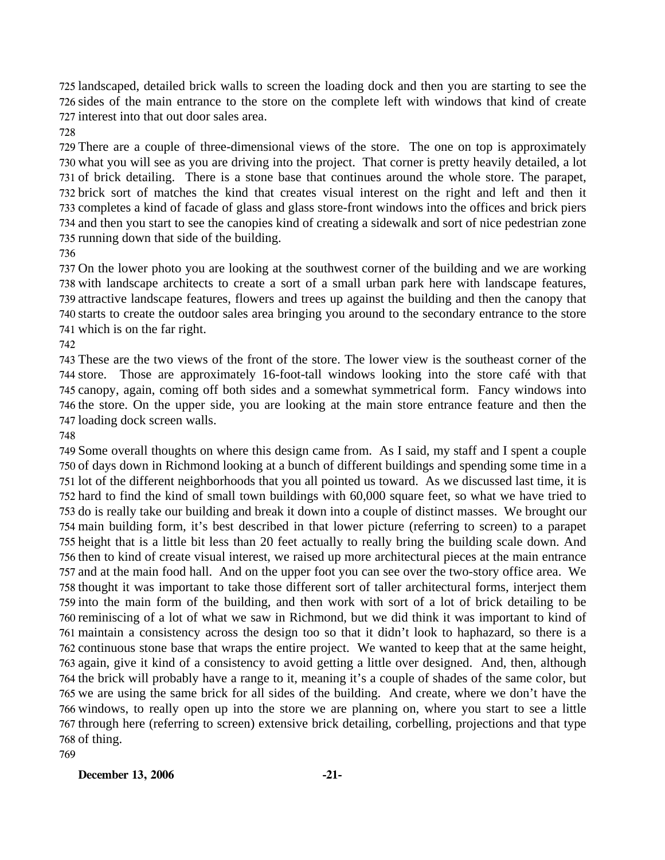landscaped, detailed brick walls to screen the loading dock and then you are starting to see the sides of the main entrance to the store on the complete left with windows that kind of create interest into that out door sales area.

 There are a couple of three-dimensional views of the store. The one on top is approximately what you will see as you are driving into the project. That corner is pretty heavily detailed, a lot of brick detailing. There is a stone base that continues around the whole store. The parapet, brick sort of matches the kind that creates visual interest on the right and left and then it completes a kind of facade of glass and glass store-front windows into the offices and brick piers and then you start to see the canopies kind of creating a sidewalk and sort of nice pedestrian zone running down that side of the building.

 On the lower photo you are looking at the southwest corner of the building and we are working with landscape architects to create a sort of a small urban park here with landscape features, attractive landscape features, flowers and trees up against the building and then the canopy that starts to create the outdoor sales area bringing you around to the secondary entrance to the store which is on the far right.

 These are the two views of the front of the store. The lower view is the southeast corner of the store. Those are approximately 16-foot-tall windows looking into the store café with that canopy, again, coming off both sides and a somewhat symmetrical form. Fancy windows into the store. On the upper side, you are looking at the main store entrance feature and then the loading dock screen walls.

 Some overall thoughts on where this design came from. As I said, my staff and I spent a couple of days down in Richmond looking at a bunch of different buildings and spending some time in a lot of the different neighborhoods that you all pointed us toward. As we discussed last time, it is hard to find the kind of small town buildings with 60,000 square feet, so what we have tried to do is really take our building and break it down into a couple of distinct masses. We brought our main building form, it's best described in that lower picture (referring to screen) to a parapet height that is a little bit less than 20 feet actually to really bring the building scale down. And then to kind of create visual interest, we raised up more architectural pieces at the main entrance and at the main food hall. And on the upper foot you can see over the two-story office area. We thought it was important to take those different sort of taller architectural forms, interject them into the main form of the building, and then work with sort of a lot of brick detailing to be reminiscing of a lot of what we saw in Richmond, but we did think it was important to kind of maintain a consistency across the design too so that it didn't look to haphazard, so there is a continuous stone base that wraps the entire project. We wanted to keep that at the same height, again, give it kind of a consistency to avoid getting a little over designed. And, then, although the brick will probably have a range to it, meaning it's a couple of shades of the same color, but we are using the same brick for all sides of the building. And create, where we don't have the windows, to really open up into the store we are planning on, where you start to see a little through here (referring to screen) extensive brick detailing, corbelling, projections and that type of thing.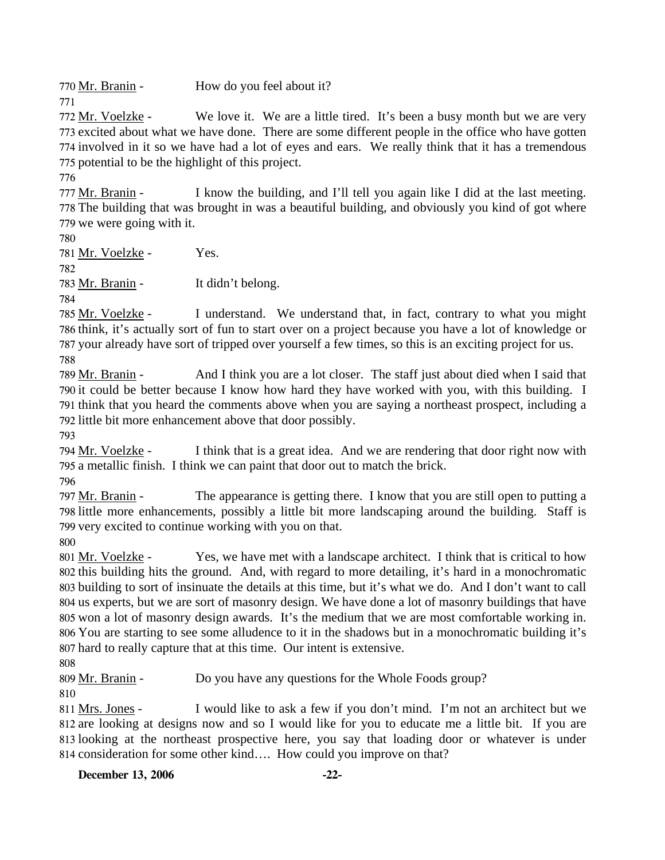770 <u>Mr. Branin</u> - How do you feel about it?

We love it. We are a little tired. It's been a busy month but we are very 773 excited about what we have done. There are some different people in the office who have gotten 774 involved in it so we have had a lot of eyes and ears. We really think that it has a tremendous 775 potential to be the highlight of this project. 772 Mr. Voelzke -

776

771

I know the building, and I'll tell you again like I did at the last meeting. 778 The building that was brought in was a beautiful building, and obviously you kind of got where 779 we were going with it. 777 Mr. Branin -

780

781 Mr. Voelzke - Yes. 782 783 Mr. Branin - It didn't belong. 784

I understand. We understand that, in fact, contrary to what you might 786 think, it's actually sort of fun to start over on a project because you have a lot of knowledge or 787 your already have sort of tripped over yourself a few times, so this is an exciting project for us. 785 Mr. Voelzke -788

And I think you are a lot closer. The staff just about died when I said that 790 it could be better because I know how hard they have worked with you, with this building. I 791 think that you heard the comments above when you are saying a northeast prospect, including a 792 little bit more enhancement above that door possibly. 789 Mr. Branin -

793

I think that is a great idea. And we are rendering that door right now with 795 a metallic finish. I think we can paint that door out to match the brick. 794 Mr. Voelzke -

796

The appearance is getting there. I know that you are still open to putting a 798 little more enhancements, possibly a little bit more landscaping around the building. Staff is 799 very excited to continue working with you on that. 797 Mr. Branin -

800

Yes, we have met with a landscape architect. I think that is critical to how 802 this building hits the ground. And, with regard to more detailing, it's hard in a monochromatic 803 building to sort of insinuate the details at this time, but it's what we do. And I don't want to call 804 us experts, but we are sort of masonry design. We have done a lot of masonry buildings that have 805 won a lot of masonry design awards. It's the medium that we are most comfortable working in. You are starting to see some alludence to it in the shadows but in a monochromatic building it's 806 807 hard to really capture that at this time. Our intent is extensive. 801 Mr. Voelzke -

808

809 Mr. Branin - Do you have any questions for the Whole Foods group?

810

I would like to ask a few if you don't mind. I'm not an architect but we 812 are looking at designs now and so I would like for you to educate me a little bit. If you are 813 looking at the northeast prospective here, you say that loading door or whatever is under 814 consideration for some other kind.... How could you improve on that? 811 Mrs. Jones -

**December 13, 2006** -22-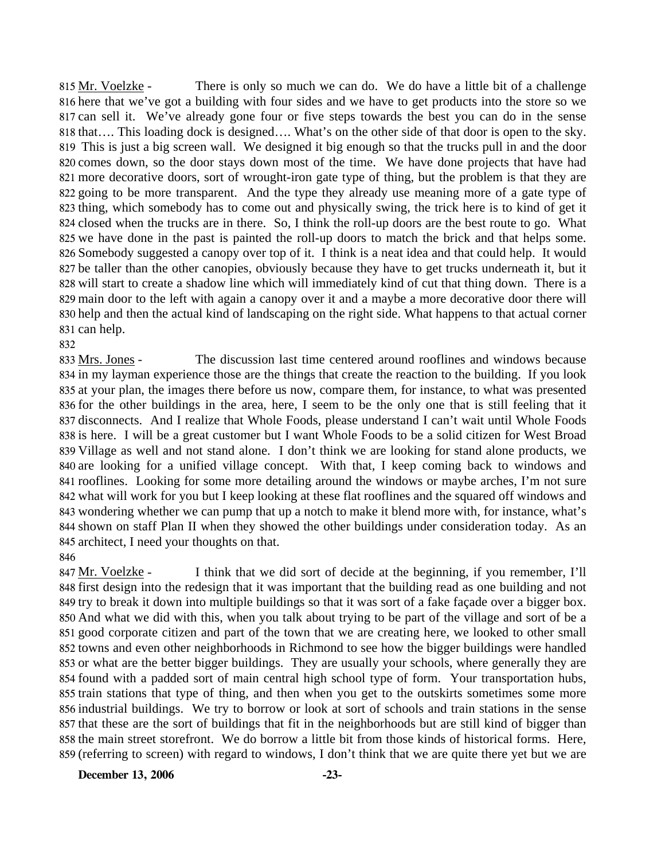There is only so much we can do. We do have a little bit of a challenge 816 here that we've got a building with four sides and we have to get products into the store so we 817 can sell it. We've already gone four or five steps towards the best you can do in the sense 818 that.... This loading dock is designed.... What's on the other side of that door is open to the sky. This is just a big screen wall. We designed it big enough so that the trucks pull in and the door 819 820 comes down, so the door stays down most of the time. We have done projects that have had 821 more decorative doors, sort of wrought-iron gate type of thing, but the problem is that they are 822 going to be more transparent. And the type they already use meaning more of a gate type of 823 thing, which somebody has to come out and physically swing, the trick here is to kind of get it 824 closed when the trucks are in there. So, I think the roll-up doors are the best route to go. What 825 we have done in the past is painted the roll-up doors to match the brick and that helps some. 826 Somebody suggested a canopy over top of it. I think is a neat idea and that could help. It would 827 be taller than the other canopies, obviously because they have to get trucks underneath it, but it 828 will start to create a shadow line which will immediately kind of cut that thing down. There is a 829 main door to the left with again a canopy over it and a maybe a more decorative door there will 830 help and then the actual kind of landscaping on the right side. What happens to that actual corner 831 can help. 815 Mr. Voelzke -

#### 832

The discussion last time centered around rooflines and windows because 834 in my layman experience those are the things that create the reaction to the building. If you look 835 at your plan, the images there before us now, compare them, for instance, to what was presented 836 for the other buildings in the area, here, I seem to be the only one that is still feeling that it 837 disconnects. And I realize that Whole Foods, please understand I can't wait until Whole Foods 838 is here. I will be a great customer but I want Whole Foods to be a solid citizen for West Broad 839 Village as well and not stand alone. I don't think we are looking for stand alone products, we 840 are looking for a unified village concept. With that, I keep coming back to windows and 841 rooflines. Looking for some more detailing around the windows or maybe arches, I'm not sure 842 what will work for you but I keep looking at these flat rooflines and the squared off windows and 843 wondering whether we can pump that up a notch to make it blend more with, for instance, what's 844 shown on staff Plan II when they showed the other buildings under consideration today. As an 845 architect, I need your thoughts on that. 833 Mrs. Jones -

#### 846

I think that we did sort of decide at the beginning, if you remember, I'll 848 first design into the redesign that it was important that the building read as one building and not 849 try to break it down into multiple buildings so that it was sort of a fake façade over a bigger box. 850 And what we did with this, when you talk about trying to be part of the village and sort of be a 851 good corporate citizen and part of the town that we are creating here, we looked to other small 852 towns and even other neighborhoods in Richmond to see how the bigger buildings were handled 853 or what are the better bigger buildings. They are usually your schools, where generally they are 854 found with a padded sort of main central high school type of form. Your transportation hubs, 855 train stations that type of thing, and then when you get to the outskirts sometimes some more 856 industrial buildings. We try to borrow or look at sort of schools and train stations in the sense 857 that these are the sort of buildings that fit in the neighborhoods but are still kind of bigger than 858 the main street storefront. We do borrow a little bit from those kinds of historical forms. Here, 859 (referring to screen) with regard to windows, I don't think that we are quite there yet but we are 847 Mr. Voelzke -

**December 13, 2006 -23-**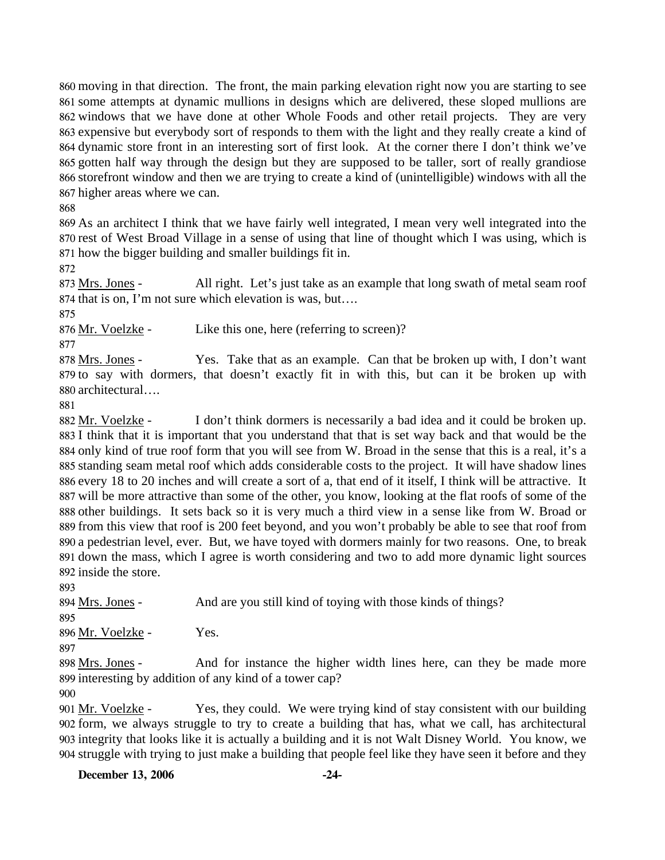moving in that direction. The front, the main parking elevation right now you are starting to see some attempts at dynamic mullions in designs which are delivered, these sloped mullions are windows that we have done at other Whole Foods and other retail projects. They are very expensive but everybody sort of responds to them with the light and they really create a kind of dynamic store front in an interesting sort of first look. At the corner there I don't think we've gotten half way through the design but they are supposed to be taller, sort of really grandiose storefront window and then we are trying to create a kind of (unintelligible) windows with all the higher areas where we can.

868

869 As an architect I think that we have fairly well integrated, I mean very well integrated into the 870 rest of West Broad Village in a sense of using that line of thought which I was using, which is 871 how the bigger building and smaller buildings fit in.

872

All right. Let's just take as an example that long swath of metal seam roof 874 that is on, I'm not sure which elevation is was, but.... 873 Mrs. Jones -

875

876 Mr. Voelzke - Like this one, here (referring to screen)?

877

Yes. Take that as an example. Can that be broken up with, I don't want 879 to say with dormers, that doesn't exactly fit in with this, but can it be broken up with architectural…. 880 878 Mrs. Jones -

881

I don't think dormers is necessarily a bad idea and it could be broken up. 883 I think that it is important that you understand that that is set way back and that would be the 884 only kind of true roof form that you will see from W. Broad in the sense that this is a real, it's a standing seam metal roof which adds considerable costs to the project. It will have shadow lines 885 886 every 18 to 20 inches and will create a sort of a, that end of it itself, I think will be attractive. It 887 will be more attractive than some of the other, you know, looking at the flat roofs of some of the 888 other buildings. It sets back so it is very much a third view in a sense like from W. Broad or 889 from this view that roof is 200 feet beyond, and you won't probably be able to see that roof from 890 a pedestrian level, ever. But, we have toyed with dormers mainly for two reasons. One, to break 891 down the mass, which I agree is worth considering and two to add more dynamic light sources 892 inside the store. 882 Mr. Voelzke -

893

894 Mrs. Jones - And are you still kind of toying with those kinds of things?

895

896 Mr. Voelzke - Yes.

897

And for instance the higher width lines here, can they be made more 899 interesting by addition of any kind of a tower cap? 898 Mrs. Jones -

900

Yes, they could. We were trying kind of stay consistent with our building form, we always struggle to try to create a building that has, what we call, has architectural 902 903 integrity that looks like it is actually a building and it is not Walt Disney World. You know, we struggle with trying to just make a building that people feel like they have seen it before and they 904 901 Mr. Voelzke -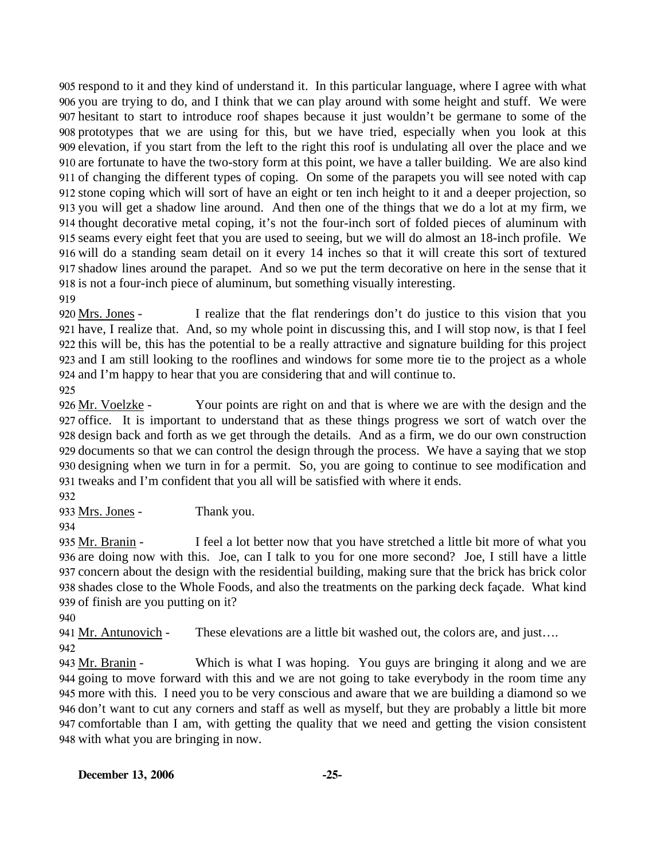respond to it and they kind of understand it. In this particular language, where I agree with what you are trying to do, and I think that we can play around with some height and stuff. We were hesitant to start to introduce roof shapes because it just wouldn't be germane to some of the prototypes that we are using for this, but we have tried, especially when you look at this elevation, if you start from the left to the right this roof is undulating all over the place and we are fortunate to have the two-story form at this point, we have a taller building. We are also kind of changing the different types of coping. On some of the parapets you will see noted with cap stone coping which will sort of have an eight or ten inch height to it and a deeper projection, so you will get a shadow line around. And then one of the things that we do a lot at my firm, we thought decorative metal coping, it's not the four-inch sort of folded pieces of aluminum with seams every eight feet that you are used to seeing, but we will do almost an 18-inch profile. We will do a standing seam detail on it every 14 inches so that it will create this sort of textured shadow lines around the parapet. And so we put the term decorative on here in the sense that it is not a four-inch piece of aluminum, but something visually interesting.

919

I realize that the flat renderings don't do justice to this vision that you 921 have, I realize that. And, so my whole point in discussing this, and I will stop now, is that I feel 922 this will be, this has the potential to be a really attractive and signature building for this project 923 and I am still looking to the rooflines and windows for some more tie to the project as a whole 924 and I'm happy to hear that you are considering that and will continue to. 920 Mrs. Jones -

925

Your points are right on and that is where we are with the design and the 927 office. It is important to understand that as these things progress we sort of watch over the 928 design back and forth as we get through the details. And as a firm, we do our own construction 929 documents so that we can control the design through the process. We have a saying that we stop 930 designing when we turn in for a permit. So, you are going to continue to see modification and 931 tweaks and I'm confident that you all will be satisfied with where it ends. 926 Mr. Voelzke -

932

933 Mrs. Jones - Thank you.

934

I feel a lot better now that you have stretched a little bit more of what you 936 are doing now with this. Joe, can I talk to you for one more second? Joe, I still have a little 937 concern about the design with the residential building, making sure that the brick has brick color 938 shades close to the Whole Foods, and also the treatments on the parking deck façade. What kind 939 of finish are you putting on it? 935 Mr. Branin -

940

941 Mr. Antunovich - These elevations are a little bit washed out, the colors are, and just....

942

Which is what I was hoping. You guys are bringing it along and we are 944 going to move forward with this and we are not going to take everybody in the room time any 945 more with this. I need you to be very conscious and aware that we are building a diamond so we 946 don't want to cut any corners and staff as well as myself, but they are probably a little bit more 947 comfortable than I am, with getting the quality that we need and getting the vision consistent 948 with what you are bringing in now. 943 Mr. Branin -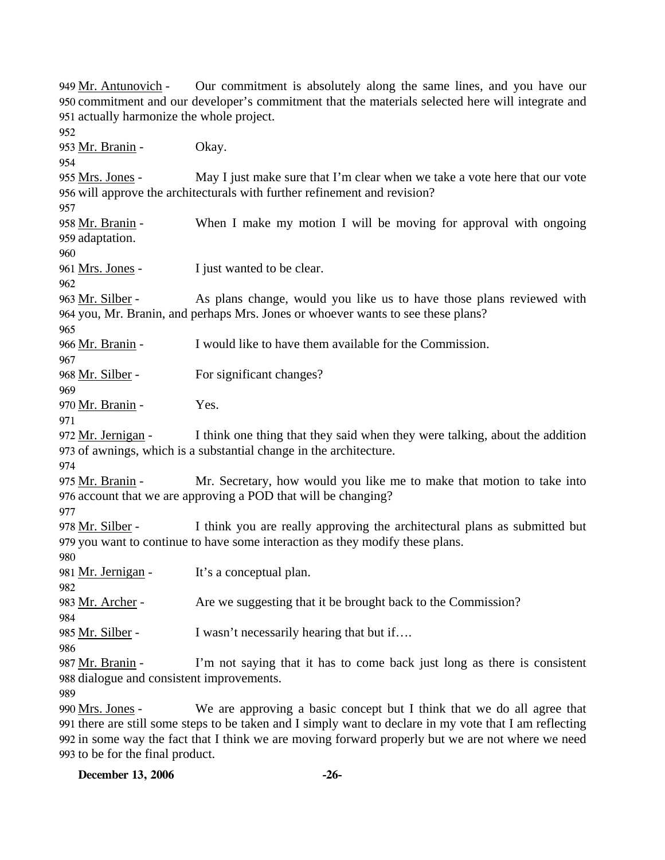Our commitment is absolutely along the same lines, and you have our 950 commitment and our developer's commitment that the materials selected here will integrate and 951 actually harmonize the whole project. 949 Mr. Antunovich -952 953 Mr. Branin - Okay. 954 May I just make sure that I'm clear when we take a vote here that our vote 956 will approve the architecturals with further refinement and revision? 955 Mrs. Jones -957 When I make my motion I will be moving for approval with ongoing 959 adaptation. 958 Mr. Branin -960 961 <u>Mrs. Jones</u> - I just wanted to be clear. 962 As plans change, would you like us to have those plans reviewed with 964 you, Mr. Branin, and perhaps Mrs. Jones or whoever wants to see these plans? 963 Mr. Silber -965 966 Mr. Branin - I would like to have them available for the Commission. 967 968 Mr. Silber - For significant changes? 969 970 Mr. Branin - Yes. 971 I think one thing that they said when they were talking, about the addition 973 of awnings, which is a substantial change in the architecture. 972 Mr. Jernigan -974 Mr. Secretary, how would you like me to make that motion to take into 976 account that we are approving a POD that will be changing? 975 Mr. Branin -977 I think you are really approving the architectural plans as submitted but 979 you want to continue to have some interaction as they modify these plans. 978 Mr. Silber -980 981 <u>Mr. Jernigan</u> - It's a conceptual plan. 982 983 Mr. Archer - Are we suggesting that it be brought back to the Commission? 984 985 Mr. Silber - I wasn't necessarily hearing that but if…. 986 I'm not saying that it has to come back just long as there is consistent 988 dialogue and consistent improvements. 987 Mr. Branin -989 We are approving a basic concept but I think that we do all agree that 990 Mrs. Jones -

991 there are still some steps to be taken and I simply want to declare in my vote that I am reflecting 992 in some way the fact that I think we are moving forward properly but we are not where we need 993 to be for the final product.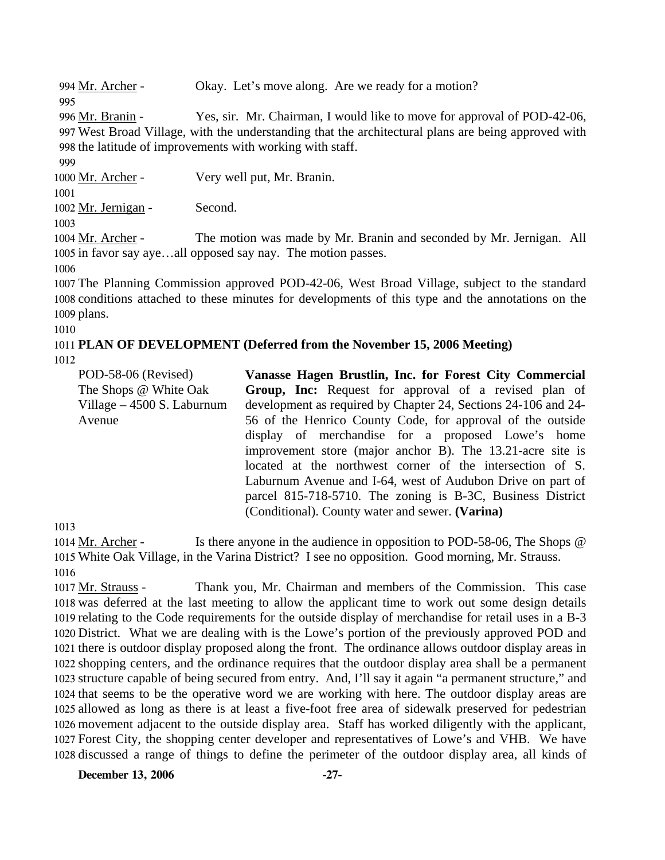994 Mr. Archer - Okay. Let's move along. Are we ready for a motion? 995

Yes, sir. Mr. Chairman, I would like to move for approval of POD-42-06, West Broad Village, with the understanding that the architectural plans are being approved with 997 998 the latitude of improvements with working with staff. 996 Mr. Branin -

999 1000 Mr. Archer - Very well put, Mr. Branin.

1001

1002 Mr. Jernigan - Second.

1003

The motion was made by Mr. Branin and seconded by Mr. Jernigan. All 1005 in favor say aye...all opposed say nay. The motion passes. 1004 Mr. Archer -

1006

1007 The Planning Commission approved POD-42-06, West Broad Village, subject to the standard 1008 conditions attached to these minutes for developments of this type and the annotations on the 1009 plans.

1010

# 1011 **PLAN OF DEVELOPMENT (Deferred from the November 15, 2006 Meeting)**

1012

POD-58-06 (Revised) The Shops @ White Oak Village – 4500 S. Laburnum Avenue **Vanasse Hagen Brustlin, Inc. for Forest City Commercial Group, Inc:** Request for approval of a revised plan of development as required by Chapter 24, Sections 24-106 and 24- 56 of the Henrico County Code, for approval of the outside display of merchandise for a proposed Lowe's home improvement store (major anchor B). The 13.21-acre site is located at the northwest corner of the intersection of S. Laburnum Avenue and I-64, west of Audubon Drive on part of parcel 815-718-5710. The zoning is B-3C, Business District (Conditional). County water and sewer. **(Varina)** 

1013

Is there anyone in the audience in opposition to POD-58-06, The Shops  $\omega$ White Oak Village, in the Varina District? I see no opposition. Good morning, Mr. Strauss. 1015 1014 Mr. Archer -1016

Thank you, Mr. Chairman and members of the Commission. This case 1018 was deferred at the last meeting to allow the applicant time to work out some design details 1019 relating to the Code requirements for the outside display of merchandise for retail uses in a B-3 1020 District. What we are dealing with is the Lowe's portion of the previously approved POD and 1021 there is outdoor display proposed along the front. The ordinance allows outdoor display areas in 1022 shopping centers, and the ordinance requires that the outdoor display area shall be a permanent 1023 structure capable of being secured from entry. And, I'll say it again "a permanent structure," and 1024 that seems to be the operative word we are working with here. The outdoor display areas are 1025 allowed as long as there is at least a five-foot free area of sidewalk preserved for pedestrian 1026 movement adjacent to the outside display area. Staff has worked diligently with the applicant, Forest City, the shopping center developer and representatives of Lowe's and VHB. We have 1027 1028 discussed a range of things to define the perimeter of the outdoor display area, all kinds of 1017 Mr. Strauss -

**December 13, 2006 -27-**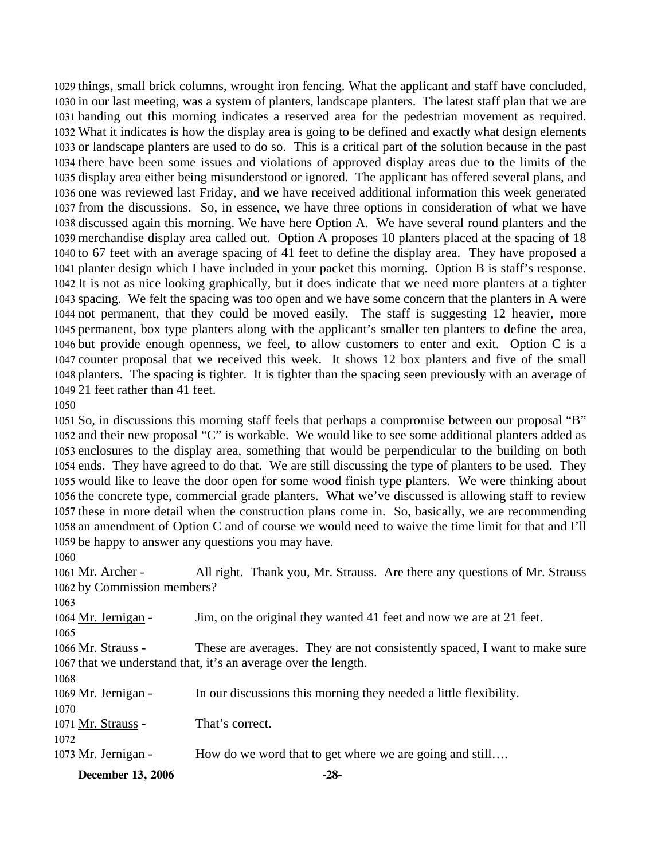things, small brick columns, wrought iron fencing. What the applicant and staff have concluded, in our last meeting, was a system of planters, landscape planters. The latest staff plan that we are handing out this morning indicates a reserved area for the pedestrian movement as required. What it indicates is how the display area is going to be defined and exactly what design elements or landscape planters are used to do so. This is a critical part of the solution because in the past there have been some issues and violations of approved display areas due to the limits of the display area either being misunderstood or ignored. The applicant has offered several plans, and one was reviewed last Friday, and we have received additional information this week generated from the discussions. So, in essence, we have three options in consideration of what we have discussed again this morning. We have here Option A. We have several round planters and the merchandise display area called out. Option A proposes 10 planters placed at the spacing of 18 to 67 feet with an average spacing of 41 feet to define the display area. They have proposed a planter design which I have included in your packet this morning. Option B is staff's response. It is not as nice looking graphically, but it does indicate that we need more planters at a tighter spacing. We felt the spacing was too open and we have some concern that the planters in A were not permanent, that they could be moved easily. The staff is suggesting 12 heavier, more permanent, box type planters along with the applicant's smaller ten planters to define the area, but provide enough openness, we feel, to allow customers to enter and exit. Option C is a counter proposal that we received this week. It shows 12 box planters and five of the small planters. The spacing is tighter. It is tighter than the spacing seen previously with an average of 21 feet rather than 41 feet.

 So, in discussions this morning staff feels that perhaps a compromise between our proposal "B" and their new proposal "C" is workable. We would like to see some additional planters added as enclosures to the display area, something that would be perpendicular to the building on both ends. They have agreed to do that. We are still discussing the type of planters to be used. They would like to leave the door open for some wood finish type planters. We were thinking about the concrete type, commercial grade planters. What we've discussed is allowing staff to review these in more detail when the construction plans come in. So, basically, we are recommending an amendment of Option C and of course we would need to waive the time limit for that and I'll be happy to answer any questions you may have.

All right. Thank you, Mr. Strauss. Are there any questions of Mr. Strauss 1062 by Commission members? 1061 Mr. Archer -

**December 13, 2006 -28-** Mr. Jernigan - Jim, on the original they wanted 41 feet and now we are at 21 feet. These are averages. They are not consistently spaced, I want to make sure 1067 that we understand that, it's an average over the length. 1066 Mr. Strauss - Mr. Jernigan - In our discussions this morning they needed a little flexibility. 1071 Mr. Strauss - That's correct. 1073 Mr. Jernigan - How do we word that to get where we are going and still….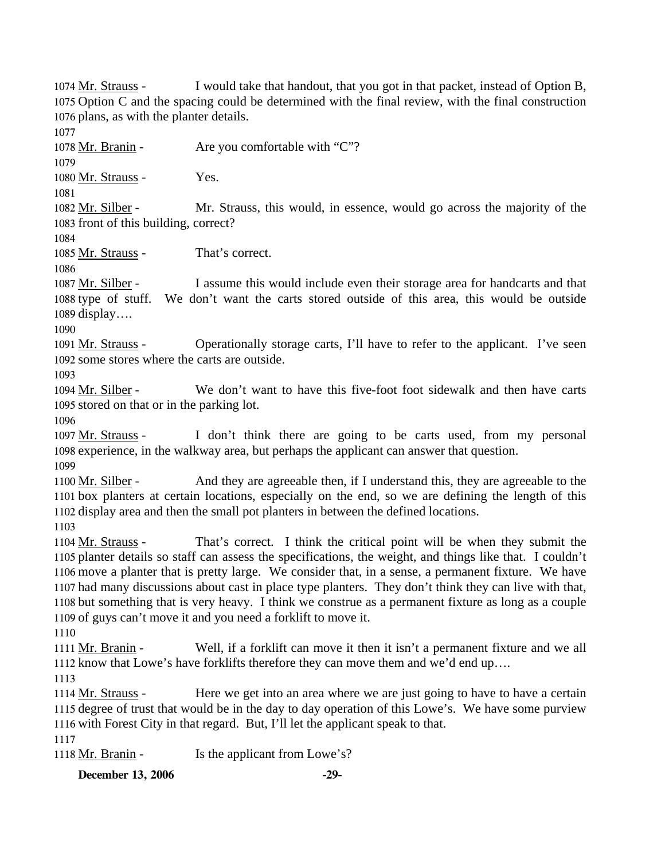I would take that handout, that you got in that packet, instead of Option B, 1075 Option C and the spacing could be determined with the final review, with the final construction 1076 plans, as with the planter details. 1074 Mr. Strauss -

1077

1078 Mr. Branin - Are you comfortable with "C"?

1079

1080 Mr. Strauss - Yes.

1081

Mr. Strauss, this would, in essence, would go across the majority of the 1083 front of this building, correct? 1082 Mr. Silber -

1084

1085 Mr. Strauss - That's correct.

1086

I assume this would include even their storage area for handcarts and that 1088 type of stuff. We don't want the carts stored outside of this area, this would be outside 1089 display.... 1087 Mr. Silber -

1090

Operationally storage carts, I'll have to refer to the applicant. I've seen 1092 some stores where the carts are outside. 1091 Mr. Strauss -

1093

We don't want to have this five-foot foot sidewalk and then have carts 1095 stored on that or in the parking lot. 1094 Mr. Silber -

1096

I don't think there are going to be carts used, from my personal 1098 experience, in the walkway area, but perhaps the applicant can answer that question. 1097 Mr. Strauss -1099

And they are agreeable then, if I understand this, they are agreeable to the 1101 box planters at certain locations, especially on the end, so we are defining the length of this 1102 display area and then the small pot planters in between the defined locations. 1100 Mr. Silber -

1103

That's correct. I think the critical point will be when they submit the 1105 planter details so staff can assess the specifications, the weight, and things like that. I couldn't 1106 move a planter that is pretty large. We consider that, in a sense, a permanent fixture. We have 1107 had many discussions about cast in place type planters. They don't think they can live with that, 1108 but something that is very heavy. I think we construe as a permanent fixture as long as a couple 1109 of guys can't move it and you need a forklift to move it. 1104 Mr. Strauss -

1110

Well, if a forklift can move it then it isn't a permanent fixture and we all 1112 know that Lowe's have forklifts therefore they can move them and we'd end up.... 1111 Mr. Branin -

1113

Here we get into an area where we are just going to have to have a certain 1115 degree of trust that would be in the day to day operation of this Lowe's. We have some purview 1116 with Forest City in that regard. But, I'll let the applicant speak to that. 1114 Mr. Strauss -

1117

1118 Mr. Branin - Is the applicant from Lowe's?

**December 13, 2006 -29-**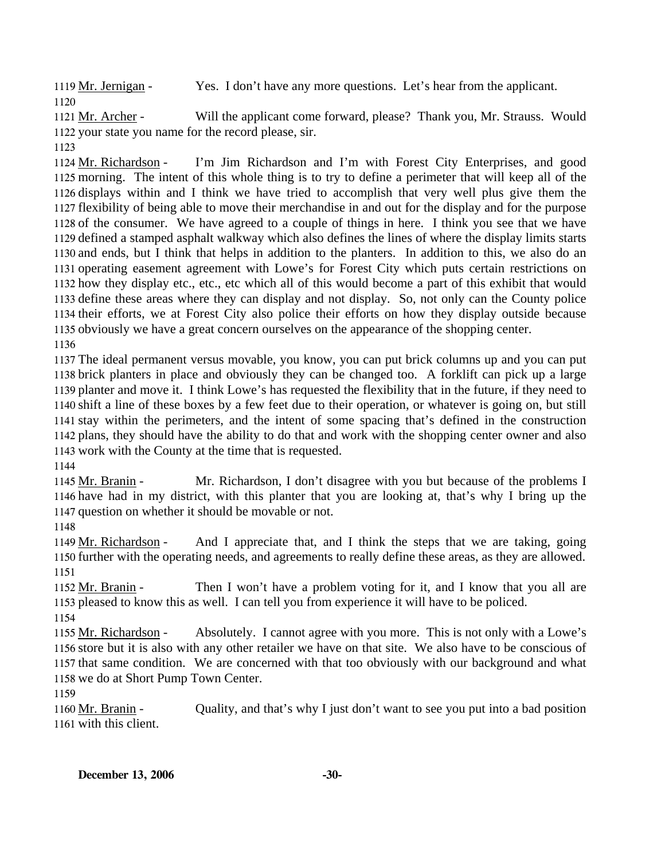1119 Mr. Jernigan - Yes. I don't have any more questions. Let's hear from the applicant. 1120

Will the applicant come forward, please? Thank you, Mr. Strauss. Would 1122 your state you name for the record please, sir. 1121 Mr. Archer -

1123

I'm Jim Richardson and I'm with Forest City Enterprises, and good 1125 morning. The intent of this whole thing is to try to define a perimeter that will keep all of the 1126 displays within and I think we have tried to accomplish that very well plus give them the 1127 flexibility of being able to move their merchandise in and out for the display and for the purpose 1128 of the consumer. We have agreed to a couple of things in here. I think you see that we have 1129 defined a stamped asphalt walkway which also defines the lines of where the display limits starts 1130 and ends, but I think that helps in addition to the planters. In addition to this, we also do an 1131 operating easement agreement with Lowe's for Forest City which puts certain restrictions on 1132 how they display etc., etc., etc which all of this would become a part of this exhibit that would 1133 define these areas where they can display and not display. So, not only can the County police 1134 their efforts, we at Forest City also police their efforts on how they display outside because 1135 obviously we have a great concern ourselves on the appearance of the shopping center. 1124 Mr. Richardson -1136

 The ideal permanent versus movable, you know, you can put brick columns up and you can put brick planters in place and obviously they can be changed too. A forklift can pick up a large planter and move it. I think Lowe's has requested the flexibility that in the future, if they need to shift a line of these boxes by a few feet due to their operation, or whatever is going on, but still stay within the perimeters, and the intent of some spacing that's defined in the construction plans, they should have the ability to do that and work with the shopping center owner and also work with the County at the time that is requested.

1144

Mr. Richardson, I don't disagree with you but because of the problems I 1146 have had in my district, with this planter that you are looking at, that's why I bring up the 1147 question on whether it should be movable or not. 1145 Mr. Branin -

1148

And I appreciate that, and I think the steps that we are taking, going 1150 further with the operating needs, and agreements to really define these areas, as they are allowed. 1149 Mr. Richardson -1151

Then I won't have a problem voting for it, and I know that you all are 1153 pleased to know this as well. I can tell you from experience it will have to be policed. 1152 Mr. Branin -1154

Absolutely. I cannot agree with you more. This is not only with a Lowe's 1156 store but it is also with any other retailer we have on that site. We also have to be conscious of 1157 that same condition. We are concerned with that too obviously with our background and what 1158 we do at Short Pump Town Center. 1155 Mr. Richardson -

1159

Quality, and that's why I just don't want to see you put into a bad position 1161 with this client. 1160 Mr. Branin -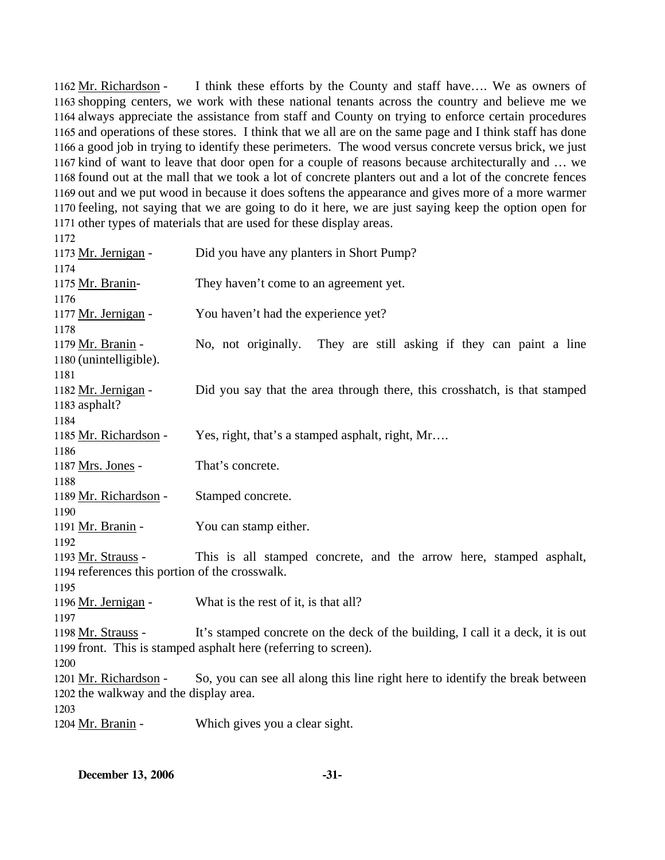I think these efforts by the County and staff have.... We as owners of 1163 shopping centers, we work with these national tenants across the country and believe me we 1164 always appreciate the assistance from staff and County on trying to enforce certain procedures 1165 and operations of these stores. I think that we all are on the same page and I think staff has done 1166 a good job in trying to identify these perimeters. The wood versus concrete versus brick, we just 1167 kind of want to leave that door open for a couple of reasons because architecturally and ... we 1168 found out at the mall that we took a lot of concrete planters out and a lot of the concrete fences 1169 out and we put wood in because it does softens the appearance and gives more of a more warmer 1170 feeling, not saying that we are going to do it here, we are just saying keep the option open for 1171 other types of materials that are used for these display areas. 1162 Mr. Richardson -

1172 1173 Mr. Jernigan - Did you have any planters in Short Pump? 1174 1175 Mr. Branin- They haven't come to an agreement yet. 1176 1177 Mr. Jernigan - You haven't had the experience yet? 1178 No, not originally. They are still asking if they can paint a line 1180 (unintelligible). 1179 Mr. Branin -1181 Did you say that the area through there, this crosshatch, is that stamped 1183 asphalt? 1182 Mr. Jernigan -1184 1185 Mr. Richardson - Yes, right, that's a stamped asphalt, right, Mr.... 1186 1187 Mrs. Jones - That's concrete. 1188 1189 Mr. Richardson - Stamped concrete. 1190 1191 Mr. Branin - You can stamp either. 1192 This is all stamped concrete, and the arrow here, stamped asphalt, 1194 references this portion of the crosswalk. 1193 Mr. Strauss -1195 1196 Mr. Jernigan - What is the rest of it, is that all? 1197 It's stamped concrete on the deck of the building, I call it a deck, it is out 1199 front. This is stamped asphalt here (referring to screen). 1198 Mr. Strauss -1200 So, you can see all along this line right here to identify the break between 1202 the walkway and the display area. 1201 Mr. Richardson -1203 1204 Mr. Branin - Which gives you a clear sight.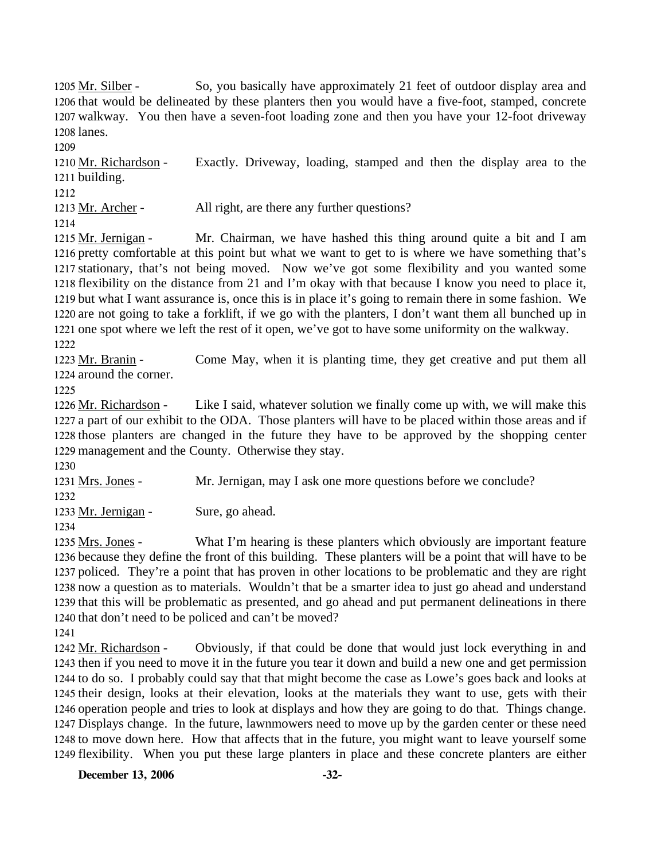So, you basically have approximately 21 feet of outdoor display area and 1206 that would be delineated by these planters then you would have a five-foot, stamped, concrete 1207 walkway. You then have a seven-foot loading zone and then you have your 12-foot driveway 1208 lanes. 1205 Mr. Silber -

Exactly. Driveway, loading, stamped and then the display area to the 1211 building. 1210 Mr. Richardson -

1212

1209

1213 Mr. Archer - All right, are there any further questions?

1214

Mr. Chairman, we have hashed this thing around quite a bit and I am 1216 pretty comfortable at this point but what we want to get to is where we have something that's 1217 stationary, that's not being moved. Now we've got some flexibility and you wanted some 1218 flexibility on the distance from 21 and I'm okay with that because I know you need to place it, 1219 but what I want assurance is, once this is in place it's going to remain there in some fashion. We 1220 are not going to take a forklift, if we go with the planters, I don't want them all bunched up in 1221 one spot where we left the rest of it open, we've got to have some uniformity on the walkway. 1215 Mr. Jernigan -

1222

Come May, when it is planting time, they get creative and put them all 1224 around the corner. 1223 Mr. Branin -

1225

Like I said, whatever solution we finally come up with, we will make this 1227 a part of our exhibit to the ODA. Those planters will have to be placed within those areas and if 1228 those planters are changed in the future they have to be approved by the shopping center 1229 management and the County. Otherwise they stay. 1226 Mr. Richardson -

1230

1231 Mrs. Jones - Mr. Jernigan, may I ask one more questions before we conclude? 1232

1233 Mr. Jernigan - Sure, go ahead.

1234

What I'm hearing is these planters which obviously are important feature 1236 because they define the front of this building. These planters will be a point that will have to be 1237 policed. They're a point that has proven in other locations to be problematic and they are right 1238 now a question as to materials. Wouldn't that be a smarter idea to just go ahead and understand 1239 that this will be problematic as presented, and go ahead and put permanent delineations in there 1240 that don't need to be policed and can't be moved? 1235 Mrs. Jones -

1241

Obviously, if that could be done that would just lock everything in and 1243 then if you need to move it in the future you tear it down and build a new one and get permission 1244 to do so. I probably could say that that might become the case as Lowe's goes back and looks at 1245 their design, looks at their elevation, looks at the materials they want to use, gets with their 1246 operation people and tries to look at displays and how they are going to do that. Things change. 1247 Displays change. In the future, lawnmowers need to move up by the garden center or these need 1248 to move down here. How that affects that in the future, you might want to leave yourself some 1249 flexibility. When you put these large planters in place and these concrete planters are either 1242 Mr. Richardson -

**December 13, 2006 -32-**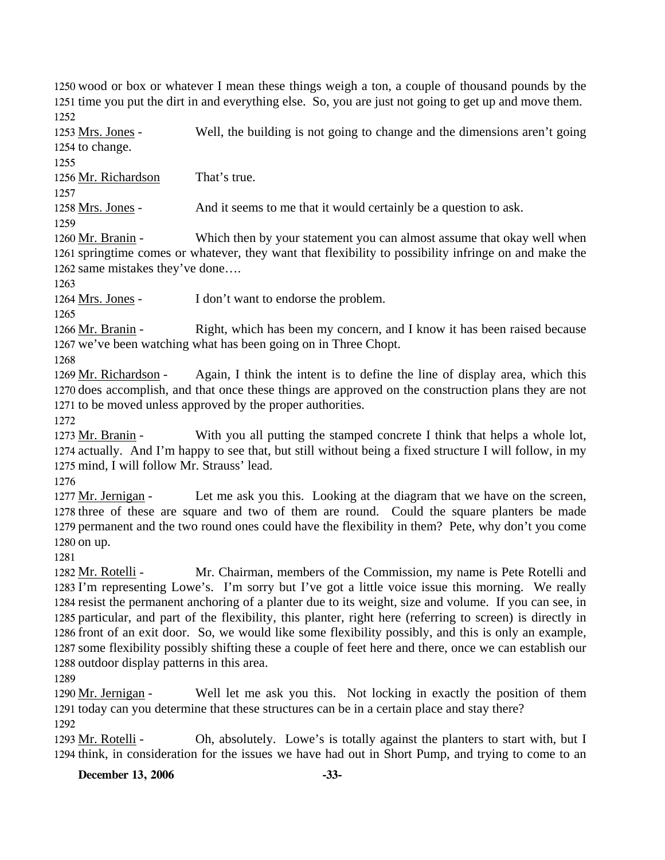1250 wood or box or whatever I mean these things weigh a ton, a couple of thousand pounds by the 1251 time you put the dirt in and everything else. So, you are just not going to get up and move them. 1252

Well, the building is not going to change and the dimensions aren't going 1254 to change. 1253 Mrs. Jones -

1255

1256 Mr. Richardson That's true.

1257

1258 Mrs. Jones - And it seems to me that it would certainly be a question to ask.

1259

Which then by your statement you can almost assume that okay well when 1261 springtime comes or whatever, they want that flexibility to possibility infringe on and make the 1262 same mistakes they've done.... 1260 Mr. Branin -

1263

1264 Mrs. Jones - I don't want to endorse the problem.

1265

Right, which has been my concern, and I know it has been raised because 1267 we've been watching what has been going on in Three Chopt. 1266 Mr. Branin -

1268

Again, I think the intent is to define the line of display area, which this 1270 does accomplish, and that once these things are approved on the construction plans they are not 1271 to be moved unless approved by the proper authorities. 1269 Mr. Richardson -

1272

With you all putting the stamped concrete I think that helps a whole lot, 1274 actually. And I'm happy to see that, but still without being a fixed structure I will follow, in my 1275 mind, I will follow Mr. Strauss' lead. 1273 Mr. Branin -

1276

Let me ask you this. Looking at the diagram that we have on the screen, 1278 three of these are square and two of them are round. Could the square planters be made 1279 permanent and the two round ones could have the flexibility in them? Pete, why don't you come 1280 on up. 1277 Mr. Jernigan -

1281

Mr. Chairman, members of the Commission, my name is Pete Rotelli and 1283 I'm representing Lowe's. I'm sorry but I've got a little voice issue this morning. We really 1284 resist the permanent anchoring of a planter due to its weight, size and volume. If you can see, in 1285 particular, and part of the flexibility, this planter, right here (referring to screen) is directly in 1286 front of an exit door. So, we would like some flexibility possibly, and this is only an example, 1287 some flexibility possibly shifting these a couple of feet here and there, once we can establish our 1288 outdoor display patterns in this area. 1282 Mr. Rotelli -

1289

Well let me ask you this. Not locking in exactly the position of them 1291 today can you determine that these structures can be in a certain place and stay there? 1290 Mr. Jernigan -

1292

Oh, absolutely. Lowe's is totally against the planters to start with, but I 1294 think, in consideration for the issues we have had out in Short Pump, and trying to come to an 1293 Mr. Rotelli -

**December 13, 2006 -33-**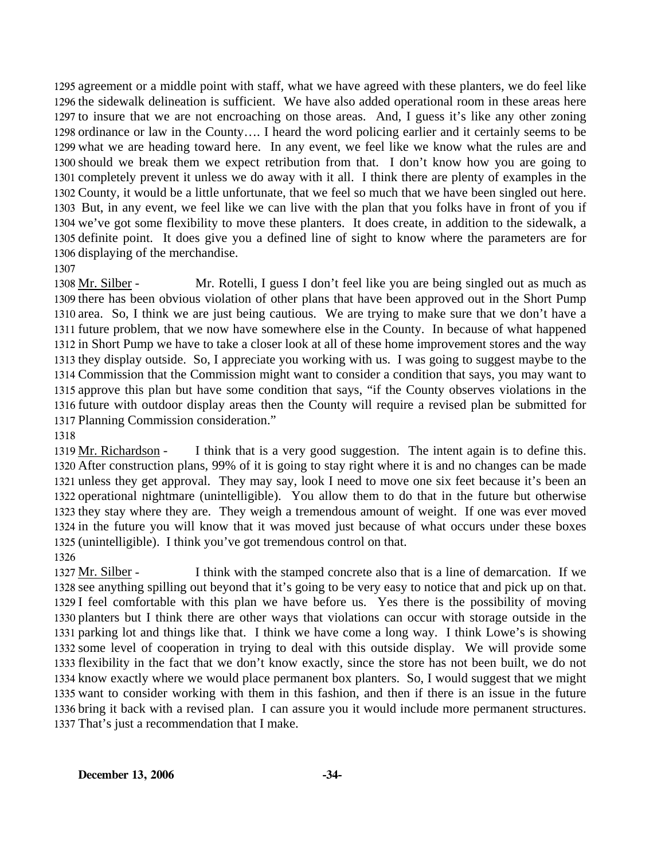agreement or a middle point with staff, what we have agreed with these planters, we do feel like the sidewalk delineation is sufficient. We have also added operational room in these areas here to insure that we are not encroaching on those areas. And, I guess it's like any other zoning ordinance or law in the County…. I heard the word policing earlier and it certainly seems to be what we are heading toward here. In any event, we feel like we know what the rules are and should we break them we expect retribution from that. I don't know how you are going to completely prevent it unless we do away with it all. I think there are plenty of examples in the County, it would be a little unfortunate, that we feel so much that we have been singled out here. But, in any event, we feel like we can live with the plan that you folks have in front of you if we've got some flexibility to move these planters. It does create, in addition to the sidewalk, a definite point. It does give you a defined line of sight to know where the parameters are for displaying of the merchandise.

Mr. Rotelli, I guess I don't feel like you are being singled out as much as 1309 there has been obvious violation of other plans that have been approved out in the Short Pump 1310 area. So, I think we are just being cautious. We are trying to make sure that we don't have a 1311 future problem, that we now have somewhere else in the County. In because of what happened 1312 in Short Pump we have to take a closer look at all of these home improvement stores and the way 1313 they display outside. So, I appreciate you working with us. I was going to suggest maybe to the 1314 Commission that the Commission might want to consider a condition that says, you may want to 1315 approve this plan but have some condition that says, "if the County observes violations in the 1316 future with outdoor display areas then the County will require a revised plan be submitted for 1317 Planning Commission consideration." 1308 Mr. Silber -

1318

I think that is a very good suggestion. The intent again is to define this. 1320 After construction plans, 99% of it is going to stay right where it is and no changes can be made 1321 unless they get approval. They may say, look I need to move one six feet because it's been an 1322 operational nightmare (unintelligible). You allow them to do that in the future but otherwise 1323 they stay where they are. They weigh a tremendous amount of weight. If one was ever moved 1324 in the future you will know that it was moved just because of what occurs under these boxes 1325 (unintelligible). I think you've got tremendous control on that. 1319 Mr. Richardson -

1326

I think with the stamped concrete also that is a line of demarcation. If we 1328 see anything spilling out beyond that it's going to be very easy to notice that and pick up on that. 1329 I feel comfortable with this plan we have before us. Yes there is the possibility of moving 1330 planters but I think there are other ways that violations can occur with storage outside in the 1331 parking lot and things like that. I think we have come a long way. I think Lowe's is showing 1332 some level of cooperation in trying to deal with this outside display. We will provide some 1333 flexibility in the fact that we don't know exactly, since the store has not been built, we do not 1334 know exactly where we would place permanent box planters. So, I would suggest that we might 1335 want to consider working with them in this fashion, and then if there is an issue in the future 1336 bring it back with a revised plan. I can assure you it would include more permanent structures. 1337 That's just a recommendation that I make. 1327 Mr. Silber -

<sup>1307</sup>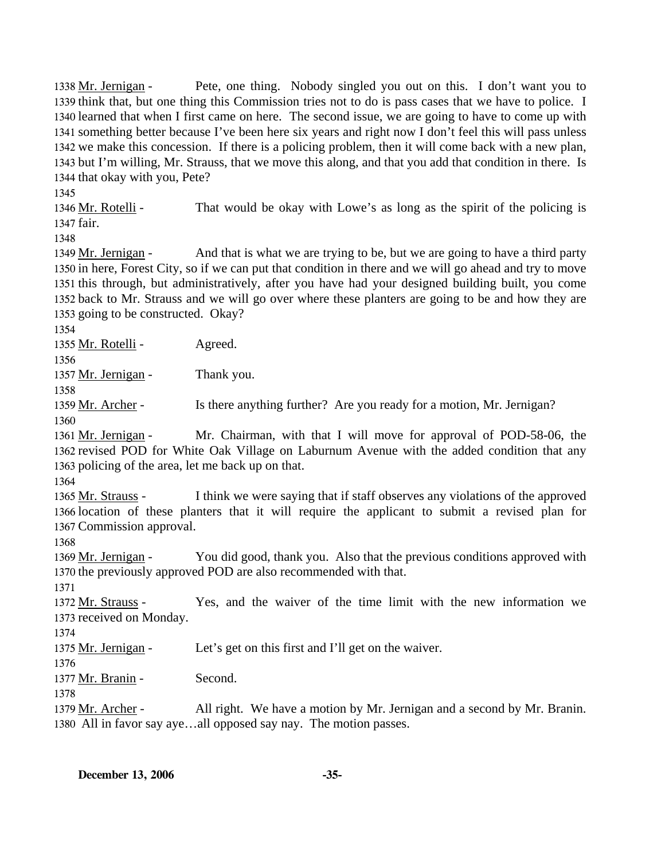Pete, one thing. Nobody singled you out on this. I don't want you to 1339 think that, but one thing this Commission tries not to do is pass cases that we have to police. I 1340 learned that when I first came on here. The second issue, we are going to have to come up with 1341 something better because I've been here six years and right now I don't feel this will pass unless 1342 we make this concession. If there is a policing problem, then it will come back with a new plan, 1343 but I'm willing, Mr. Strauss, that we move this along, and that you add that condition in there. Is 1344 that okay with you, Pete? 1338 Mr. Jernigan -

1345

That would be okay with Lowe's as long as the spirit of the policing is 1347 fair. 1346 Mr. Rotelli -

1348

And that is what we are trying to be, but we are going to have a third party 1350 in here, Forest City, so if we can put that condition in there and we will go ahead and try to move 1351 this through, but administratively, after you have had your designed building built, you come 1352 back to Mr. Strauss and we will go over where these planters are going to be and how they are 1353 going to be constructed. Okay? 1349 Mr. Jernigan -

1354

1355 Mr. Rotelli - Agreed.

1356 1357 Mr. Jernigan - Thank you.

1358

1359 Mr. Archer - Is there anything further? Are you ready for a motion, Mr. Jernigan?

1360

Mr. Chairman, with that I will move for approval of POD-58-06, the 1362 revised POD for White Oak Village on Laburnum Avenue with the added condition that any 1363 policing of the area, let me back up on that. 1361 Mr. Jernigan -

1364

I think we were saying that if staff observes any violations of the approved 1366 location of these planters that it will require the applicant to submit a revised plan for 1367 Commission approval. 1365 Mr. Strauss -

1368

You did good, thank you. Also that the previous conditions approved with 1370 the previously approved POD are also recommended with that. 1369 Mr. Jernigan -

1371

Yes, and the waiver of the time limit with the new information we 1373 received on Monday. 1372 Mr. Strauss -

1374

1375 Mr. Jernigan - Let's get on this first and I'll get on the waiver.

1376

1377 Mr. Branin - Second.

1378

All right. We have a motion by Mr. Jernigan and a second by Mr. Branin. 1380 All in favor say aye...all opposed say nay. The motion passes. 1379 Mr. Archer -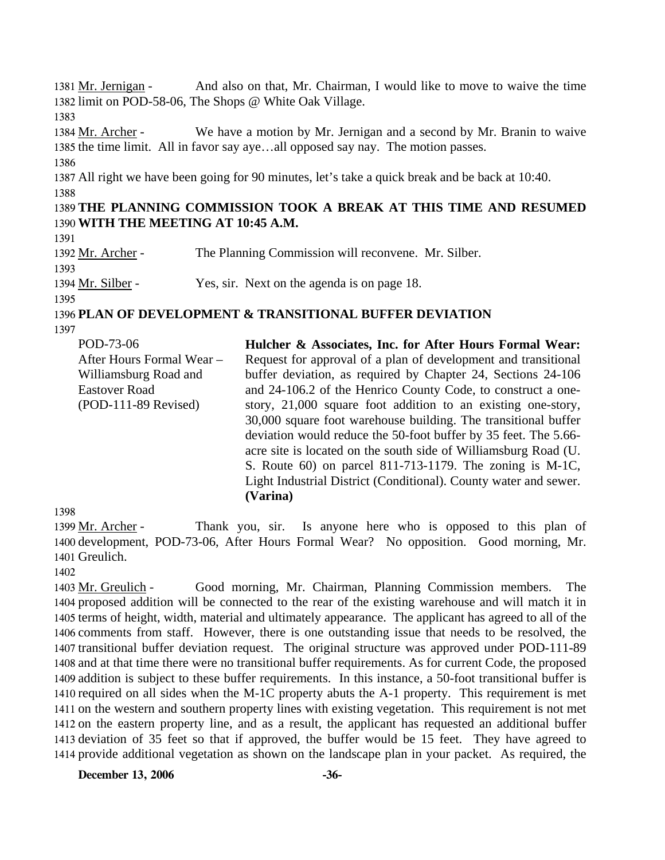And also on that, Mr. Chairman, I would like to move to waive the time 1382 limit on POD-58-06, The Shops @ White Oak Village. 1381 Mr. Jernigan -1383 We have a motion by Mr. Jernigan and a second by Mr. Branin to waive 1385 the time limit. All in favor say aye...all opposed say nay. The motion passes. 1384 Mr. Archer -1386 1387 All right we have been going for 90 minutes, let's take a quick break and be back at 10:40. 1388 1389 **THE PLANNING COMMISSION TOOK A BREAK AT THIS TIME AND RESUMED**  1390 **WITH THE MEETING AT 10:45 A.M.**  1391 1392 Mr. Archer - The Planning Commission will reconvene. Mr. Silber. 1393 1394 Mr. Silber - Yes, sir. Next on the agenda is on page 18. 1395 1396 **PLAN OF DEVELOPMENT & TRANSITIONAL BUFFER DEVIATION**  1397

| POD-73-06                 | Hulcher & Associates, Inc. for After Hours Formal Wear:          |
|---------------------------|------------------------------------------------------------------|
| After Hours Formal Wear - | Request for approval of a plan of development and transitional   |
| Williamsburg Road and     | buffer deviation, as required by Chapter 24, Sections 24-106     |
| <b>Eastover Road</b>      | and 24-106.2 of the Henrico County Code, to construct a one-     |
| $(POD-111-89$ Revised)    | story, 21,000 square foot addition to an existing one-story,     |
|                           | 30,000 square foot warehouse building. The transitional buffer   |
|                           | deviation would reduce the 50-foot buffer by 35 feet. The 5.66-  |
|                           | acre site is located on the south side of Williamsburg Road (U.  |
|                           | S. Route $60$ ) on parcel 811-713-1179. The zoning is M-1C,      |
|                           | Light Industrial District (Conditional). County water and sewer. |
|                           | (Varina)                                                         |

1398

Thank you, sir. Is anyone here who is opposed to this plan of 1400 development, POD-73-06, After Hours Formal Wear? No opposition. Good morning, Mr. 1401 Greulich. 1399 Mr. Archer -

1402

Good morning, Mr. Chairman, Planning Commission members. The 1404 proposed addition will be connected to the rear of the existing warehouse and will match it in 1405 terms of height, width, material and ultimately appearance. The applicant has agreed to all of the 1406 comments from staff. However, there is one outstanding issue that needs to be resolved, the 1407 transitional buffer deviation request. The original structure was approved under POD-111-89 1408 and at that time there were no transitional buffer requirements. As for current Code, the proposed 1409 addition is subject to these buffer requirements. In this instance, a 50-foot transitional buffer is 1410 required on all sides when the M-1C property abuts the A-1 property. This requirement is met 1411 on the western and southern property lines with existing vegetation. This requirement is not met 1412 on the eastern property line, and as a result, the applicant has requested an additional buffer 1413 deviation of 35 feet so that if approved, the buffer would be 15 feet. They have agreed to 1414 provide additional vegetation as shown on the landscape plan in your packet. As required, the 1403 Mr. Greulich -

**December 13, 2006 -36-**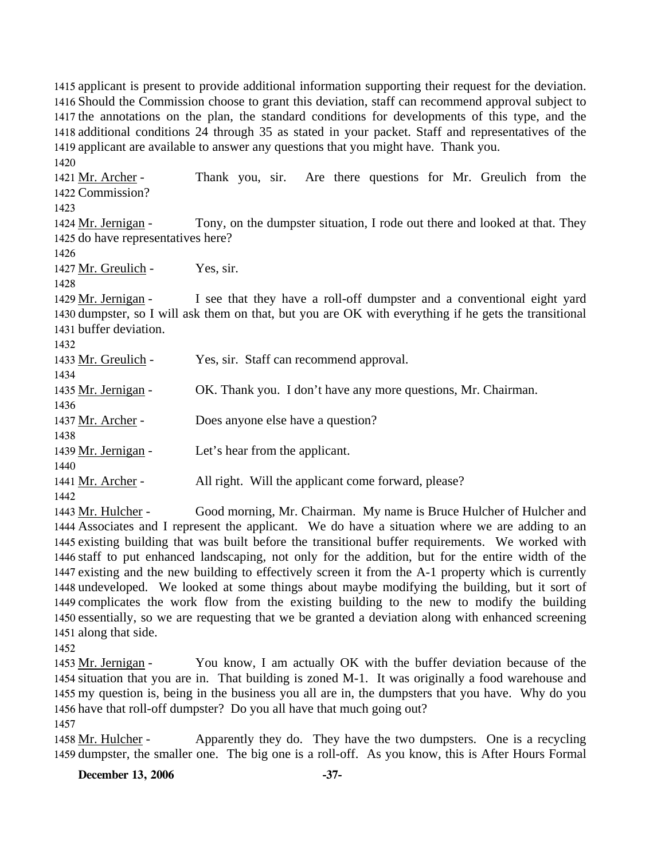1415 applicant is present to provide additional information supporting their request for the deviation. 1416 Should the Commission choose to grant this deviation, staff can recommend approval subject to 1417 the annotations on the plan, the standard conditions for developments of this type, and the 1418 additional conditions 24 through 35 as stated in your packet. Staff and representatives of the 1419 applicant are available to answer any questions that you might have. Thank you. 1420 Thank you, sir. Are there questions for Mr. Greulich from the 1422 Commission? 1421 Mr. Archer -1423 Tony, on the dumpster situation, I rode out there and looked at that. They 1425 do have representatives here? 1424 Mr. Jernigan -1426 1427 Mr. Greulich - Yes, sir. 1428 I see that they have a roll-off dumpster and a conventional eight yard 1430 dumpster, so I will ask them on that, but you are OK with everything if he gets the transitional 1431 buffer deviation. 1429 Mr. Jernigan -1432 1433 Mr. Greulich - Yes, sir. Staff can recommend approval. 1434 1435 Mr. Jernigan - OK. Thank you. I don't have any more questions, Mr. Chairman. 1436 1437 Mr. Archer - Does anyone else have a question? 1438 1439 Mr. Jernigan - Let's hear from the applicant. 1440 1441 Mr. Archer - All right. Will the applicant come forward, please? 1442

Good morning, Mr. Chairman. My name is Bruce Hulcher of Hulcher and Associates and I represent the applicant. We do have a situation where we are adding to an 1444 1445 existing building that was built before the transitional buffer requirements. We worked with 1446 staff to put enhanced landscaping, not only for the addition, but for the entire width of the 1447 existing and the new building to effectively screen it from the A-1 property which is currently 1448 undeveloped. We looked at some things about maybe modifying the building, but it sort of 1449 complicates the work flow from the existing building to the new to modify the building 1450 essentially, so we are requesting that we be granted a deviation along with enhanced screening 1451 along that side. 1443 Mr. Hulcher -

1452

You know, I am actually OK with the buffer deviation because of the 1454 situation that you are in. That building is zoned M-1. It was originally a food warehouse and 1455 my question is, being in the business you all are in, the dumpsters that you have. Why do you 1456 have that roll-off dumpster? Do you all have that much going out? 1453 Mr. Jernigan -

1457

Apparently they do. They have the two dumpsters. One is a recycling 1459 dumpster, the smaller one. The big one is a roll-off. As you know, this is After Hours Formal 1458 Mr. Hulcher -

**December 13, 2006 -37-**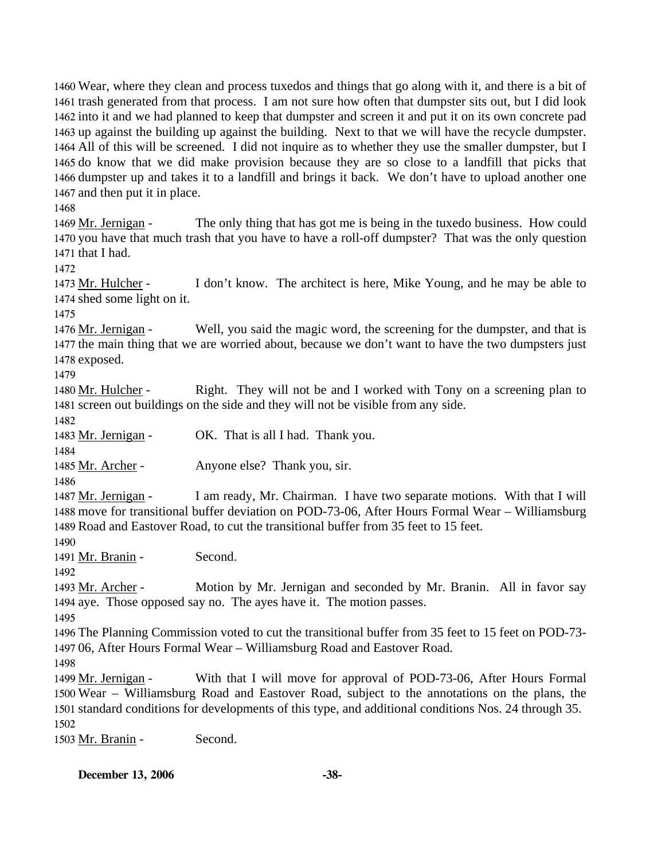Wear, where they clean and process tuxedos and things that go along with it, and there is a bit of trash generated from that process. I am not sure how often that dumpster sits out, but I did look into it and we had planned to keep that dumpster and screen it and put it on its own concrete pad up against the building up against the building. Next to that we will have the recycle dumpster. All of this will be screened. I did not inquire as to whether they use the smaller dumpster, but I do know that we did make provision because they are so close to a landfill that picks that dumpster up and takes it to a landfill and brings it back. We don't have to upload another one and then put it in place.

1468

The only thing that has got me is being in the tuxedo business. How could 1470 you have that much trash that you have to have a roll-off dumpster? That was the only question 1471 that I had. 1469 Mr. Jernigan -

1472

I don't know. The architect is here, Mike Young, and he may be able to 1474 shed some light on it. 1473 Mr. Hulcher -

1475

Well, you said the magic word, the screening for the dumpster, and that is 1477 the main thing that we are worried about, because we don't want to have the two dumpsters just 1478 exposed. 1476 Mr. Jernigan -

1479

Right. They will not be and I worked with Tony on a screening plan to 1481 screen out buildings on the side and they will not be visible from any side. 1480 Mr. Hulcher -

1482

1483 Mr. Jernigan - OK. That is all I had. Thank you.

1484

1485 Mr. Archer - Anyone else? Thank you, sir.

1486

I am ready, Mr. Chairman. I have two separate motions. With that I will 1488 move for transitional buffer deviation on POD-73-06, After Hours Formal Wear - Williamsburg 1489 Road and Eastover Road, to cut the transitional buffer from 35 feet to 15 feet. 1487 Mr. Jernigan -

1490

1491 Mr. Branin - Second.

1492

Motion by Mr. Jernigan and seconded by Mr. Branin. All in favor say 1494 aye. Those opposed say no. The ayes have it. The motion passes. 1493 Mr. Archer -

1495

1496 The Planning Commission voted to cut the transitional buffer from 35 feet to 15 feet on POD-73- 1497 06, After Hours Formal Wear – Williamsburg Road and Eastover Road.

1498

With that I will move for approval of POD-73-06, After Hours Formal Wear – Williamsburg Road and Eastover Road, subject to the annotations on the plans, the 1500 1501 standard conditions for developments of this type, and additional conditions Nos. 24 through 35. 1499 Mr. Jernigan -1502

1503 Mr. Branin - Second.

**December 13, 2006 -38-**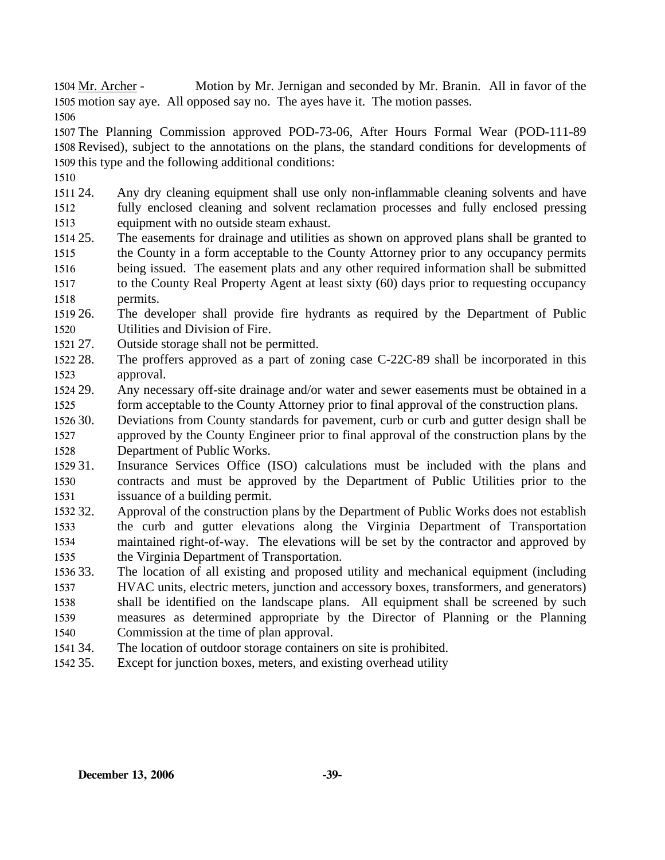Motion by Mr. Jernigan and seconded by Mr. Branin. All in favor of the 1505 motion say aye. All opposed say no. The ayes have it. The motion passes. 1504 Mr. Archer -

1506

1507 The Planning Commission approved POD-73-06, After Hours Formal Wear (POD-111-89 1508 Revised), subject to the annotations on the plans, the standard conditions for developments of 1509 this type and the following additional conditions:

- 1510
- 1511 24. 1512 1513 Any dry cleaning equipment shall use only non-inflammable cleaning solvents and have fully enclosed cleaning and solvent reclamation processes and fully enclosed pressing equipment with no outside steam exhaust.
- 1514 25. 1515 1516 1517 1518 The easements for drainage and utilities as shown on approved plans shall be granted to the County in a form acceptable to the County Attorney prior to any occupancy permits being issued. The easement plats and any other required information shall be submitted to the County Real Property Agent at least sixty (60) days prior to requesting occupancy permits.
- 1519 26. 1520 26. The developer shall provide fire hydrants as required by the Department of Public Utilities and Division of Fire.
- 1521 27. Outside storage shall not be permitted.
- 1522 28. 1523 The proffers approved as a part of zoning case  $C-22C-89$  shall be incorporated in this approval.
- 1524 29. 1525 Any necessary off-site drainage and/or water and sewer easements must be obtained in a form acceptable to the County Attorney prior to final approval of the construction plans.
- 1526 30. 1527 1528 Deviations from County standards for pavement, curb or curb and gutter design shall be approved by the County Engineer prior to final approval of the construction plans by the Department of Public Works.
- 1529 31. 1530 1531 Insurance Services Office (ISO) calculations must be included with the plans and contracts and must be approved by the Department of Public Utilities prior to the issuance of a building permit.
- 1532 32. 1533 1534 1535 32. Approval of the construction plans by the Department of Public Works does not establish the curb and gutter elevations along the Virginia Department of Transportation maintained right-of-way. The elevations will be set by the contractor and approved by the Virginia Department of Transportation.
- 1536 33. 1537 33. The location of all existing and proposed utility and mechanical equipment (including HVAC units, electric meters, junction and accessory boxes, transformers, and generators)
- 1538 1539 1540 shall be identified on the landscape plans. All equipment shall be screened by such measures as determined appropriate by the Director of Planning or the Planning Commission at the time of plan approval.
- 1541 34. The location of outdoor storage containers on site is prohibited.
- 1542 35. Except for junction boxes, meters, and existing overhead utility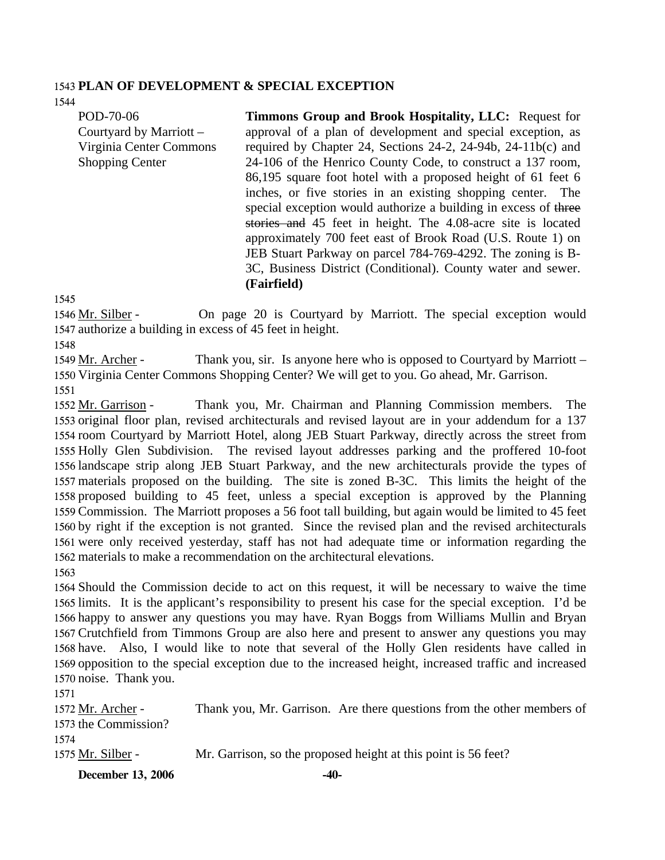### 1543 **PLAN OF DEVELOPMENT & SPECIAL EXCEPTION**

1544

POD-70-06 Courtyard by Marriott – Virginia Center Commons Shopping Center

**Timmons Group and Brook Hospitality, LLC:** Request for approval of a plan of development and special exception, as required by Chapter 24, Sections 24-2, 24-94b, 24-11b(c) and 24-106 of the Henrico County Code, to construct a 137 room, 86,195 square foot hotel with a proposed height of 61 feet 6 inches, or five stories in an existing shopping center. The special exception would authorize a building in excess of three stories and 45 feet in height. The 4.08-acre site is located approximately 700 feet east of Brook Road (U.S. Route 1) on JEB Stuart Parkway on parcel 784-769-4292. The zoning is B-3C, Business District (Conditional). County water and sewer. **(Fairfield)** 

1545

On page 20 is Courtyard by Marriott. The special exception would 1547 authorize a building in excess of 45 feet in height. 1546 Mr. Silber -

1548

Thank you, sir. Is anyone here who is opposed to Courtyard by Marriott – 1550 Virginia Center Commons Shopping Center? We will get to you. Go ahead, Mr. Garrison. 1549 Mr. Archer -1551

Thank you, Mr. Chairman and Planning Commission members. The 1553 original floor plan, revised architecturals and revised layout are in your addendum for a 137 1554 room Courtyard by Marriott Hotel, along JEB Stuart Parkway, directly across the street from 1555 Holly Glen Subdivision. The revised layout addresses parking and the proffered 10-foot 1556 landscape strip along JEB Stuart Parkway, and the new architecturals provide the types of materials proposed on the building. The site is zoned B-3C. This limits the height of the 1557 1558 proposed building to 45 feet, unless a special exception is approved by the Planning 1559 Commission. The Marriott proposes a 56 foot tall building, but again would be limited to 45 feet 1560 by right if the exception is not granted. Since the revised plan and the revised architecturals 1561 were only received yesterday, staff has not had adequate time or information regarding the 1562 materials to make a recommendation on the architectural elevations. 1552 Mr. Garrison -1563

 Should the Commission decide to act on this request, it will be necessary to waive the time limits. It is the applicant's responsibility to present his case for the special exception. I'd be happy to answer any questions you may have. Ryan Boggs from Williams Mullin and Bryan Crutchfield from Timmons Group are also here and present to answer any questions you may have. Also, I would like to note that several of the Holly Glen residents have called in opposition to the special exception due to the increased height, increased traffic and increased noise. Thank you.

1571 Thank you, Mr. Garrison. Are there questions from the other members of 1573 the Commission? 1572 Mr. Archer -1574 1575 Mr. Silber - Mr. Garrison, so the proposed height at this point is 56 feet?

**December 13, 2006 -40-**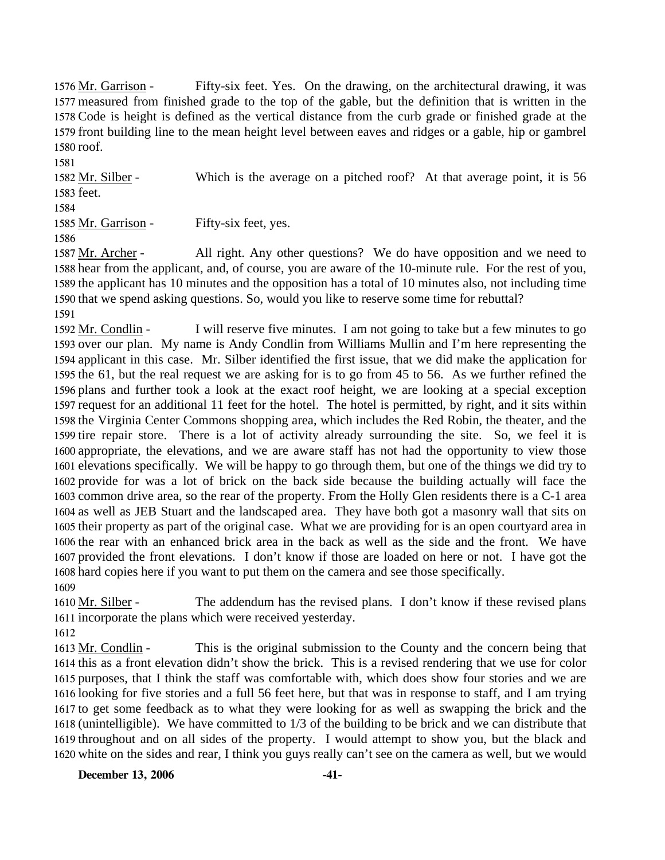Fifty-six feet. Yes. On the drawing, on the architectural drawing, it was 1577 measured from finished grade to the top of the gable, but the definition that is written in the 1578 Code is height is defined as the vertical distance from the curb grade or finished grade at the 1579 front building line to the mean height level between eaves and ridges or a gable, hip or gambrel 1580 roof. 1576 Mr. Garrison -

1581 Which is the average on a pitched roof? At that average point, it is 56 1583 feet. 1582 Mr. Silber -1584

1585 Mr. Garrison - Fifty-six feet, yes.

1586

All right. Any other questions? We do have opposition and we need to 1588 hear from the applicant, and, of course, you are aware of the 10-minute rule. For the rest of you, 1589 the applicant has 10 minutes and the opposition has a total of 10 minutes also, not including time 1590 that we spend asking questions. So, would you like to reserve some time for rebuttal? 1587 Mr. Archer -

1591

I will reserve five minutes. I am not going to take but a few minutes to go 1593 over our plan. My name is Andy Condlin from Williams Mullin and I'm here representing the 1594 applicant in this case. Mr. Silber identified the first issue, that we did make the application for 1595 the  $61$ , but the real request we are asking for is to go from 45 to 56. As we further refined the 1596 plans and further took a look at the exact roof height, we are looking at a special exception 1597 request for an additional 11 feet for the hotel. The hotel is permitted, by right, and it sits within 1598 the Virginia Center Commons shopping area, which includes the Red Robin, the theater, and the 1599 tire repair store. There is a lot of activity already surrounding the site. So, we feel it is 1600 appropriate, the elevations, and we are aware staff has not had the opportunity to view those 1601 elevations specifically. We will be happy to go through them, but one of the things we did try to 1602 provide for was a lot of brick on the back side because the building actually will face the 1603 common drive area, so the rear of the property. From the Holly Glen residents there is a C-1 area 1604 as well as JEB Stuart and the landscaped area. They have both got a masonry wall that sits on 1605 their property as part of the original case. What we are providing for is an open courtyard area in 1606 the rear with an enhanced brick area in the back as well as the side and the front. We have 1607 provided the front elevations. I don't know if those are loaded on here or not. I have got the 1608 hard copies here if you want to put them on the camera and see those specifically. 1592 Mr. Condlin -1609

The addendum has the revised plans. I don't know if these revised plans 1611 incorporate the plans which were received yesterday. 1610 Mr. Silber -

1612

This is the original submission to the County and the concern being that 1614 this as a front elevation didn't show the brick. This is a revised rendering that we use for color 1615 purposes, that I think the staff was comfortable with, which does show four stories and we are 1616 looking for five stories and a full 56 feet here, but that was in response to staff, and I am trying 1617 to get some feedback as to what they were looking for as well as swapping the brick and the 1618 (unintelligible). We have committed to 1/3 of the building to be brick and we can distribute that 1619 throughout and on all sides of the property. I would attempt to show you, but the black and 1620 white on the sides and rear, I think you guys really can't see on the camera as well, but we would 1613 Mr. Condlin -

**December 13, 2006 -41-**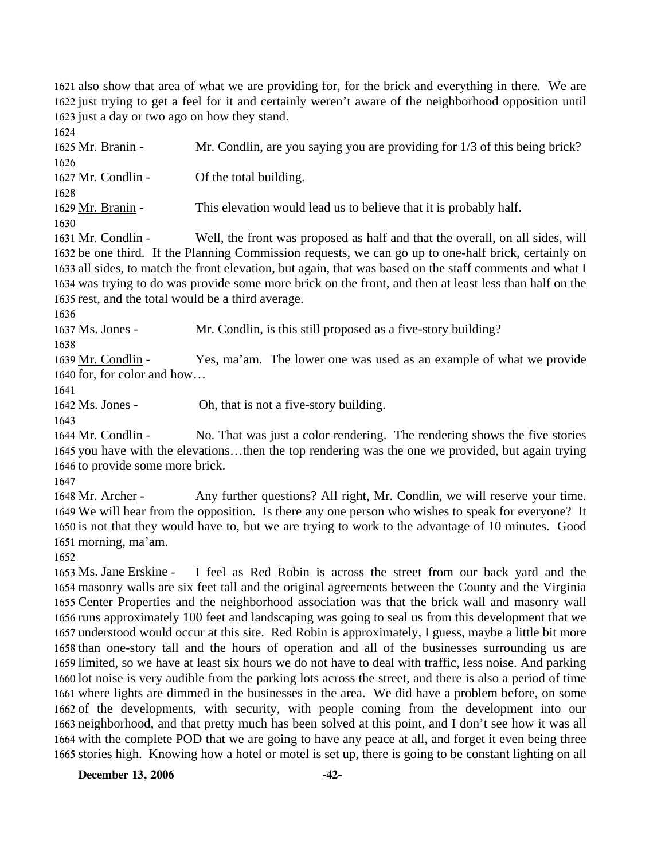1621 also show that area of what we are providing for, for the brick and everything in there. We are 1622 just trying to get a feel for it and certainly weren't aware of the neighborhood opposition until 1623 just a day or two ago on how they stand.

1624 1625 Mr. Branin - Mr. Condlin, are you saying you are providing for 1/3 of this being brick? 1626 1627 Mr. Condlin - Of the total building. 1628 1629 Mr. Branin - This elevation would lead us to believe that it is probably half. 1630 Well, the front was proposed as half and that the overall, on all sides, will 1632 be one third. If the Planning Commission requests, we can go up to one-half brick, certainly on 1633 all sides, to match the front elevation, but again, that was based on the staff comments and what I 1634 was trying to do was provide some more brick on the front, and then at least less than half on the 1631 Mr. Condlin -

- 1635 rest, and the total would be a third average.
- 1636

1637 Ms. Jones - Mr. Condlin, is this still proposed as a five-story building?

1638

Yes, ma'am. The lower one was used as an example of what we provide 1640 for, for color and how... 1639 Mr. Condlin -

1641

1642 Ms. Jones - Oh, that is not a five-story building.

1643

No. That was just a color rendering. The rendering shows the five stories 1645 you have with the elevations...then the top rendering was the one we provided, but again trying 1646 to provide some more brick. 1644 Mr. Condlin -

1647

Any further questions? All right, Mr. Condlin, we will reserve your time. 1649 We will hear from the opposition. Is there any one person who wishes to speak for everyone? It 1650 is not that they would have to, but we are trying to work to the advantage of 10 minutes. Good 1651 morning, ma'am. 1648 Mr. Archer -

1652

I feel as Red Robin is across the street from our back yard and the 1654 masonry walls are six feet tall and the original agreements between the County and the Virginia 1655 Center Properties and the neighborhood association was that the brick wall and masonry wall 1656 runs approximately 100 feet and landscaping was going to seal us from this development that we 1657 understood would occur at this site. Red Robin is approximately, I guess, maybe a little bit more 1658 than one-story tall and the hours of operation and all of the businesses surrounding us are 1659 limited, so we have at least six hours we do not have to deal with traffic, less noise. And parking 1660 lot noise is very audible from the parking lots across the street, and there is also a period of time 1661 where lights are dimmed in the businesses in the area. We did have a problem before, on some 1662 of the developments, with security, with people coming from the development into our 1663 neighborhood, and that pretty much has been solved at this point, and I don't see how it was all 1664 with the complete POD that we are going to have any peace at all, and forget it even being three 1665 stories high. Knowing how a hotel or motel is set up, there is going to be constant lighting on all 1653 Ms. Jane Erskine -

**December 13, 2006 -42-**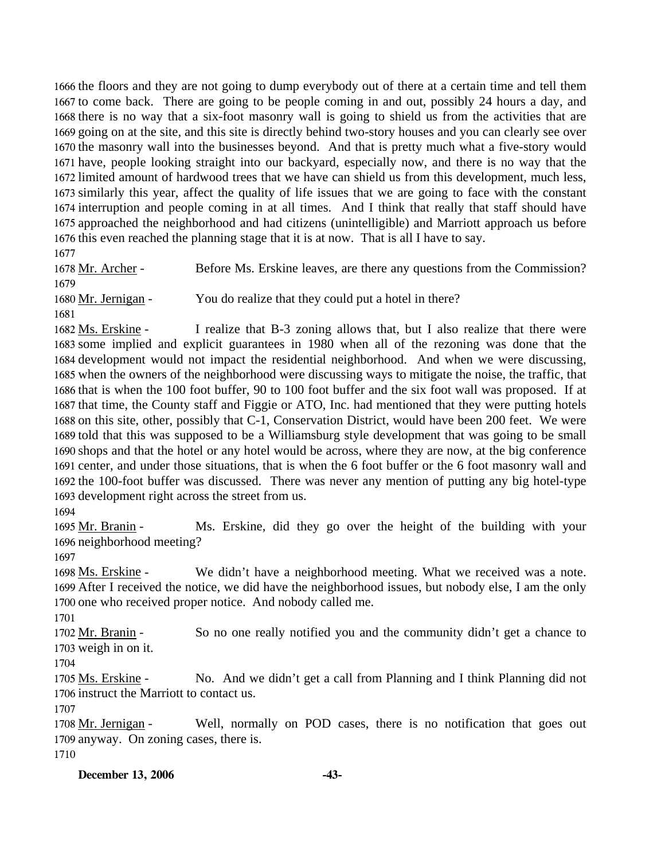the floors and they are not going to dump everybody out of there at a certain time and tell them to come back. There are going to be people coming in and out, possibly 24 hours a day, and there is no way that a six-foot masonry wall is going to shield us from the activities that are going on at the site, and this site is directly behind two-story houses and you can clearly see over the masonry wall into the businesses beyond. And that is pretty much what a five-story would have, people looking straight into our backyard, especially now, and there is no way that the limited amount of hardwood trees that we have can shield us from this development, much less, similarly this year, affect the quality of life issues that we are going to face with the constant interruption and people coming in at all times. And I think that really that staff should have approached the neighborhood and had citizens (unintelligible) and Marriott approach us before this even reached the planning stage that it is at now. That is all I have to say.

1677 Before Ms. Erskine leaves, are there any questions from the Commission? 1678 Mr. Archer -1679

1680 Mr. Jernigan - You do realize that they could put a hotel in there?

1681

I realize that B-3 zoning allows that, but I also realize that there were 1683 some implied and explicit guarantees in 1980 when all of the rezoning was done that the 1684 development would not impact the residential neighborhood. And when we were discussing, 1685 when the owners of the neighborhood were discussing ways to mitigate the noise, the traffic, that 1686 that is when the 100 foot buffer, 90 to 100 foot buffer and the six foot wall was proposed. If at 1687 that time, the County staff and Figgie or ATO, Inc. had mentioned that they were putting hotels 1688 on this site, other, possibly that C-1, Conservation District, would have been 200 feet. We were 1689 told that this was supposed to be a Williamsburg style development that was going to be small 1690 shops and that the hotel or any hotel would be across, where they are now, at the big conference 1691 center, and under those situations, that is when the 6 foot buffer or the 6 foot masonry wall and 1692 the 100-foot buffer was discussed. There was never any mention of putting any big hotel-type 1693 development right across the street from us. 1682 Ms. Erskine -

1694

Ms. Erskine, did they go over the height of the building with your 1696 neighborhood meeting? 1695 Mr. Branin -

1697

We didn't have a neighborhood meeting. What we received was a note. 1699 After I received the notice, we did have the neighborhood issues, but nobody else, I am the only 1700 one who received proper notice. And nobody called me. 1698 Ms. Erskine -

1701

So no one really notified you and the community didn't get a chance to 1703 weigh in on it. 1702 Mr. Branin -

1704

No. And we didn't get a call from Planning and I think Planning did not 1706 instruct the Marriott to contact us. 1705 Ms. Erskine -

1707

Well, normally on POD cases, there is no notification that goes out 1709 anyway. On zoning cases, there is. 1708 Mr. Jernigan -1710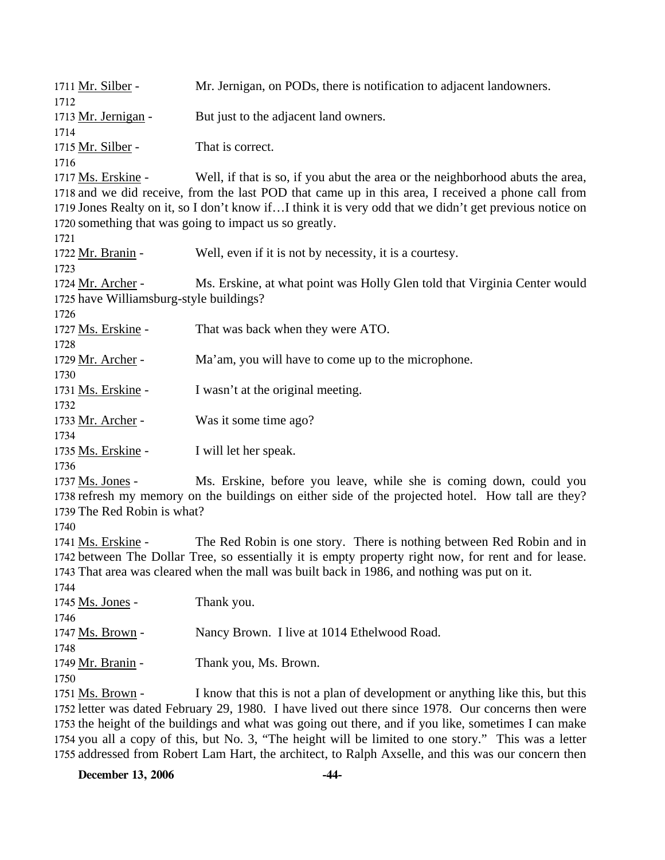| 1711 Mr. Silber -                       | Mr. Jernigan, on PODs, there is notification to adjacent landowners.                                                                                                                                          |
|-----------------------------------------|---------------------------------------------------------------------------------------------------------------------------------------------------------------------------------------------------------------|
| 1712                                    |                                                                                                                                                                                                               |
| 1713 Mr. Jernigan -                     | But just to the adjacent land owners.                                                                                                                                                                         |
| 1714                                    |                                                                                                                                                                                                               |
| 1715 Mr. Silber -                       | That is correct.                                                                                                                                                                                              |
| 1716                                    |                                                                                                                                                                                                               |
| 1717 Ms. Erskine -                      | Well, if that is so, if you abut the area or the neighborhood abuts the area,                                                                                                                                 |
|                                         | 1718 and we did receive, from the last POD that came up in this area, I received a phone call from<br>1719 Jones Realty on it, so I don't know ifI think it is very odd that we didn't get previous notice on |
|                                         | 1720 something that was going to impact us so greatly.                                                                                                                                                        |
| 1721                                    |                                                                                                                                                                                                               |
| 1722 Mr. Branin -                       | Well, even if it is not by necessity, it is a courtesy.                                                                                                                                                       |
| 1723                                    |                                                                                                                                                                                                               |
| 1724 Mr. Archer -                       | Ms. Erskine, at what point was Holly Glen told that Virginia Center would                                                                                                                                     |
| 1725 have Williamsburg-style buildings? |                                                                                                                                                                                                               |
| 1726                                    |                                                                                                                                                                                                               |
| 1727 Ms. Erskine -                      | That was back when they were ATO.                                                                                                                                                                             |
| 1728                                    |                                                                                                                                                                                                               |
| 1729 Mr. Archer -                       | Ma'am, you will have to come up to the microphone.                                                                                                                                                            |
| 1730                                    |                                                                                                                                                                                                               |
| 1731 Ms. Erskine -                      | I wasn't at the original meeting.                                                                                                                                                                             |
| 1732                                    |                                                                                                                                                                                                               |
| 1733 Mr. Archer -                       | Was it some time ago?                                                                                                                                                                                         |
| 1734                                    |                                                                                                                                                                                                               |
| 1735 Ms. Erskine -                      | I will let her speak.                                                                                                                                                                                         |
| 1736                                    |                                                                                                                                                                                                               |
| 1737 Ms. Jones -                        | Ms. Erskine, before you leave, while she is coming down, could you                                                                                                                                            |
|                                         | 1738 refresh my memory on the buildings on either side of the projected hotel. How tall are they?                                                                                                             |
| 1739 The Red Robin is what?             |                                                                                                                                                                                                               |
| 1740                                    |                                                                                                                                                                                                               |
| 1741 Ms. Erskine -                      | The Red Robin is one story. There is nothing between Red Robin and in                                                                                                                                         |
|                                         | 1742 between The Dollar Tree, so essentially it is empty property right now, for rent and for lease.                                                                                                          |
|                                         | 1743 That area was cleared when the mall was built back in 1986, and nothing was put on it.                                                                                                                   |
| 1744                                    |                                                                                                                                                                                                               |
| 1745 Ms. Jones -                        | Thank you.                                                                                                                                                                                                    |
| 1746                                    |                                                                                                                                                                                                               |
| 1747 Ms. Brown -                        | Nancy Brown. I live at 1014 Ethelwood Road.                                                                                                                                                                   |
| 1748                                    |                                                                                                                                                                                                               |
| 1749 Mr. Branin -                       | Thank you, Ms. Brown.                                                                                                                                                                                         |
| 1750                                    |                                                                                                                                                                                                               |
| 1751 Ms. Brown -                        | I know that this is not a plan of development or anything like this, but this                                                                                                                                 |
|                                         | 1752 letter was dated February 29, 1980. I have lived out there since 1978. Our concerns then were                                                                                                            |
|                                         | 1753 the height of the buildings and what was going out there, and if you like, sometimes I can make                                                                                                          |

1754 1755

you all a copy of this, but No. 3, "The height will be limited to one story." This was a letter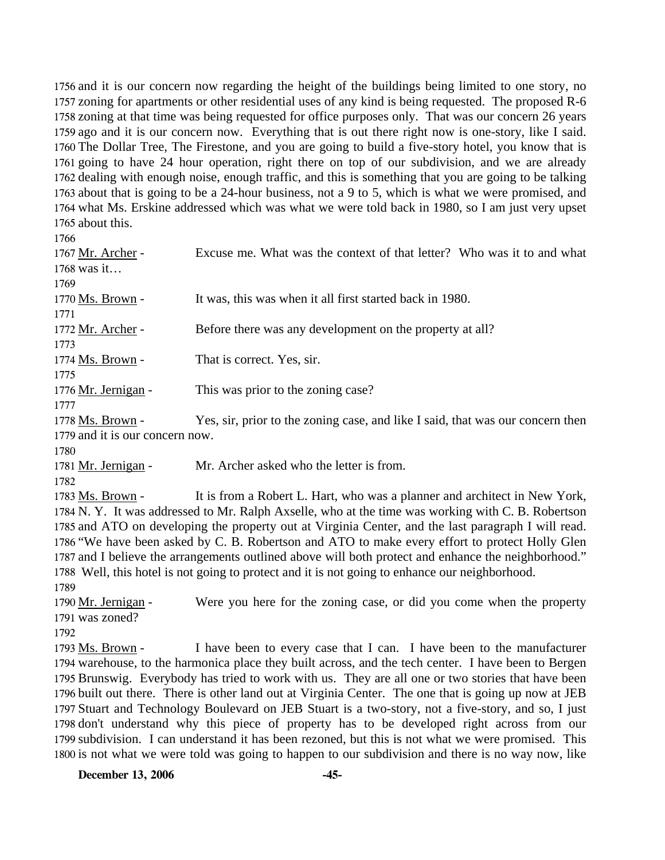and it is our concern now regarding the height of the buildings being limited to one story, no zoning for apartments or other residential uses of any kind is being requested. The proposed R-6 zoning at that time was being requested for office purposes only. That was our concern 26 years ago and it is our concern now. Everything that is out there right now is one-story, like I said. The Dollar Tree, The Firestone, and you are going to build a five-story hotel, you know that is going to have 24 hour operation, right there on top of our subdivision, and we are already dealing with enough noise, enough traffic, and this is something that you are going to be talking about that is going to be a 24-hour business, not a 9 to 5, which is what we were promised, and what Ms. Erskine addressed which was what we were told back in 1980, so I am just very upset about this.

| 1700                            |                                                                                |
|---------------------------------|--------------------------------------------------------------------------------|
| 1767 Mr. Archer -               | Excuse me. What was the context of that letter? Who was it to and what         |
| $1768$ was it                   |                                                                                |
| 1769                            |                                                                                |
| 1770 Ms. Brown -                | It was, this was when it all first started back in 1980.                       |
| 1771                            |                                                                                |
| 1772 Mr. Archer -               | Before there was any development on the property at all?                       |
| 1773                            |                                                                                |
| 1774 Ms. Brown -                | That is correct. Yes, sir.                                                     |
| 1775                            |                                                                                |
| 1776 Mr. Jernigan -             | This was prior to the zoning case?                                             |
| 1777                            |                                                                                |
| 1778 Ms. Brown -                | Yes, sir, prior to the zoning case, and like I said, that was our concern then |
| 1779 and it is our concern now. |                                                                                |
| 1780                            |                                                                                |

- 1781 Mr. Jernigan Mr. Archer asked who the letter is from.
- 1782

It is from a Robert L. Hart, who was a planner and architect in New York, 1784 N. Y. It was addressed to Mr. Ralph Axselle, who at the time was working with C. B. Robertson 1785 and ATO on developing the property out at Virginia Center, and the last paragraph I will read. 1786 "We have been asked by C. B. Robertson and ATO to make every effort to protect Holly Glen 1787 and I believe the arrangements outlined above will both protect and enhance the neighborhood." 1788 Well, this hotel is not going to protect and it is not going to enhance our neighborhood. 1783 Ms. Brown -1789

Were you here for the zoning case, or did you come when the property was zoned? 1791 1790 Mr. Jernigan -

1792

I have been to every case that I can. I have been to the manufacturer 1794 warehouse, to the harmonica place they built across, and the tech center. I have been to Bergen 1795 Brunswig. Everybody has tried to work with us. They are all one or two stories that have been 1796 built out there. There is other land out at Virginia Center. The one that is going up now at JEB 1797 Stuart and Technology Boulevard on JEB Stuart is a two-story, not a five-story, and so, I just 1798 don't understand why this piece of property has to be developed right across from our 1799 subdivision. I can understand it has been rezoned, but this is not what we were promised. This 1800 is not what we were told was going to happen to our subdivision and there is no way now, like 1793 Ms. Brown -

**December 13, 2006** -45-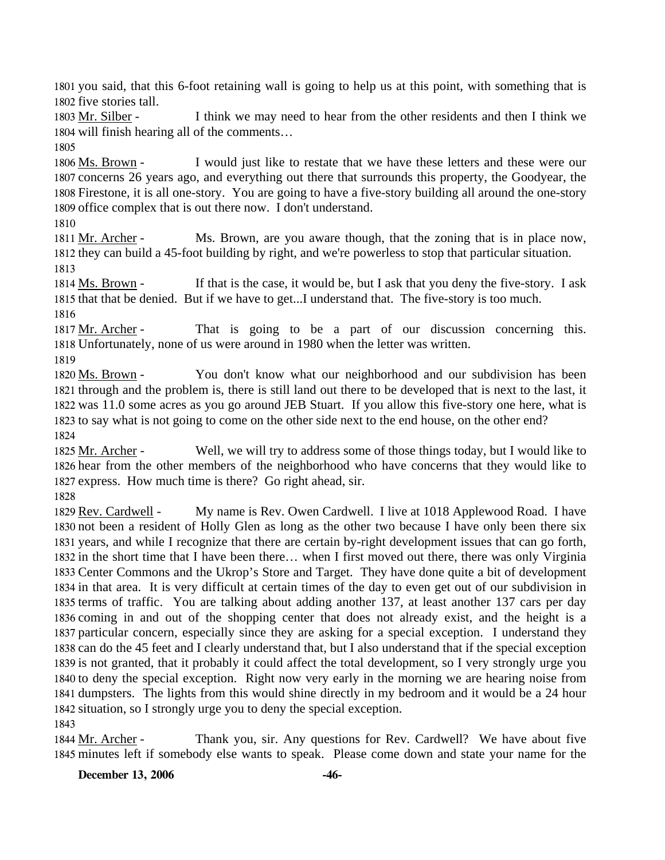1801 you said, that this 6-foot retaining wall is going to help us at this point, with something that is 1802 five stories tall.

I think we may need to hear from the other residents and then I think we 1804 will finish hearing all of the comments... 1803 Mr. Silber -

1805

I would just like to restate that we have these letters and these were our 1807 concerns 26 years ago, and everything out there that surrounds this property, the Goodyear, the 1808 Firestone, it is all one-story. You are going to have a five-story building all around the one-story 1809 office complex that is out there now. I don't understand. 1806 Ms. Brown -

1810

Ms. Brown, are you aware though, that the zoning that is in place now, 1812 they can build a 45-foot building by right, and we're powerless to stop that particular situation. 1811 Mr. Archer -1813

If that is the case, it would be, but I ask that you deny the five-story. I ask 1815 that that be denied. But if we have to get...I understand that. The five-story is too much. 1814 Ms. Brown -

1816

That is going to be a part of our discussion concerning this. 1818 Unfortunately, none of us were around in 1980 when the letter was written. 1817 Mr. Archer -

1819

You don't know what our neighborhood and our subdivision has been 1821 through and the problem is, there is still land out there to be developed that is next to the last, it 1822 was 11.0 some acres as you go around JEB Stuart. If you allow this five-story one here, what is 1823 to say what is not going to come on the other side next to the end house, on the other end? 1820 Ms. Brown -1824

Well, we will try to address some of those things today, but I would like to 1826 hear from the other members of the neighborhood who have concerns that they would like to 1827 express. How much time is there? Go right ahead, sir. 1825 Mr. Archer -

1828

My name is Rev. Owen Cardwell. I live at 1018 Applewood Road. I have 1830 not been a resident of Holly Glen as long as the other two because I have only been there six 1831 years, and while I recognize that there are certain by-right development issues that can go forth, 1832 in the short time that I have been there... when I first moved out there, there was only Virginia 1833 Center Commons and the Ukrop's Store and Target. They have done quite a bit of development 1834 in that area. It is very difficult at certain times of the day to even get out of our subdivision in 1835 terms of traffic. You are talking about adding another 137, at least another 137 cars per day 1836 coming in and out of the shopping center that does not already exist, and the height is a 1837 particular concern, especially since they are asking for a special exception. I understand they 1838 can do the 45 feet and I clearly understand that, but I also understand that if the special exception 1839 is not granted, that it probably it could affect the total development, so I very strongly urge you 1840 to deny the special exception. Right now very early in the morning we are hearing noise from 1841 dumpsters. The lights from this would shine directly in my bedroom and it would be a 24 hour 1842 situation, so I strongly urge you to deny the special exception. 1829 Rev. Cardwell -1843

Thank you, sir. Any questions for Rev. Cardwell? We have about five 1845 minutes left if somebody else wants to speak. Please come down and state your name for the 1844 Mr. Archer -

**December 13, 2006 -46-**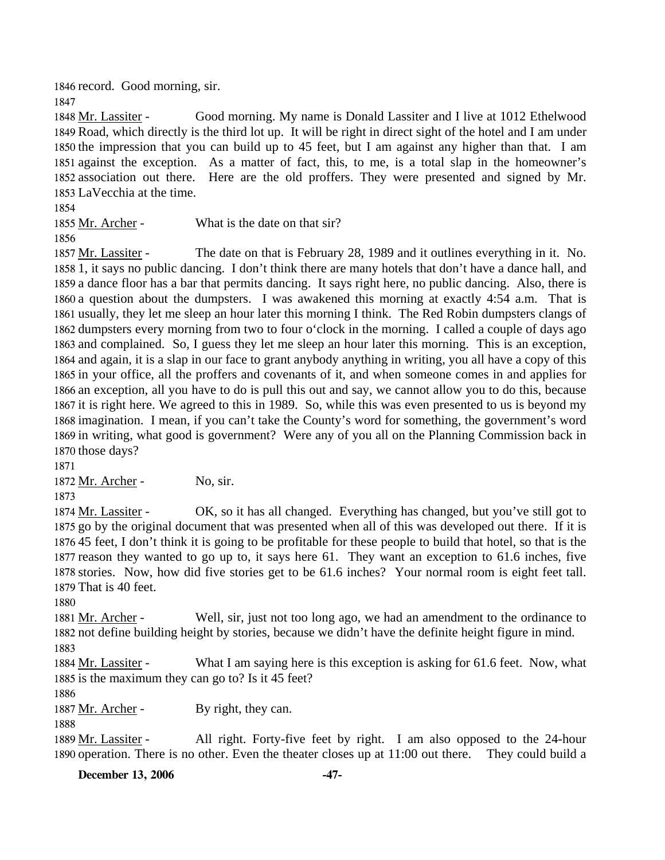1846 record. Good morning, sir.

1847

Good morning. My name is Donald Lassiter and I live at 1012 Ethelwood 1849 Road, which directly is the third lot up. It will be right in direct sight of the hotel and I am under 1850 the impression that you can build up to 45 feet, but I am against any higher than that. I am 1851 against the exception. As a matter of fact, this, to me, is a total slap in the homeowner's 1852 association out there. Here are the old proffers. They were presented and signed by Mr. 1853 LaVecchia at the time. 1848 Mr. Lassiter -

1854

1855 Mr. Archer - What is the date on that sir?

1856

The date on that is February 28, 1989 and it outlines everything in it. No. 1858 1, it says no public dancing. I don't think there are many hotels that don't have a dance hall, and 1859 a dance floor has a bar that permits dancing. It says right here, no public dancing. Also, there is 1860 a question about the dumpsters. I was awakened this morning at exactly 4:54 a.m. That is 1861 usually, they let me sleep an hour later this morning I think. The Red Robin dumpsters clangs of 1862 dumpsters every morning from two to four o'clock in the morning. I called a couple of days ago 1863 and complained. So, I guess they let me sleep an hour later this morning. This is an exception, 1864 and again, it is a slap in our face to grant anybody anything in writing, you all have a copy of this 1865 in your office, all the proffers and covenants of it, and when someone comes in and applies for 1866 an exception, all you have to do is pull this out and say, we cannot allow you to do this, because 1867 it is right here. We agreed to this in 1989. So, while this was even presented to us is beyond my 1868 imagination. I mean, if you can't take the County's word for something, the government's word 1869 in writing, what good is government? Were any of you all on the Planning Commission back in 1870 those days? 1857 Mr. Lassiter -

1871

1872 Mr. Archer - No, sir.

1873

OK, so it has all changed. Everything has changed, but you've still got to 1875 go by the original document that was presented when all of this was developed out there. If it is 1876 45 feet, I don't think it is going to be profitable for these people to build that hotel, so that is the 1877 reason they wanted to go up to, it says here 61. They want an exception to 61.6 inches, five 1878 stories. Now, how did five stories get to be 61.6 inches? Your normal room is eight feet tall. 1879 That is 40 feet. 1874 Mr. Lassiter -

1880

Well, sir, just not too long ago, we had an amendment to the ordinance to 1882 not define building height by stories, because we didn't have the definite height figure in mind. 1881 Mr. Archer -

1883

What I am saying here is this exception is asking for 61.6 feet. Now, what 1885 is the maximum they can go to? Is it 45 feet? 1884 Mr. Lassiter -

1886

1887 Mr. Archer - By right, they can.

1888

All right. Forty-five feet by right. I am also opposed to the 24-hour 1890 operation. There is no other. Even the theater closes up at 11:00 out there. They could build a 1889 Mr. Lassiter -

**December 13, 2006 -47-**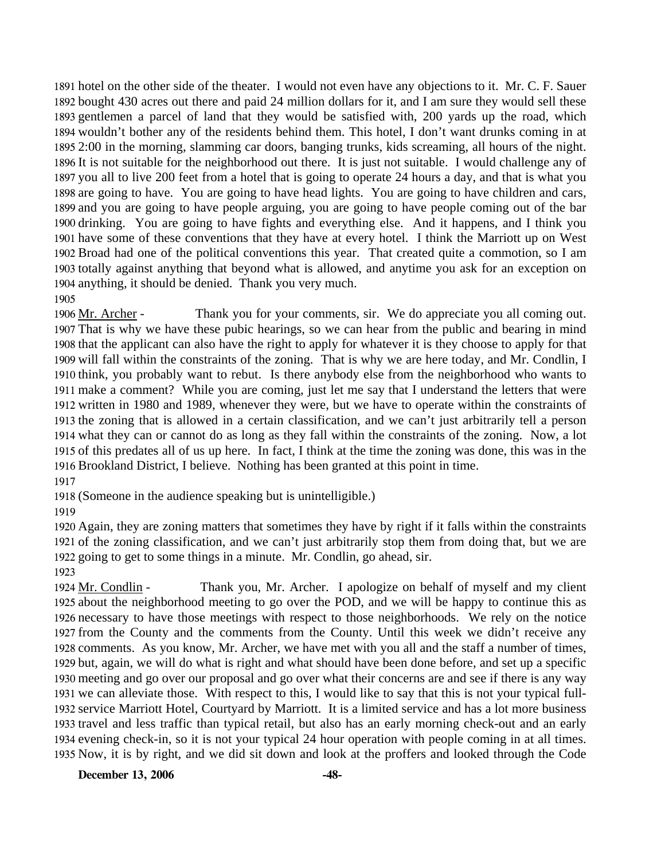hotel on the other side of the theater. I would not even have any objections to it. Mr. C. F. Sauer bought 430 acres out there and paid 24 million dollars for it, and I am sure they would sell these gentlemen a parcel of land that they would be satisfied with, 200 yards up the road, which wouldn't bother any of the residents behind them. This hotel, I don't want drunks coming in at 2:00 in the morning, slamming car doors, banging trunks, kids screaming, all hours of the night. It is not suitable for the neighborhood out there. It is just not suitable. I would challenge any of you all to live 200 feet from a hotel that is going to operate 24 hours a day, and that is what you are going to have. You are going to have head lights. You are going to have children and cars, and you are going to have people arguing, you are going to have people coming out of the bar drinking. You are going to have fights and everything else. And it happens, and I think you have some of these conventions that they have at every hotel. I think the Marriott up on West Broad had one of the political conventions this year. That created quite a commotion, so I am totally against anything that beyond what is allowed, and anytime you ask for an exception on anything, it should be denied. Thank you very much. 1905

Thank you for your comments, sir. We do appreciate you all coming out. 1907 That is why we have these pubic hearings, so we can hear from the public and bearing in mind 1908 that the applicant can also have the right to apply for whatever it is they choose to apply for that 1909 will fall within the constraints of the zoning. That is why we are here today, and Mr. Condlin, I 1910 think, you probably want to rebut. Is there anybody else from the neighborhood who wants to 1911 make a comment? While you are coming, just let me say that I understand the letters that were 1912 written in 1980 and 1989, whenever they were, but we have to operate within the constraints of 1913 the zoning that is allowed in a certain classification, and we can't just arbitrarily tell a person 1914 what they can or cannot do as long as they fall within the constraints of the zoning. Now, a lot 1915 of this predates all of us up here. In fact, I think at the time the zoning was done, this was in the 1916 Brookland District, I believe. Nothing has been granted at this point in time. 1906 Mr. Archer -

1917

1918 (Someone in the audience speaking but is unintelligible.)

1919

1920 Again, they are zoning matters that sometimes they have by right if it falls within the constraints 1921 of the zoning classification, and we can't just arbitrarily stop them from doing that, but we are 1922 going to get to some things in a minute. Mr. Condlin, go ahead, sir.

1923

Thank you, Mr. Archer. I apologize on behalf of myself and my client 1925 about the neighborhood meeting to go over the POD, and we will be happy to continue this as 1926 necessary to have those meetings with respect to those neighborhoods. We rely on the notice 1927 from the County and the comments from the County. Until this week we didn't receive any 1928 comments. As you know, Mr. Archer, we have met with you all and the staff a number of times, 1929 but, again, we will do what is right and what should have been done before, and set up a specific 1930 meeting and go over our proposal and go over what their concerns are and see if there is any way 1931 we can alleviate those. With respect to this, I would like to say that this is not your typical full-1932 service Marriott Hotel, Courtyard by Marriott. It is a limited service and has a lot more business 1933 travel and less traffic than typical retail, but also has an early morning check-out and an early 1934 evening check-in, so it is not your typical 24 hour operation with people coming in at all times. 1935 Now, it is by right, and we did sit down and look at the proffers and looked through the Code 1924 Mr. Condlin -

**December 13, 2006 -48-**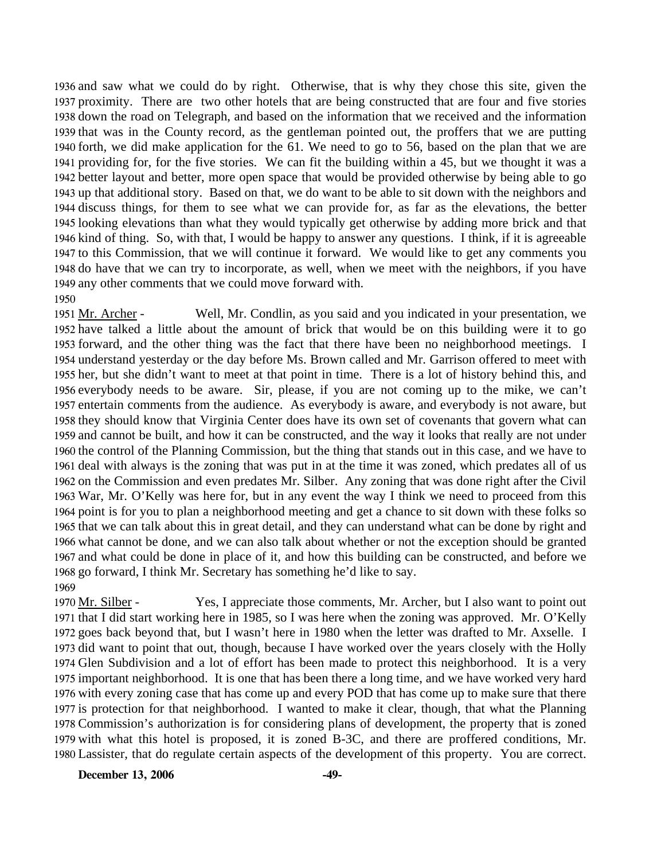and saw what we could do by right. Otherwise, that is why they chose this site, given the proximity. There are two other hotels that are being constructed that are four and five stories down the road on Telegraph, and based on the information that we received and the information that was in the County record, as the gentleman pointed out, the proffers that we are putting forth, we did make application for the 61. We need to go to 56, based on the plan that we are providing for, for the five stories. We can fit the building within a 45, but we thought it was a better layout and better, more open space that would be provided otherwise by being able to go up that additional story. Based on that, we do want to be able to sit down with the neighbors and discuss things, for them to see what we can provide for, as far as the elevations, the better looking elevations than what they would typically get otherwise by adding more brick and that kind of thing. So, with that, I would be happy to answer any questions. I think, if it is agreeable to this Commission, that we will continue it forward. We would like to get any comments you do have that we can try to incorporate, as well, when we meet with the neighbors, if you have any other comments that we could move forward with. 1950

Well, Mr. Condlin, as you said and you indicated in your presentation, we 1952 have talked a little about the amount of brick that would be on this building were it to go 1953 forward, and the other thing was the fact that there have been no neighborhood meetings. I 1954 understand yesterday or the day before Ms. Brown called and Mr. Garrison offered to meet with 1955 her, but she didn't want to meet at that point in time. There is a lot of history behind this, and 1956 everybody needs to be aware. Sir, please, if you are not coming up to the mike, we can't 1957 entertain comments from the audience. As everybody is aware, and everybody is not aware, but 1958 they should know that Virginia Center does have its own set of covenants that govern what can 1959 and cannot be built, and how it can be constructed, and the way it looks that really are not under 1960 the control of the Planning Commission, but the thing that stands out in this case, and we have to 1961 deal with always is the zoning that was put in at the time it was zoned, which predates all of us 1962 on the Commission and even predates Mr. Silber. Any zoning that was done right after the Civil 1963 War, Mr. O'Kelly was here for, but in any event the way I think we need to proceed from this 1964 point is for you to plan a neighborhood meeting and get a chance to sit down with these folks so 1965 that we can talk about this in great detail, and they can understand what can be done by right and 1966 what cannot be done, and we can also talk about whether or not the exception should be granted 1967 and what could be done in place of it, and how this building can be constructed, and before we 1968 go forward, I think Mr. Secretary has something he'd like to say. 1951 Mr. Archer -1969

Yes, I appreciate those comments, Mr. Archer, but I also want to point out 1971 that I did start working here in 1985, so I was here when the zoning was approved. Mr. O'Kelly 1972 goes back beyond that, but I wasn't here in 1980 when the letter was drafted to Mr. Axselle. I 1973 did want to point that out, though, because I have worked over the years closely with the Holly 1974 Glen Subdivision and a lot of effort has been made to protect this neighborhood. It is a very 1975 important neighborhood. It is one that has been there a long time, and we have worked very hard 1976 with every zoning case that has come up and every POD that has come up to make sure that there 1977 is protection for that neighborhood. I wanted to make it clear, though, that what the Planning 1978 Commission's authorization is for considering plans of development, the property that is zoned 1979 with what this hotel is proposed, it is zoned B-3C, and there are proffered conditions, Mr. Lassister, that do regulate certain aspects of the development of this property. You are correct. 1980 1970 Mr. Silber -

**December 13, 2006** -49-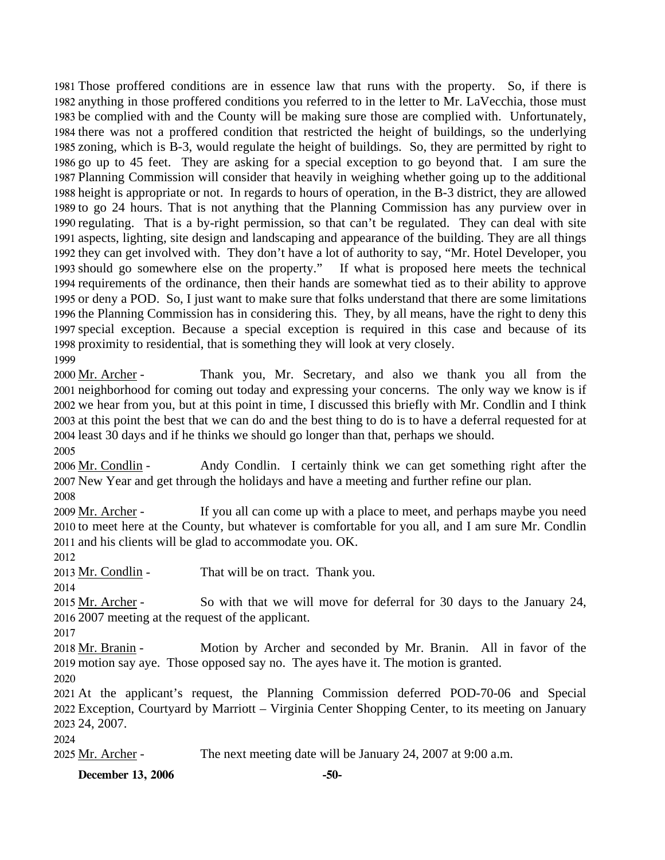Those proffered conditions are in essence law that runs with the property. So, if there is anything in those proffered conditions you referred to in the letter to Mr. LaVecchia, those must be complied with and the County will be making sure those are complied with. Unfortunately, there was not a proffered condition that restricted the height of buildings, so the underlying zoning, which is B-3, would regulate the height of buildings. So, they are permitted by right to go up to 45 feet. They are asking for a special exception to go beyond that. I am sure the Planning Commission will consider that heavily in weighing whether going up to the additional height is appropriate or not. In regards to hours of operation, in the B-3 district, they are allowed to go 24 hours. That is not anything that the Planning Commission has any purview over in regulating. That is a by-right permission, so that can't be regulated. They can deal with site aspects, lighting, site design and landscaping and appearance of the building. They are all things they can get involved with. They don't have a lot of authority to say, "Mr. Hotel Developer, you should go somewhere else on the property." If what is proposed here meets the technical requirements of the ordinance, then their hands are somewhat tied as to their ability to approve or deny a POD. So, I just want to make sure that folks understand that there are some limitations the Planning Commission has in considering this. They, by all means, have the right to deny this special exception. Because a special exception is required in this case and because of its proximity to residential, that is something they will look at very closely. 

Thank you, Mr. Secretary, and also we thank you all from the 2001 neighborhood for coming out today and expressing your concerns. The only way we know is if 2002 we hear from you, but at this point in time, I discussed this briefly with Mr. Condlin and I think 2003 at this point the best that we can do and the best thing to do is to have a deferral requested for at 2004 least 30 days and if he thinks we should go longer than that, perhaps we should. 2000 Mr. Archer -

Andy Condlin. I certainly think we can get something right after the 2007 New Year and get through the holidays and have a meeting and further refine our plan. 2006 Mr. Condlin -

If you all can come up with a place to meet, and perhaps maybe you need 2010 to meet here at the County, but whatever is comfortable for you all, and I am sure Mr. Condlin 2011 and his clients will be glad to accommodate you. OK. 2009 Mr. Archer -

2013 Mr. Condlin - That will be on tract. Thank you.

So with that we will move for deferral for 30 days to the January 24, 2007 meeting at the request of the applicant. 2015 Mr. Archer -

Motion by Archer and seconded by Mr. Branin. All in favor of the 2019 motion say aye. Those opposed say no. The ayes have it. The motion is granted. 2018 Mr. Branin -

 At the applicant's request, the Planning Commission deferred POD-70-06 and Special Exception, Courtyard by Marriott – Virginia Center Shopping Center, to its meeting on January 24, 2007.

Mr. Archer - The next meeting date will be January 24, 2007 at 9:00 a.m.

**December 13, 2006 -50-**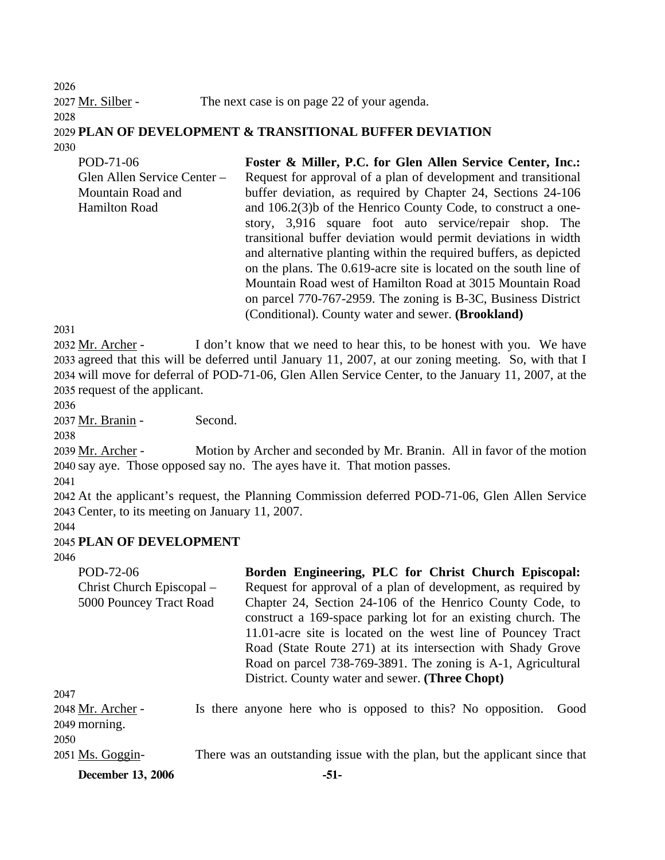2026 2027 Mr. Silber - The next case is on page 22 of your agenda. 2028 2029 **PLAN OF DEVELOPMENT & TRANSITIONAL BUFFER DEVIATION**  2030 POD-71-06 **Foster & Miller, P.C. for Glen Allen Service Center, Inc.:** 

Glen Allen Service Center – Mountain Road and Hamilton Road Request for approval of a plan of development and transitional buffer deviation, as required by Chapter 24, Sections 24-106 and 106.2(3)b of the Henrico County Code, to construct a onestory, 3,916 square foot auto service/repair shop. The transitional buffer deviation would permit deviations in width and alternative planting within the required buffers, as depicted on the plans. The 0.619-acre site is located on the south line of Mountain Road west of Hamilton Road at 3015 Mountain Road on parcel 770-767-2959. The zoning is B-3C, Business District (Conditional). County water and sewer. **(Brookland)** 

2031

I don't know that we need to hear this, to be honest with you. We have 2033 agreed that this will be deferred until January 11, 2007, at our zoning meeting. So, with that I 2034 will move for deferral of POD-71-06, Glen Allen Service Center, to the January 11, 2007, at the 2035 request of the applicant. 2032 Mr. Archer -

2036

2037 Mr. Branin - Second.

2038

Motion by Archer and seconded by Mr. Branin. All in favor of the motion 2040 say aye. Those opposed say no. The ayes have it. That motion passes. 2039 Mr. Archer -

2041

2042 At the applicant's request, the Planning Commission deferred POD-71-06, Glen Allen Service 2043 Center, to its meeting on January 11, 2007.

2044

## 2045 **PLAN OF DEVELOPMENT**

2046

| POD-72-06                          |  | Borden Engineering, PLC for Christ Church Episcopal:                                                                                                                                                                                                                                                                                                                         |
|------------------------------------|--|------------------------------------------------------------------------------------------------------------------------------------------------------------------------------------------------------------------------------------------------------------------------------------------------------------------------------------------------------------------------------|
| Christ Church Episcopal –          |  | Request for approval of a plan of development, as required by                                                                                                                                                                                                                                                                                                                |
| 5000 Pouncey Tract Road            |  | Chapter 24, Section 24-106 of the Henrico County Code, to<br>construct a 169-space parking lot for an existing church. The<br>11.01-acre site is located on the west line of Pouncey Tract<br>Road (State Route 271) at its intersection with Shady Grove<br>Road on parcel 738-769-3891. The zoning is A-1, Agricultural<br>District. County water and sewer. (Three Chopt) |
| 2047                               |  |                                                                                                                                                                                                                                                                                                                                                                              |
| 2048 Mr. Archer -<br>2049 morning. |  | Is there anyone here who is opposed to this? No opposition.<br>Good                                                                                                                                                                                                                                                                                                          |
| 2050                               |  |                                                                                                                                                                                                                                                                                                                                                                              |
| 2051 Ms. Goggin-                   |  | There was an outstanding issue with the plan, but the applicant since that                                                                                                                                                                                                                                                                                                   |
| <b>December 13, 2006</b>           |  | -51-                                                                                                                                                                                                                                                                                                                                                                         |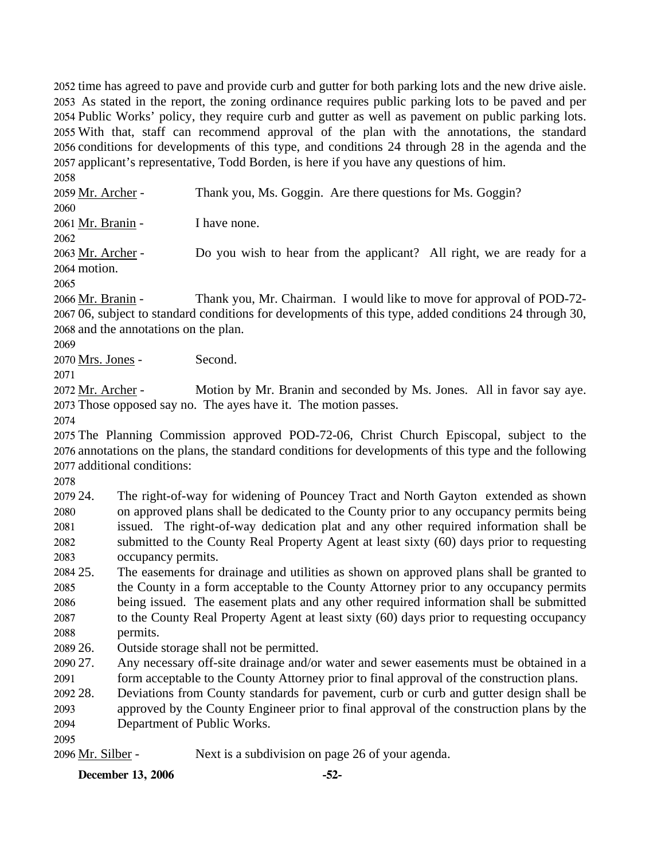time has agreed to pave and provide curb and gutter for both parking lots and the new drive aisle. As stated in the report, the zoning ordinance requires public parking lots to be paved and per Public Works' policy, they require curb and gutter as well as pavement on public parking lots. With that, staff can recommend approval of the plan with the annotations, the standard conditions for developments of this type, and conditions 24 through 28 in the agenda and the applicant's representative, Todd Borden, is here if you have any questions of him.

2058 2059 Mr. Archer - Thank you, Ms. Goggin. Are there questions for Ms. Goggin? 2060 2061 Mr. Branin - I have none. 2062 Do you wish to hear from the applicant? All right, we are ready for a 2064 motion. 2063 Mr. Archer -2065 Thank you, Mr. Chairman. I would like to move for approval of POD-72-2066 Mr. Branin -

2067 06, subject to standard conditions for developments of this type, added conditions 24 through 30, 2068 and the annotations on the plan.

2069

2070 Mrs. Jones - Second.

2071

Motion by Mr. Branin and seconded by Ms. Jones. All in favor say aye. 2073 Those opposed say no. The ayes have it. The motion passes. 2072 Mr. Archer -

2074

2075 The Planning Commission approved POD-72-06, Christ Church Episcopal, subject to the 2076 annotations on the plans, the standard conditions for developments of this type and the following 2077 additional conditions:

2078

2079 24. 2080 2081 2082 2083 The right-of-way for widening of Pouncey Tract and North Gayton extended as shown on approved plans shall be dedicated to the County prior to any occupancy permits being issued. The right-of-way dedication plat and any other required information shall be submitted to the County Real Property Agent at least sixty (60) days prior to requesting occupancy permits.

2084 25. 2085 2086 2087 2088 25. The easements for drainage and utilities as shown on approved plans shall be granted to the County in a form acceptable to the County Attorney prior to any occupancy permits being issued. The easement plats and any other required information shall be submitted to the County Real Property Agent at least sixty (60) days prior to requesting occupancy permits.

2089 26. Outside storage shall not be permitted.

2090 27. 2091 Any necessary off-site drainage and/or water and sewer easements must be obtained in a form acceptable to the County Attorney prior to final approval of the construction plans.

2092 28. Deviations from County standards for pavement, curb or curb and gutter design shall be

2093 2094 approved by the County Engineer prior to final approval of the construction plans by the Department of Public Works.

2095

2096 Mr. Silber - Next is a subdivision on page 26 of your agenda.

**December 13, 2006 -52-**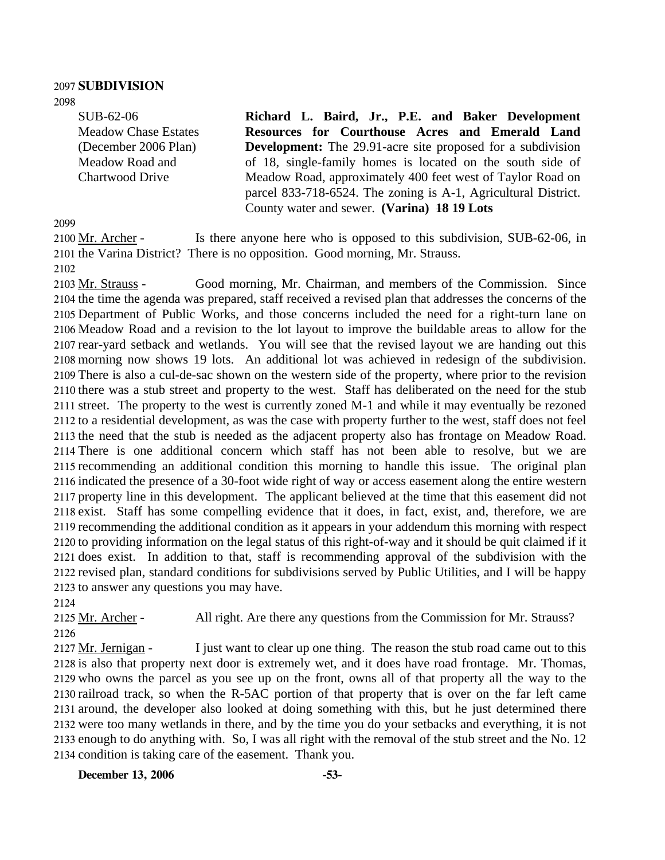# 2097 **SUBDIVISION**

2098

SUB-62-06 Meadow Chase Estates (December 2006 Plan) Meadow Road and Chartwood Drive

**Richard L. Baird, Jr., P.E. and Baker Development Resources for Courthouse Acres and Emerald Land Development:** The 29.91-acre site proposed for a subdivision of 18, single-family homes is located on the south side of Meadow Road, approximately 400 feet west of Taylor Road on parcel 833-718-6524. The zoning is A-1, Agricultural District. County water and sewer. **(Varina) 18 19 Lots** 

2099

Is there anyone here who is opposed to this subdivision, SUB-62-06, in 2101 the Varina District? There is no opposition. Good morning, Mr. Strauss. 2100 Mr. Archer -

2102

Good morning, Mr. Chairman, and members of the Commission. Since 2104 the time the agenda was prepared, staff received a revised plan that addresses the concerns of the 2105 Department of Public Works, and those concerns included the need for a right-turn lane on 2106 Meadow Road and a revision to the lot layout to improve the buildable areas to allow for the 2107 rear-yard setback and wetlands. You will see that the revised layout we are handing out this 2108 morning now shows 19 lots. An additional lot was achieved in redesign of the subdivision. 2109 There is also a cul-de-sac shown on the western side of the property, where prior to the revision 2110 there was a stub street and property to the west. Staff has deliberated on the need for the stub 2111 street. The property to the west is currently zoned M-1 and while it may eventually be rezoned 2112 to a residential development, as was the case with property further to the west, staff does not feel 2113 the need that the stub is needed as the adjacent property also has frontage on Meadow Road. 2114 There is one additional concern which staff has not been able to resolve, but we are 2115 recommending an additional condition this morning to handle this issue. The original plan 2116 indicated the presence of a 30-foot wide right of way or access easement along the entire western 2117 property line in this development. The applicant believed at the time that this easement did not 2118 exist. Staff has some compelling evidence that it does, in fact, exist, and, therefore, we are 2119 recommending the additional condition as it appears in your addendum this morning with respect 2120 to providing information on the legal status of this right-of-way and it should be quit claimed if it 2121 does exist. In addition to that, staff is recommending approval of the subdivision with the 2122 revised plan, standard conditions for subdivisions served by Public Utilities, and I will be happy 2123 to answer any questions you may have. 2103 Mr. Strauss -2124

2125 Mr. Archer - All right. Are there any questions from the Commission for Mr. Strauss?

2126

I just want to clear up one thing. The reason the stub road came out to this 2128 is also that property next door is extremely wet, and it does have road frontage. Mr. Thomas, 2129 who owns the parcel as you see up on the front, owns all of that property all the way to the 2130 railroad track, so when the R-5AC portion of that property that is over on the far left came 2131 around, the developer also looked at doing something with this, but he just determined there 2132 were too many wetlands in there, and by the time you do your setbacks and everything, it is not 2133 enough to do anything with. So, I was all right with the removal of the stub street and the No. 12 2134 condition is taking care of the easement. Thank you. 2127 Mr. Jernigan -

**December 13, 2006 -53-**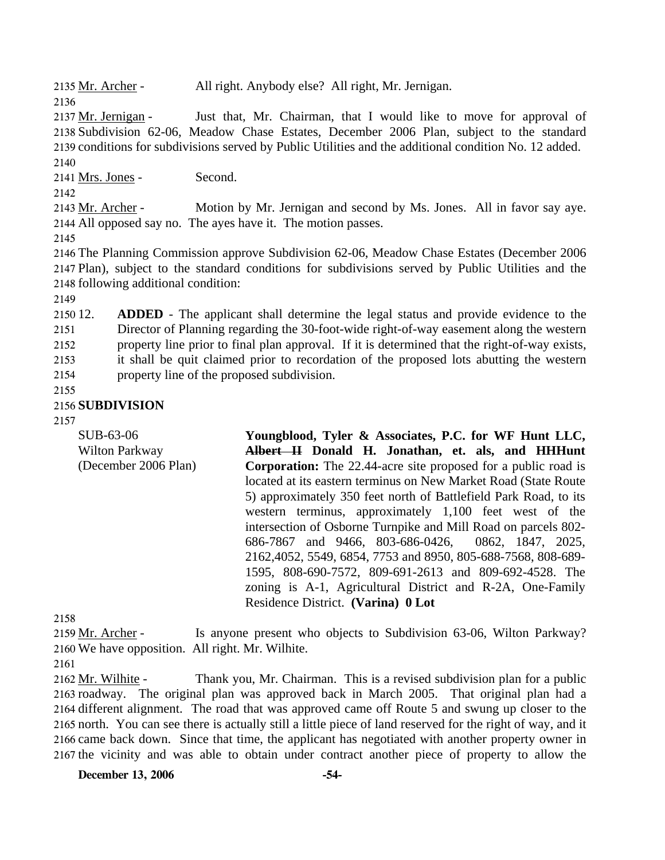2135 Mr. Archer - All right. Anybody else? All right, Mr. Jernigan.

2136

Just that, Mr. Chairman, that I would like to move for approval of 2138 Subdivision 62-06, Meadow Chase Estates, December 2006 Plan, subject to the standard 2139 conditions for subdivisions served by Public Utilities and the additional condition No. 12 added. 2137 Mr. Jernigan -2140

2141 Mrs. Jones - Second.

2142

Motion by Mr. Jernigan and second by Ms. Jones. All in favor say aye. 2144 All opposed say no. The ayes have it. The motion passes. 2143 Mr. Archer -

2145

2146 The Planning Commission approve Subdivision 62-06, Meadow Chase Estates (December 2006 2147 Plan), subject to the standard conditions for subdivisions served by Public Utilities and the 2148 following additional condition:

2149

2150 12. 2151 2152 2153 2154 **ADDED** - The applicant shall determine the legal status and provide evidence to the Director of Planning regarding the 30-foot-wide right-of-way easement along the western property line prior to final plan approval. If it is determined that the right-of-way exists, it shall be quit claimed prior to recordation of the proposed lots abutting the western property line of the proposed subdivision.

2155

## 2156 **SUBDIVISION**

2157

SUB-63-06 Wilton Parkway (December 2006 Plan) **Youngblood, Tyler & Associates, P.C. for WF Hunt LLC, Albert II Donald H. Jonathan, et. als, and HHHunt Corporation:** The 22.44-acre site proposed for a public road is located at its eastern terminus on New Market Road (State Route 5) approximately 350 feet north of Battlefield Park Road, to its western terminus, approximately 1,100 feet west of the intersection of Osborne Turnpike and Mill Road on parcels 802- 686-7867 and 9466, 803-686-0426, 0862, 1847, 2025, 2162,4052, 5549, 6854, 7753 and 8950, 805-688-7568, 808-689- 1595, 808-690-7572, 809-691-2613 and 809-692-4528. The zoning is A-1, Agricultural District and R-2A, One-Family Residence District. **(Varina) 0 Lot** 

2158

Is anyone present who objects to Subdivision 63-06, Wilton Parkway? 2160 We have opposition. All right. Mr. Wilhite. 2159 Mr. Archer -

2161

Thank you, Mr. Chairman. This is a revised subdivision plan for a public 2163 roadway. The original plan was approved back in March 2005. That original plan had a 2164 different alignment. The road that was approved came off Route 5 and swung up closer to the 2165 north. You can see there is actually still a little piece of land reserved for the right of way, and it 2166 came back down. Since that time, the applicant has negotiated with another property owner in 2167 the vicinity and was able to obtain under contract another piece of property to allow the 2162 Mr. Wilhite -

**December 13, 2006 -54-**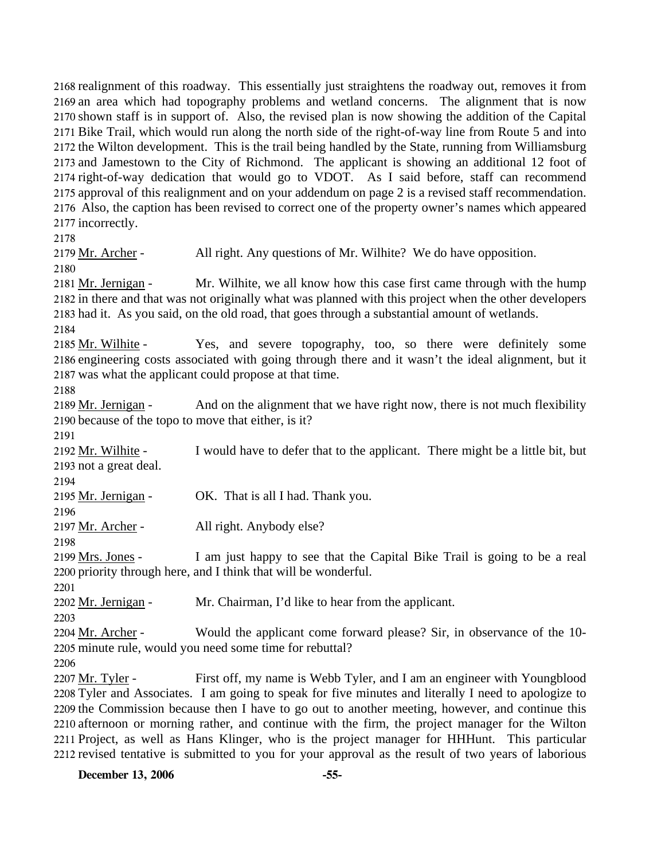realignment of this roadway. This essentially just straightens the roadway out, removes it from an area which had topography problems and wetland concerns. The alignment that is now shown staff is in support of. Also, the revised plan is now showing the addition of the Capital Bike Trail, which would run along the north side of the right-of-way line from Route 5 and into the Wilton development. This is the trail being handled by the State, running from Williamsburg and Jamestown to the City of Richmond. The applicant is showing an additional 12 foot of right-of-way dedication that would go to VDOT. As I said before, staff can recommend approval of this realignment and on your addendum on page 2 is a revised staff recommendation. Also, the caption has been revised to correct one of the property owner's names which appeared incorrectly.

2178

2179 Mr. Archer - All right. Any questions of Mr. Wilhite? We do have opposition.

2180

Mr. Wilhite, we all know how this case first came through with the hump 2182 in there and that was not originally what was planned with this project when the other developers 2183 had it. As you said, on the old road, that goes through a substantial amount of wetlands. 2181 Mr. Jernigan -

2184

Yes, and severe topography, too, so there were definitely some 2186 engineering costs associated with going through there and it wasn't the ideal alignment, but it 2187 was what the applicant could propose at that time. 2185 Mr. Wilhite -

2188

And on the alignment that we have right now, there is not much flexibility 2190 because of the topo to move that either, is it? 2189 Mr. Jernigan -

2191

I would have to defer that to the applicant. There might be a little bit, but 2193 not a great deal. 2192 Mr. Wilhite -

2194

2195 Mr. Jernigan - OK. That is all I had. Thank you.

2196

2197 Mr. Archer - All right. Anybody else?

2198

I am just happy to see that the Capital Bike Trail is going to be a real 2200 priority through here, and I think that will be wonderful. 2199 Mrs. Jones -

2201

2202 Mr. Jernigan - Mr. Chairman, I'd like to hear from the applicant.

2203

Would the applicant come forward please? Sir, in observance of the 10-2205 minute rule, would you need some time for rebuttal? 2204 Mr. Archer -

2206

First off, my name is Webb Tyler, and I am an engineer with Youngblood 2208 Tyler and Associates. I am going to speak for five minutes and literally I need to apologize to 2209 the Commission because then I have to go out to another meeting, however, and continue this 2210 afternoon or morning rather, and continue with the firm, the project manager for the Wilton 2211 Project, as well as Hans Klinger, who is the project manager for HHHunt. This particular 2212 revised tentative is submitted to you for your approval as the result of two years of laborious 2207 Mr. Tyler -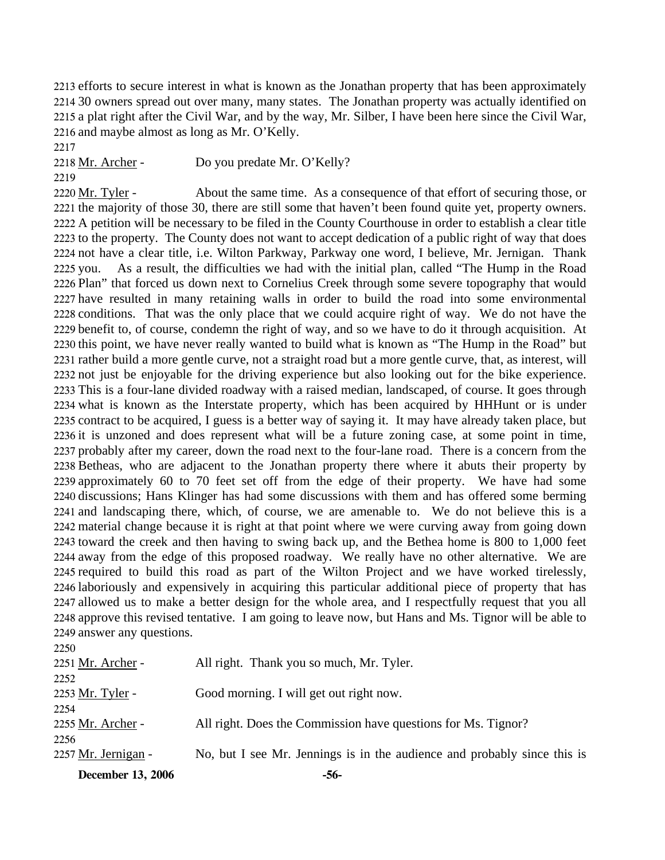efforts to secure interest in what is known as the Jonathan property that has been approximately 30 owners spread out over many, many states. The Jonathan property was actually identified on a plat right after the Civil War, and by the way, Mr. Silber, I have been here since the Civil War, and maybe almost as long as Mr. O'Kelly.

2217

2218 Mr. Archer - Do you predate Mr. O'Kelly?

2219

About the same time. As a consequence of that effort of securing those, or 2221 the majority of those 30, there are still some that haven't been found quite yet, property owners. 2222 A petition will be necessary to be filed in the County Courthouse in order to establish a clear title 2223 to the property. The County does not want to accept dedication of a public right of way that does 2224 not have a clear title, i.e. Wilton Parkway, Parkway one word, I believe, Mr. Jernigan. Thank As a result, the difficulties we had with the initial plan, called "The Hump in the Road 2226 Plan" that forced us down next to Cornelius Creek through some severe topography that would 2227 have resulted in many retaining walls in order to build the road into some environmental 2228 conditions. That was the only place that we could acquire right of way. We do not have the 2229 benefit to, of course, condemn the right of way, and so we have to do it through acquisition. At 2230 this point, we have never really wanted to build what is known as "The Hump in the Road" but 2231 rather build a more gentle curve, not a straight road but a more gentle curve, that, as interest, will 2232 not just be enjoyable for the driving experience but also looking out for the bike experience. 2233 This is a four-lane divided roadway with a raised median, landscaped, of course. It goes through 2234 what is known as the Interstate property, which has been acquired by HHHunt or is under 2235 contract to be acquired, I guess is a better way of saying it. It may have already taken place, but 2236 it is unzoned and does represent what will be a future zoning case, at some point in time, 2237 probably after my career, down the road next to the four-lane road. There is a concern from the 2238 Betheas, who are adjacent to the Jonathan property there where it abuts their property by 2239 approximately 60 to 70 feet set off from the edge of their property. We have had some 2240 discussions; Hans Klinger has had some discussions with them and has offered some berming 2241 and landscaping there, which, of course, we are amenable to. We do not believe this is a 2242 material change because it is right at that point where we were curving away from going down 2243 toward the creek and then having to swing back up, and the Bethea home is 800 to 1,000 feet 2244 away from the edge of this proposed roadway. We really have no other alternative. We are 2245 required to build this road as part of the Wilton Project and we have worked tirelessly, 2246 laboriously and expensively in acquiring this particular additional piece of property that has 2247 allowed us to make a better design for the whole area, and I respectfully request that you all 2248 approve this revised tentative. I am going to leave now, but Hans and Ms. Tignor will be able to 2249 answer any questions. 2220 Mr. Tyler -2225 you.

| <b>December 13, 2006</b> | -56-                                                                     |
|--------------------------|--------------------------------------------------------------------------|
| 2257 Mr. Jernigan -      | No, but I see Mr. Jennings is in the audience and probably since this is |
| 2256                     |                                                                          |
| 2255 Mr. Archer -        | All right. Does the Commission have questions for Ms. Tignor?            |
| 2254                     |                                                                          |
| 2253 Mr. Tyler -         | Good morning. I will get out right now.                                  |
| 2252                     |                                                                          |
| 2251 Mr. Archer -        | All right. Thank you so much, Mr. Tyler.                                 |
| 2250                     |                                                                          |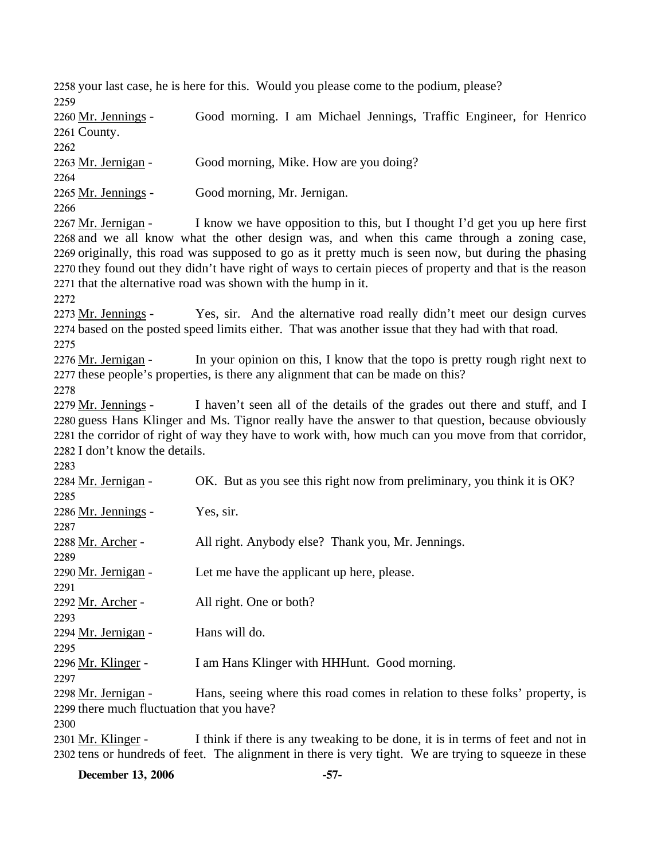2258 your last case, he is here for this. Would you please come to the podium, please? 2259

Good morning. I am Michael Jennings, Traffic Engineer, for Henrico 2261 County. 2260 Mr. Jennings -2262 2263 Mr. Jernigan - Good morning, Mike. How are you doing? 2264 2265 Mr. Jennings - Good morning, Mr. Jernigan. 2266

I know we have opposition to this, but I thought I'd get you up here first 2268 and we all know what the other design was, and when this came through a zoning case, 2269 originally, this road was supposed to go as it pretty much is seen now, but during the phasing 2270 they found out they didn't have right of ways to certain pieces of property and that is the reason 2271 that the alternative road was shown with the hump in it. 2267 Mr. Jernigan -

2272

Yes, sir. And the alternative road really didn't meet our design curves 2274 based on the posted speed limits either. That was another issue that they had with that road. 2273 Mr. Jennings -

2275

In your opinion on this, I know that the topo is pretty rough right next to 2277 these people's properties, is there any alignment that can be made on this? 2276 Mr. Jernigan -

2278

I haven't seen all of the details of the grades out there and stuff, and I 2280 guess Hans Klinger and Ms. Tignor really have the answer to that question, because obviously 2281 the corridor of right of way they have to work with, how much can you move from that corridor, 2282 I don't know the details. 2279 Mr. Jennings -

2283

| 2284 Mr. Jernigan -                        | OK. But as you see this right now from preliminary, you think it is OK?     |
|--------------------------------------------|-----------------------------------------------------------------------------|
| 2285                                       |                                                                             |
| 2286 Mr. Jennings -                        | Yes, sir.                                                                   |
| 2287                                       |                                                                             |
| 2288 Mr. Archer -                          | All right. Anybody else? Thank you, Mr. Jennings.                           |
| 2289                                       |                                                                             |
| 2290 Mr. Jernigan -                        | Let me have the applicant up here, please.                                  |
| 2291                                       |                                                                             |
| 2292 Mr. Archer -                          | All right. One or both?                                                     |
| 2293                                       |                                                                             |
| 2294 Mr. Jernigan -                        | Hans will do.                                                               |
| 2295                                       |                                                                             |
| 2296 Mr. Klinger -                         | I am Hans Klinger with HHHunt. Good morning.                                |
| 2297                                       |                                                                             |
| 2298 Mr. Jernigan -                        | Hans, seeing where this road comes in relation to these folks' property, is |
| 2299 there much fluctuation that you have? |                                                                             |

2300

I think if there is any tweaking to be done, it is in terms of feet and not in 2302 tens or hundreds of feet. The alignment in there is very tight. We are trying to squeeze in these 2301 Mr. Klinger -

**December 13, 2006 -57-**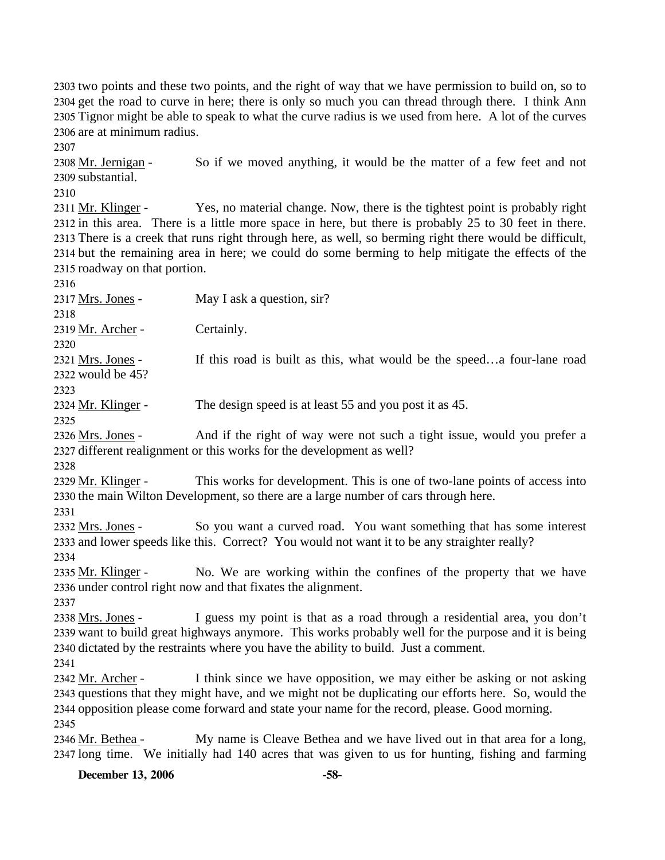two points and these two points, and the right of way that we have permission to build on, so to get the road to curve in here; there is only so much you can thread through there. I think Ann Tignor might be able to speak to what the curve radius is we used from here. A lot of the curves are at minimum radius.

2307

So if we moved anything, it would be the matter of a few feet and not 2309 substantial. 2308 Mr. Jernigan -

2310

Yes, no material change. Now, there is the tightest point is probably right 2312 in this area. There is a little more space in here, but there is probably 25 to 30 feet in there. 2313 There is a creek that runs right through here, as well, so berming right there would be difficult, 2314 but the remaining area in here; we could do some berming to help mitigate the effects of the 2315 roadway on that portion. 2311 Mr. Klinger -

2316

2317 Mrs. Jones - May I ask a question, sir?

2319 Mr. Archer - Certainly.

2320

2318

If this road is built as this, what would be the speed...a four-lane road would be 45? 2322 2321 Mrs. Jones -

2323

2324 Mr. Klinger - The design speed is at least 55 and you post it as 45.

2325

And if the right of way were not such a tight issue, would you prefer a 2327 different realignment or this works for the development as well? 2326 Mrs. Jones -

2328

This works for development. This is one of two-lane points of access into 2330 the main Wilton Development, so there are a large number of cars through here. 2329 Mr. Klinger -

2331

So you want a curved road. You want something that has some interest 2333 and lower speeds like this. Correct? You would not want it to be any straighter really? 2332 Mrs. Jones -2334

No. We are working within the confines of the property that we have 2336 under control right now and that fixates the alignment. 2335 Mr. Klinger -

2337

I guess my point is that as a road through a residential area, you don't 2339 want to build great highways anymore. This works probably well for the purpose and it is being 2340 dictated by the restraints where you have the ability to build. Just a comment. 2338 Mrs. Jones -

2341

I think since we have opposition, we may either be asking or not asking 2343 questions that they might have, and we might not be duplicating our efforts here. So, would the 2344 opposition please come forward and state your name for the record, please. Good morning. 2342 Mr. Archer -2345

My name is Cleave Bethea and we have lived out in that area for a long, 2347 long time. We initially had 140 acres that was given to us for hunting, fishing and farming 2346 Mr. Bethea -

**December 13, 2006 -58-**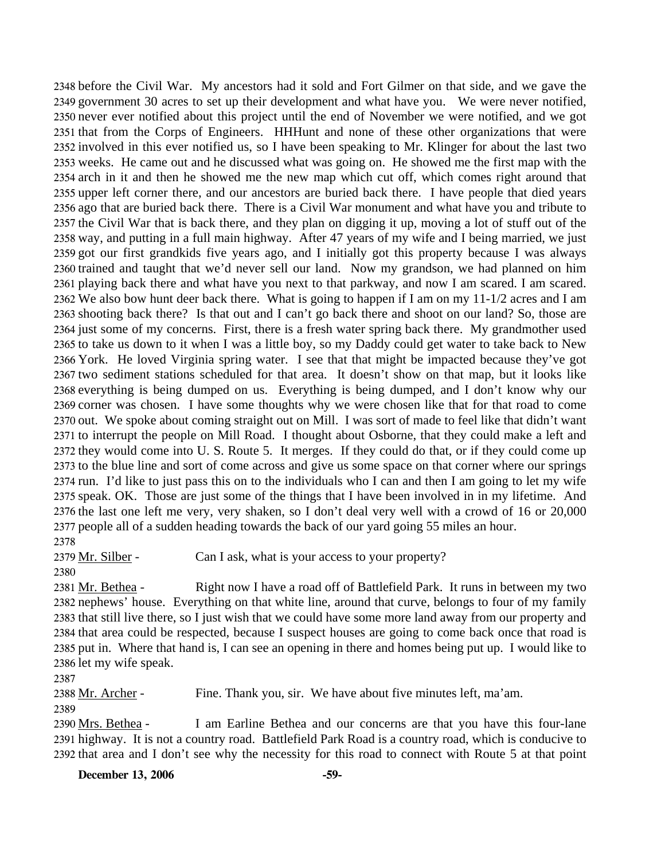before the Civil War. My ancestors had it sold and Fort Gilmer on that side, and we gave the government 30 acres to set up their development and what have you. We were never notified, never ever notified about this project until the end of November we were notified, and we got that from the Corps of Engineers. HHHunt and none of these other organizations that were involved in this ever notified us, so I have been speaking to Mr. Klinger for about the last two weeks. He came out and he discussed what was going on. He showed me the first map with the arch in it and then he showed me the new map which cut off, which comes right around that upper left corner there, and our ancestors are buried back there. I have people that died years ago that are buried back there. There is a Civil War monument and what have you and tribute to the Civil War that is back there, and they plan on digging it up, moving a lot of stuff out of the way, and putting in a full main highway. After 47 years of my wife and I being married, we just got our first grandkids five years ago, and I initially got this property because I was always trained and taught that we'd never sell our land. Now my grandson, we had planned on him playing back there and what have you next to that parkway, and now I am scared. I am scared. We also bow hunt deer back there. What is going to happen if I am on my 11-1/2 acres and I am shooting back there? Is that out and I can't go back there and shoot on our land? So, those are just some of my concerns. First, there is a fresh water spring back there. My grandmother used to take us down to it when I was a little boy, so my Daddy could get water to take back to New York. He loved Virginia spring water. I see that that might be impacted because they've got two sediment stations scheduled for that area. It doesn't show on that map, but it looks like everything is being dumped on us. Everything is being dumped, and I don't know why our corner was chosen. I have some thoughts why we were chosen like that for that road to come out. We spoke about coming straight out on Mill. I was sort of made to feel like that didn't want to interrupt the people on Mill Road. I thought about Osborne, that they could make a left and they would come into U. S. Route 5. It merges. If they could do that, or if they could come up to the blue line and sort of come across and give us some space on that corner where our springs run. I'd like to just pass this on to the individuals who I can and then I am going to let my wife speak. OK. Those are just some of the things that I have been involved in in my lifetime. And the last one left me very, very shaken, so I don't deal very well with a crowd of 16 or 20,000 people all of a sudden heading towards the back of our yard going 55 miles an hour. 

2379 Mr. Silber - Can I ask, what is your access to your property?

Right now I have a road off of Battlefield Park. It runs in between my two 2382 nephews' house. Everything on that white line, around that curve, belongs to four of my family 2383 that still live there, so I just wish that we could have some more land away from our property and 2384 that area could be respected, because I suspect houses are going to come back once that road is 2385 put in. Where that hand is, I can see an opening in there and homes being put up. I would like to 2386 let my wife speak. 2381 Mr. Bethea -

2388 Mr. Archer - Fine. Thank you, sir. We have about five minutes left, ma'am. 

2390 Mrs. Bethea -

I am Earline Bethea and our concerns are that you have this four-lane 2391 highway. It is not a country road. Battlefield Park Road is a country road, which is conducive to 2392 that area and I don't see why the necessity for this road to connect with Route 5 at that point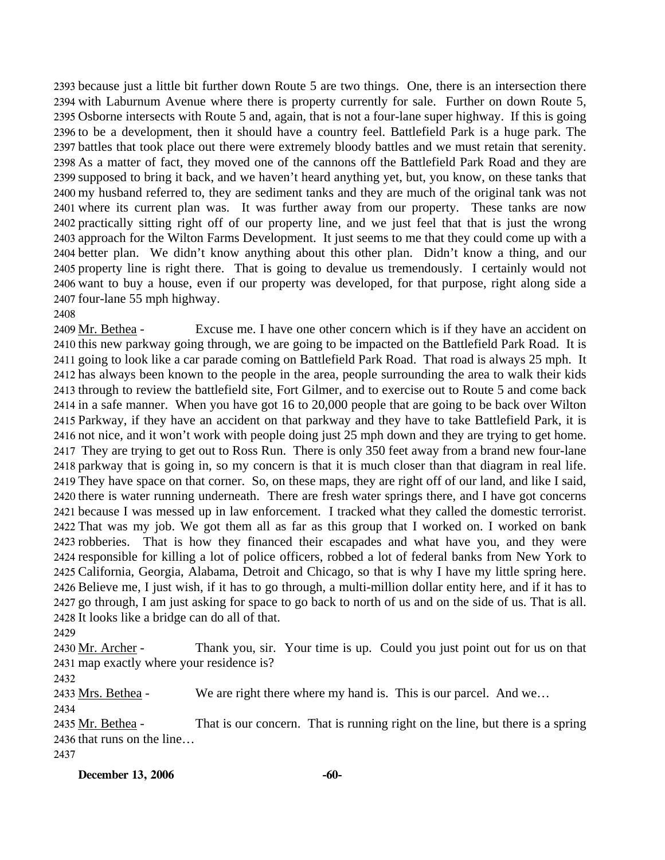because just a little bit further down Route 5 are two things. One, there is an intersection there with Laburnum Avenue where there is property currently for sale. Further on down Route 5, Osborne intersects with Route 5 and, again, that is not a four-lane super highway. If this is going to be a development, then it should have a country feel. Battlefield Park is a huge park. The battles that took place out there were extremely bloody battles and we must retain that serenity. As a matter of fact, they moved one of the cannons off the Battlefield Park Road and they are supposed to bring it back, and we haven't heard anything yet, but, you know, on these tanks that my husband referred to, they are sediment tanks and they are much of the original tank was not where its current plan was. It was further away from our property. These tanks are now practically sitting right off of our property line, and we just feel that that is just the wrong approach for the Wilton Farms Development. It just seems to me that they could come up with a better plan. We didn't know anything about this other plan. Didn't know a thing, and our property line is right there. That is going to devalue us tremendously. I certainly would not want to buy a house, even if our property was developed, for that purpose, right along side a four-lane 55 mph highway.

#### 2408

Excuse me. I have one other concern which is if they have an accident on 2410 this new parkway going through, we are going to be impacted on the Battlefield Park Road. It is 2411 going to look like a car parade coming on Battlefield Park Road. That road is always 25 mph. It 2412 has always been known to the people in the area, people surrounding the area to walk their kids 2413 through to review the battlefield site, Fort Gilmer, and to exercise out to Route 5 and come back 2414 in a safe manner. When you have got 16 to 20,000 people that are going to be back over Wilton 2415 Parkway, if they have an accident on that parkway and they have to take Battlefield Park, it is 2416 not nice, and it won't work with people doing just 25 mph down and they are trying to get home. 2417 They are trying to get out to Ross Run. There is only 350 feet away from a brand new four-lane 2418 parkway that is going in, so my concern is that it is much closer than that diagram in real life. 2419 They have space on that corner. So, on these maps, they are right off of our land, and like I said, 2420 there is water running underneath. There are fresh water springs there, and I have got concerns 2421 because I was messed up in law enforcement. I tracked what they called the domestic terrorist. 2422 That was my job. We got them all as far as this group that I worked on. I worked on bank 2423 robberies. That is how they financed their escapades and what have you, and they were 2424 responsible for killing a lot of police officers, robbed a lot of federal banks from New York to 2425 California, Georgia, Alabama, Detroit and Chicago, so that is why I have my little spring here. 2426 Believe me, I just wish, if it has to go through, a multi-million dollar entity here, and if it has to 2427 go through, I am just asking for space to go back to north of us and on the side of us. That is all. 2428 It looks like a bridge can do all of that. 2409 Mr. Bethea -

2429

Thank you, sir. Your time is up. Could you just point out for us on that 2431 map exactly where your residence is? 2430 Mr. Archer -

2432

2433 Mrs. Bethea - We are right there where my hand is. This is our parcel. And we...

2434

That is our concern. That is running right on the line, but there is a spring 2436 that runs on the line... 2435 Mr. Bethea -2437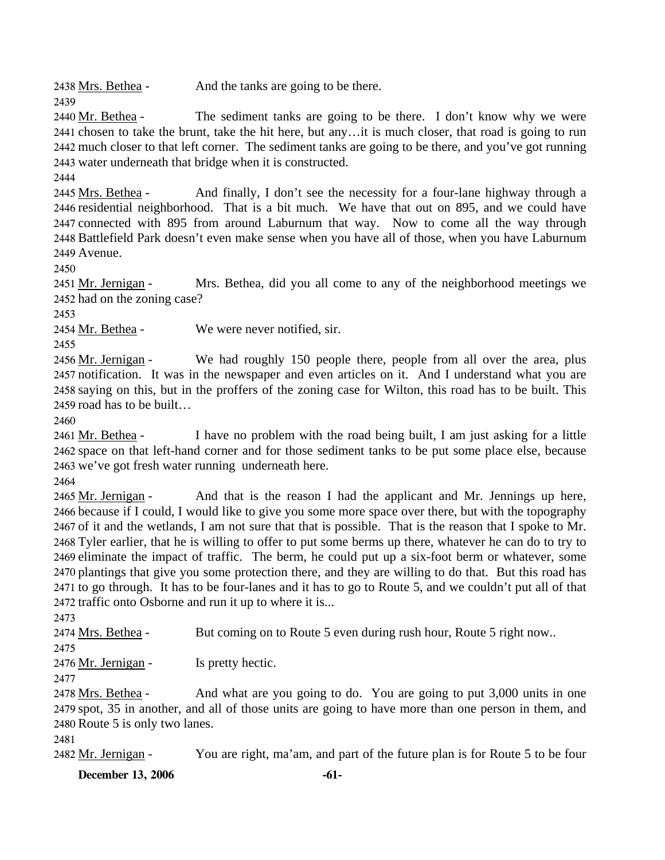2438 Mrs. Bethea - And the tanks are going to be there.

The sediment tanks are going to be there. I don't know why we were 2441 chosen to take the brunt, take the hit here, but any...it is much closer, that road is going to run 2442 much closer to that left corner. The sediment tanks are going to be there, and you've got running 2443 water underneath that bridge when it is constructed. 2440 Mr. Bethea -

2444

2439

And finally, I don't see the necessity for a four-lane highway through a 2446 residential neighborhood. That is a bit much. We have that out on 895, and we could have 2447 connected with 895 from around Laburnum that way. Now to come all the way through 2448 Battlefield Park doesn't even make sense when you have all of those, when you have Laburnum 2449 Avenue. 2445 Mrs. Bethea -

2450

Mrs. Bethea, did you all come to any of the neighborhood meetings we 2452 had on the zoning case? 2451 Mr. Jernigan -

2453

2454 Mr. Bethea - We were never notified, sir.

2455

We had roughly 150 people there, people from all over the area, plus 2457 notification. It was in the newspaper and even articles on it. And I understand what you are 2458 saying on this, but in the proffers of the zoning case for Wilton, this road has to be built. This 2459 road has to be built... 2456 Mr. Jernigan -

2460

I have no problem with the road being built, I am just asking for a little 2462 space on that left-hand corner and for those sediment tanks to be put some place else, because 2463 we've got fresh water running underneath here. 2461 Mr. Bethea -

2464

And that is the reason I had the applicant and Mr. Jennings up here, 2466 because if I could, I would like to give you some more space over there, but with the topography 2467 of it and the wetlands, I am not sure that that is possible. That is the reason that I spoke to Mr. 2468 Tyler earlier, that he is willing to offer to put some berms up there, whatever he can do to try to 2469 eliminate the impact of traffic. The berm, he could put up a six-foot berm or whatever, some 2470 plantings that give you some protection there, and they are willing to do that. But this road has 2471 to go through. It has to be four-lanes and it has to go to Route 5, and we couldn't put all of that 2472 traffic onto Osborne and run it up to where it is... 2465 Mr. Jernigan -

2473

2474 Mrs. Bethea - But coming on to Route 5 even during rush hour, Route 5 right now..

2475

2476 Mr. Jernigan - Is pretty hectic.

2477

And what are you going to do. You are going to put 3,000 units in one 2479 spot, 35 in another, and all of those units are going to have more than one person in them, and 2480 Route 5 is only two lanes. 2478 Mrs. Bethea -

2481

2482 Mr. Jernigan - You are right, ma'am, and part of the future plan is for Route 5 to be four

**December 13, 2006** -61-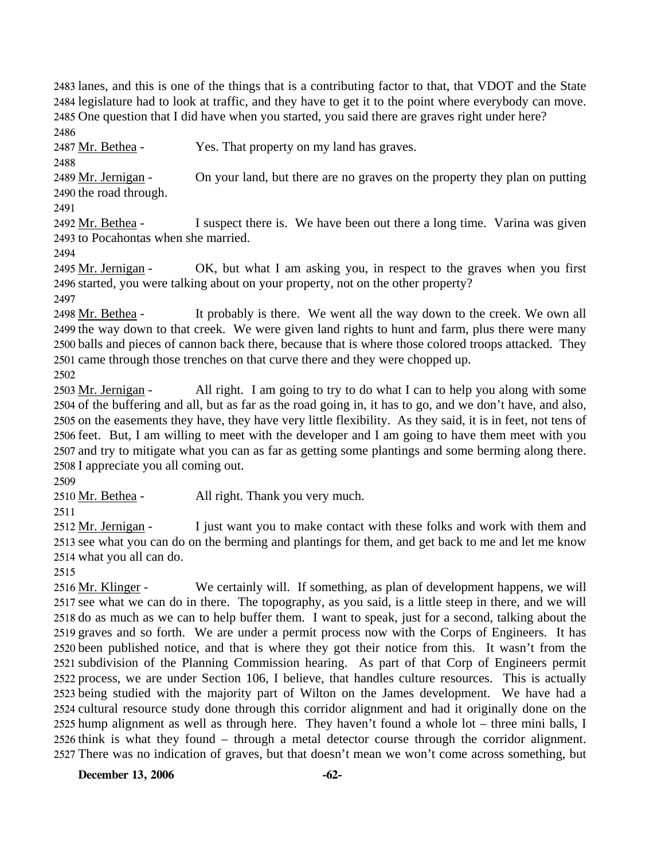lanes, and this is one of the things that is a contributing factor to that, that VDOT and the State legislature had to look at traffic, and they have to get it to the point where everybody can move. One question that I did have when you started, you said there are graves right under here? 2486

2487 Mr. Bethea - Yes. That property on my land has graves.

2488

On your land, but there are no graves on the property they plan on putting 2490 the road through. 2489 Mr. Jernigan -

2491

I suspect there is. We have been out there a long time. Varina was given 2493 to Pocahontas when she married. 2492 Mr. Bethea -

2494

OK, but what I am asking you, in respect to the graves when you first 2496 started, you were talking about on your property, not on the other property? 2495 Mr. Jernigan -

2497

It probably is there. We went all the way down to the creek. We own all 2499 the way down to that creek. We were given land rights to hunt and farm, plus there were many 2500 balls and pieces of cannon back there, because that is where those colored troops attacked. They 2501 came through those trenches on that curve there and they were chopped up. 2498 Mr. Bethea -

2502

All right. I am going to try to do what I can to help you along with some 2504 of the buffering and all, but as far as the road going in, it has to go, and we don't have, and also, 2505 on the easements they have, they have very little flexibility. As they said, it is in feet, not tens of 2506 feet. But, I am willing to meet with the developer and I am going to have them meet with you 2507 and try to mitigate what you can as far as getting some plantings and some berming along there. 2508 I appreciate you all coming out. 2503 Mr. Jernigan -

2509

2510 Mr. Bethea - All right. Thank you very much.

2511

I just want you to make contact with these folks and work with them and 2513 see what you can do on the berming and plantings for them, and get back to me and let me know what you all can do. 2514 2512 Mr. Jernigan -

2515

We certainly will. If something, as plan of development happens, we will 2517 see what we can do in there. The topography, as you said, is a little steep in there, and we will 2518 do as much as we can to help buffer them. I want to speak, just for a second, talking about the 2519 graves and so forth. We are under a permit process now with the Corps of Engineers. It has 2520 been published notice, and that is where they got their notice from this. It wasn't from the 2521 subdivision of the Planning Commission hearing. As part of that Corp of Engineers permit 2522 process, we are under Section 106, I believe, that handles culture resources. This is actually 2523 being studied with the majority part of Wilton on the James development. We have had a 2524 cultural resource study done through this corridor alignment and had it originally done on the 2525 hump alignment as well as through here. They haven't found a whole lot – three mini balls, I 2526 think is what they found – through a metal detector course through the corridor alignment. 2527 There was no indication of graves, but that doesn't mean we won't come across something, but 2516 Mr. Klinger -

**December 13, 2006 -62-**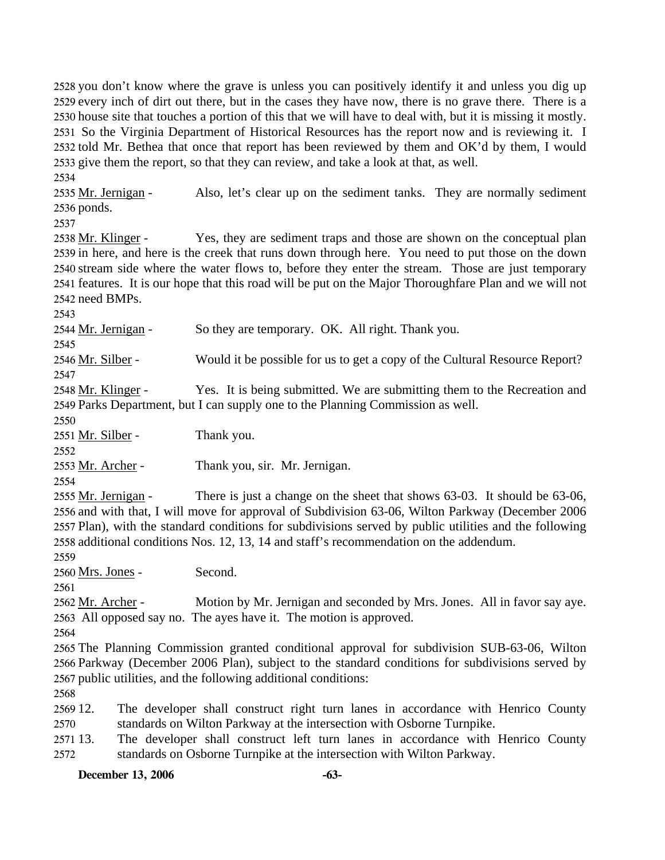you don't know where the grave is unless you can positively identify it and unless you dig up every inch of dirt out there, but in the cases they have now, there is no grave there. There is a house site that touches a portion of this that we will have to deal with, but it is missing it mostly. So the Virginia Department of Historical Resources has the report now and is reviewing it. I told Mr. Bethea that once that report has been reviewed by them and OK'd by them, I would give them the report, so that they can review, and take a look at that, as well.

2534

Also, let's clear up on the sediment tanks. They are normally sediment 2536 ponds. 2535 Mr. Jernigan -

2537

Yes, they are sediment traps and those are shown on the conceptual plan 2539 in here, and here is the creek that runs down through here. You need to put those on the down 2540 stream side where the water flows to, before they enter the stream. Those are just temporary 2541 features. It is our hope that this road will be put on the Major Thoroughfare Plan and we will not 2542 need BMPs. 2538 Mr. Klinger -

2543

2544 Mr. Jernigan - So they are temporary. OK. All right. Thank you.

2545

2546 Mr. Silber - Would it be possible for us to get a copy of the Cultural Resource Report? 2547

Yes. It is being submitted. We are submitting them to the Recreation and 2549 Parks Department, but I can supply one to the Planning Commission as well. 2548 Mr. Klinger -

2550

2551 Mr. Silber - Thank you.

2552

2553 Mr. Archer - Thank you, sir. Mr. Jernigan.

2554

There is just a change on the sheet that shows  $63-03$ . It should be  $63-06$ , 2556 and with that, I will move for approval of Subdivision 63-06, Wilton Parkway (December 2006 2557 Plan), with the standard conditions for subdivisions served by public utilities and the following 2558 additional conditions Nos. 12, 13, 14 and staff's recommendation on the addendum. 2555 Mr. Jernigan -

2559

2560 Mrs. Jones - Second.

2561

Motion by Mr. Jernigan and seconded by Mrs. Jones. All in favor say aye. 2563 All opposed say no. The ayes have it. The motion is approved. 2562 Mr. Archer -

2564

2565 The Planning Commission granted conditional approval for subdivision SUB-63-06, Wilton 2566 Parkway (December 2006 Plan), subject to the standard conditions for subdivisions served by 2567 public utilities, and the following additional conditions:

2568

2569 12 2570 The developer shall construct right turn lanes in accordance with Henrico County standards on Wilton Parkway at the intersection with Osborne Turnpike.

2571 13. 2572 The developer shall construct left turn lanes in accordance with Henrico County standards on Osborne Turnpike at the intersection with Wilton Parkway.

**December 13, 2006 -63-**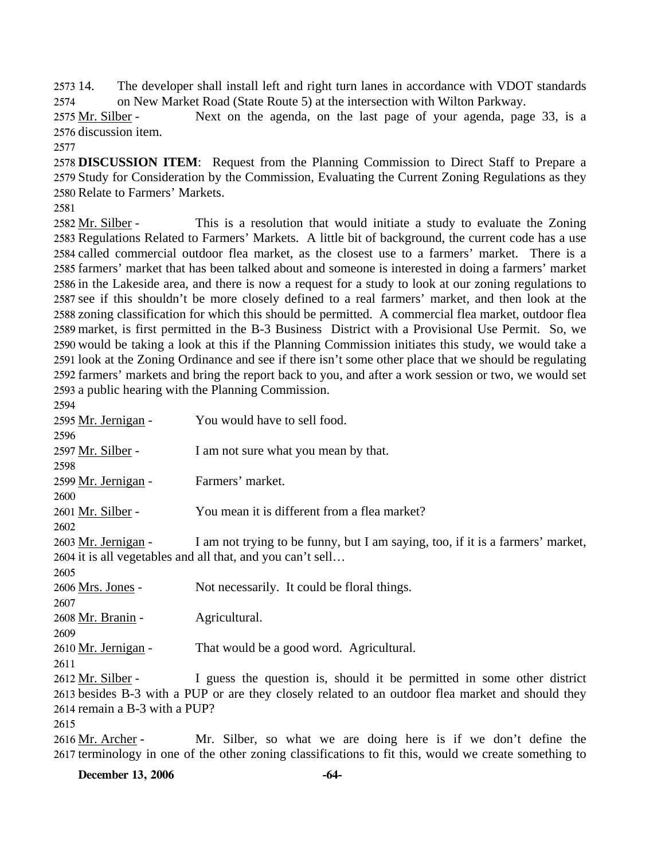2573 14. 2574 14. The developer shall install left and right turn lanes in accordance with VDOT standards on New Market Road (State Route 5) at the intersection with Wilton Parkway.

Next on the agenda, on the last page of your agenda, page 33, is a 2576 discussion item. 2575 Mr. Silber -

2577

2578 **DISCUSSION ITEM**: Request from the Planning Commission to Direct Staff to Prepare a 2579 Study for Consideration by the Commission, Evaluating the Current Zoning Regulations as they 2580 Relate to Farmers' Markets.

2581

This is a resolution that would initiate a study to evaluate the Zoning 2583 Regulations Related to Farmers' Markets. A little bit of background, the current code has a use 2584 called commercial outdoor flea market, as the closest use to a farmers' market. There is a 2585 farmers' market that has been talked about and someone is interested in doing a farmers' market 2586 in the Lakeside area, and there is now a request for a study to look at our zoning regulations to 2587 see if this shouldn't be more closely defined to a real farmers' market, and then look at the 2588 zoning classification for which this should be permitted. A commercial flea market, outdoor flea 2589 market, is first permitted in the B-3 Business District with a Provisional Use Permit. So, we 2590 would be taking a look at this if the Planning Commission initiates this study, we would take a 2591 look at the Zoning Ordinance and see if there isn't some other place that we should be regulating 2592 farmers' markets and bring the report back to you, and after a work session or two, we would set 2593 a public hearing with the Planning Commission. 2582 Mr. Silber -

| 2594                          |                                                                                                   |
|-------------------------------|---------------------------------------------------------------------------------------------------|
| 2595 Mr. Jernigan -           | You would have to sell food.                                                                      |
| 2596                          |                                                                                                   |
| 2597 Mr. Silber -             | I am not sure what you mean by that.                                                              |
| 2598                          |                                                                                                   |
| 2599 Mr. Jernigan -           | Farmers' market.                                                                                  |
| 2600                          |                                                                                                   |
| 2601 Mr. Silber -             | You mean it is different from a flea market?                                                      |
| 2602                          |                                                                                                   |
| 2603 Mr. Jernigan -           | I am not trying to be funny, but I am saying, too, if it is a farmers' market,                    |
|                               | 2604 it is all vegetables and all that, and you can't sell                                        |
| 2605                          |                                                                                                   |
| 2606 Mrs. Jones -             | Not necessarily. It could be floral things.                                                       |
| 2607                          |                                                                                                   |
| 2608 Mr. Branin -             | Agricultural.                                                                                     |
| 2609                          |                                                                                                   |
| 2610 Mr. Jernigan -           | That would be a good word. Agricultural.                                                          |
| 2611                          |                                                                                                   |
| 2612 Mr. Silber -             | I guess the question is, should it be permitted in some other district                            |
|                               | 2613 besides B-3 with a PUP or are they closely related to an outdoor flea market and should they |
| 2614 remain a B-3 with a PUP? |                                                                                                   |
| 2615                          |                                                                                                   |
| $2616$ Mr. Archer –           | Mr Silber so what we are doing here is if we don't define the                                     |

Mr. Silber, so what we are doing here is if we don't define the 2617 terminology in one of the other zoning classifications to fit this, would we create something to 2616 <u>Mr. Archer</u>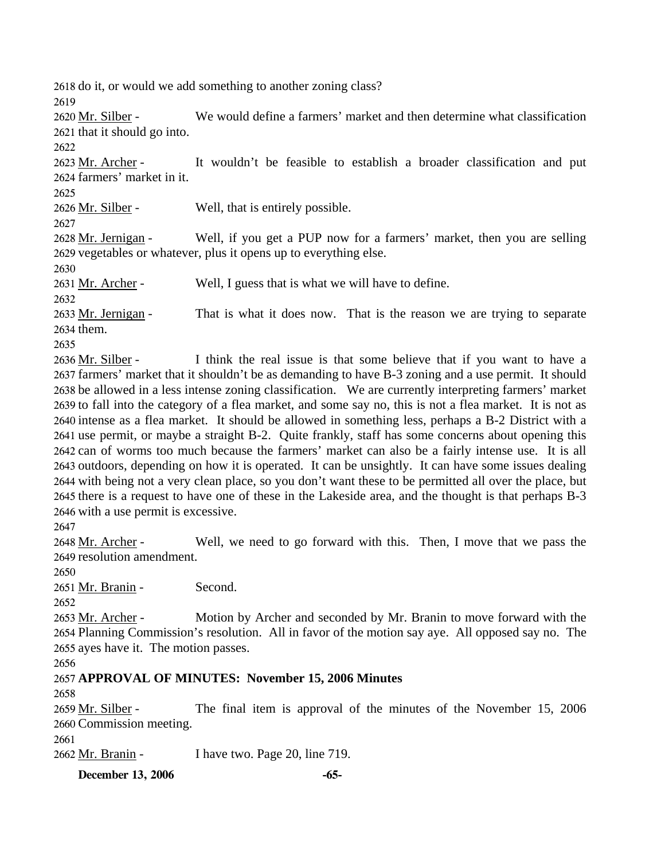2618 do it, or would we add something to another zoning class?

2619

We would define a farmers' market and then determine what classification 2621 that it should go into. 2620 Mr. Silber -

2622

It wouldn't be feasible to establish a broader classification and put 2624 farmers' market in it. 2623 Mr. Archer -

2625

2626 Mr. Silber - Well, that is entirely possible.

2627

Well, if you get a PUP now for a farmers' market, then you are selling 2629 vegetables or whatever, plus it opens up to everything else. 2628 Mr. Jernigan -

2630

2631 Mr. Archer - Well, I guess that is what we will have to define.

2632

That is what it does now. That is the reason we are trying to separate 2634 them. 2633 Mr. Jernigan -

2635

I think the real issue is that some believe that if you want to have a 2637 farmers' market that it shouldn't be as demanding to have B-3 zoning and a use permit. It should 2638 be allowed in a less intense zoning classification. We are currently interpreting farmers' market 2639 to fall into the category of a flea market, and some say no, this is not a flea market. It is not as 2640 intense as a flea market. It should be allowed in something less, perhaps a B-2 District with a 2641 use permit, or maybe a straight B-2. Quite frankly, staff has some concerns about opening this 2642 can of worms too much because the farmers' market can also be a fairly intense use. It is all 2643 outdoors, depending on how it is operated. It can be unsightly. It can have some issues dealing 2644 with being not a very clean place, so you don't want these to be permitted all over the place, but 2645 there is a request to have one of these in the Lakeside area, and the thought is that perhaps B-3 2646 with a use permit is excessive. 2636 Mr. Silber -

2647

Well, we need to go forward with this. Then, I move that we pass the 2649 resolution amendment. 2648 Mr. Archer -

2650

2651 Mr. Branin - Second.

2652

Motion by Archer and seconded by Mr. Branin to move forward with the 2654 Planning Commission's resolution. All in favor of the motion say aye. All opposed say no. The 2655 ayes have it. The motion passes. 2653 Mr. Archer -

2656

2657 **APPROVAL OF MINUTES: November 15, 2006 Minutes** 

2658

The final item is approval of the minutes of the November 15, 2006 2660 Commission meeting. 2659 Mr. Silber -

2661

2662 Mr. Branin - I have two. Page 20, line 719.

**December 13, 2006 -65-**